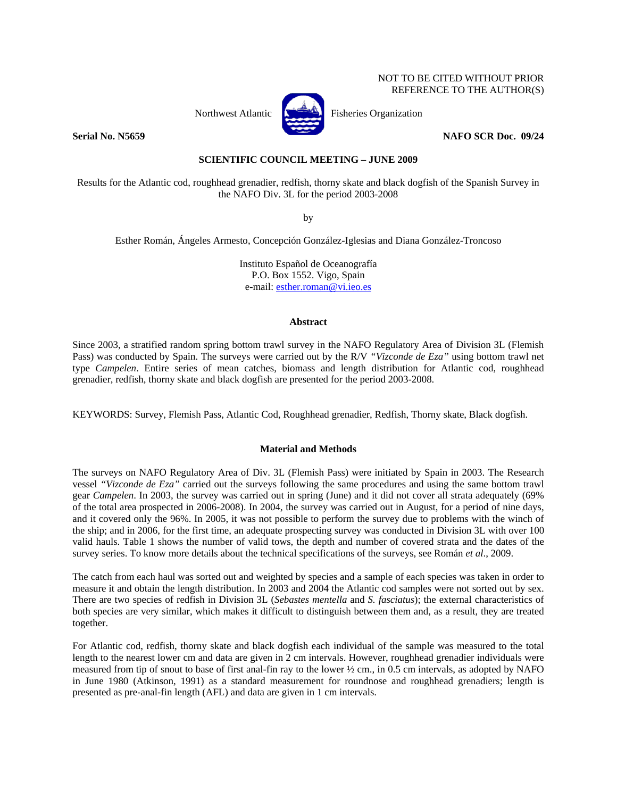# NOT TO BE CITED WITHOUT PRIOR REFERENCE TO THE AUTHOR(S)



Northwest Atlantic **No. 3. Fisheries Organization** 

**Serial No. N5659** NAFO SCR Doc. 09/24

# **SCIENTIFIC COUNCIL MEETING – JUNE 2009**

Results for the Atlantic cod, roughhead grenadier, redfish, thorny skate and black dogfish of the Spanish Survey in the NAFO Div. 3L for the period 2003-2008

by

Esther Román, Ángeles Armesto, Concepción González-Iglesias and Diana González-Troncoso

Instituto Español de Oceanografía P.O. Box 1552. Vigo, Spain e-mail: esther.roman@vi.ieo.es

## **Abstract**

Since 2003, a stratified random spring bottom trawl survey in the NAFO Regulatory Area of Division 3L (Flemish Pass) was conducted by Spain. The surveys were carried out by the R/V *"Vizconde de Eza"* using bottom trawl net type *Campelen*. Entire series of mean catches, biomass and length distribution for Atlantic cod, roughhead grenadier, redfish, thorny skate and black dogfish are presented for the period 2003-2008.

KEYWORDS: Survey, Flemish Pass, Atlantic Cod, Roughhead grenadier, Redfish, Thorny skate, Black dogfish.

# **Material and Methods**

The surveys on NAFO Regulatory Area of Div. 3L (Flemish Pass) were initiated by Spain in 2003. The Research vessel *"Vizconde de Eza"* carried out the surveys following the same procedures and using the same bottom trawl gear *Campelen*. In 2003, the survey was carried out in spring (June) and it did not cover all strata adequately (69% of the total area prospected in 2006-2008). In 2004, the survey was carried out in August, for a period of nine days, and it covered only the 96%. In 2005, it was not possible to perform the survey due to problems with the winch of the ship; and in 2006, for the first time, an adequate prospecting survey was conducted in Division 3L with over 100 valid hauls. Table 1 shows the number of valid tows, the depth and number of covered strata and the dates of the survey series. To know more details about the technical specifications of the surveys, see Román *et al*., 2009.

The catch from each haul was sorted out and weighted by species and a sample of each species was taken in order to measure it and obtain the length distribution. In 2003 and 2004 the Atlantic cod samples were not sorted out by sex. There are two species of redfish in Division 3L (*Sebastes mentella* and *S. fasciatus*); the external characteristics of both species are very similar, which makes it difficult to distinguish between them and, as a result, they are treated together.

For Atlantic cod, redfish, thorny skate and black dogfish each individual of the sample was measured to the total length to the nearest lower cm and data are given in 2 cm intervals. However, roughhead grenadier individuals were measured from tip of snout to base of first anal-fin ray to the lower ½ cm., in 0.5 cm intervals, as adopted by NAFO in June 1980 (Atkinson, 1991) as a standard measurement for roundnose and roughhead grenadiers; length is presented as pre-anal-fin length (AFL) and data are given in 1 cm intervals.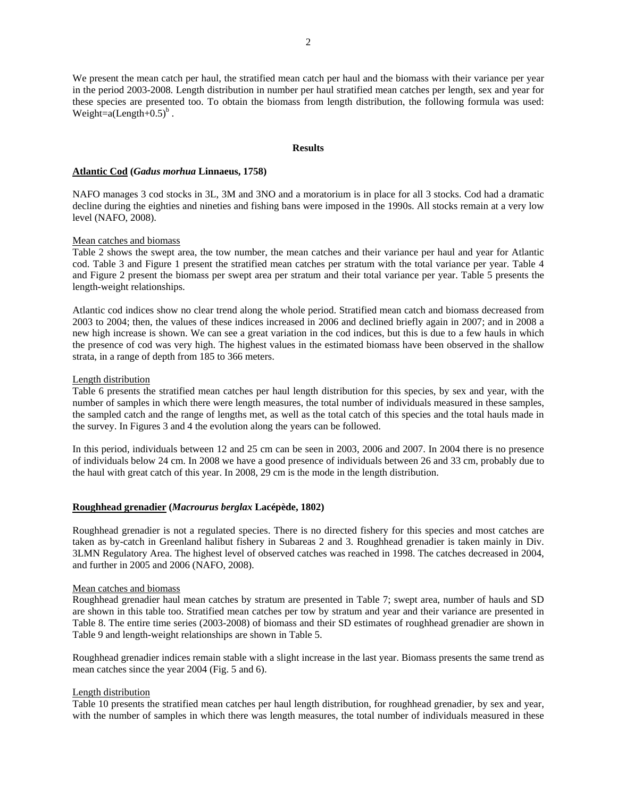2

We present the mean catch per haul, the stratified mean catch per haul and the biomass with their variance per year in the period 2003-2008. Length distribution in number per haul stratified mean catches per length, sex and year for these species are presented too. To obtain the biomass from length distribution, the following formula was used: Weight=a(Length+ $0.5$ )<sup>b</sup>.

### **Results**

# **Atlantic Cod (***Gadus morhua* **Linnaeus, 1758)**

NAFO manages 3 cod stocks in 3L, 3M and 3NO and a moratorium is in place for all 3 stocks. Cod had a dramatic decline during the eighties and nineties and fishing bans were imposed in the 1990s. All stocks remain at a very low level (NAFO, 2008).

## Mean catches and biomass

Table 2 shows the swept area, the tow number, the mean catches and their variance per haul and year for Atlantic cod. Table 3 and Figure 1 present the stratified mean catches per stratum with the total variance per year. Table 4 and Figure 2 present the biomass per swept area per stratum and their total variance per year. Table 5 presents the length-weight relationships.

Atlantic cod indices show no clear trend along the whole period. Stratified mean catch and biomass decreased from 2003 to 2004; then, the values of these indices increased in 2006 and declined briefly again in 2007; and in 2008 a new high increase is shown. We can see a great variation in the cod indices, but this is due to a few hauls in which the presence of cod was very high. The highest values in the estimated biomass have been observed in the shallow strata, in a range of depth from 185 to 366 meters.

## Length distribution

Table 6 presents the stratified mean catches per haul length distribution for this species, by sex and year, with the number of samples in which there were length measures, the total number of individuals measured in these samples, the sampled catch and the range of lengths met, as well as the total catch of this species and the total hauls made in the survey. In Figures 3 and 4 the evolution along the years can be followed.

In this period, individuals between 12 and 25 cm can be seen in 2003, 2006 and 2007. In 2004 there is no presence of individuals below 24 cm. In 2008 we have a good presence of individuals between 26 and 33 cm, probably due to the haul with great catch of this year. In 2008, 29 cm is the mode in the length distribution.

# **Roughhead grenadier (***Macrourus berglax* **Lacépède, 1802)**

Roughhead grenadier is not a regulated species. There is no directed fishery for this species and most catches are taken as by-catch in Greenland halibut fishery in Subareas 2 and 3. Roughhead grenadier is taken mainly in Div. 3LMN Regulatory Area. The highest level of observed catches was reached in 1998. The catches decreased in 2004, and further in 2005 and 2006 (NAFO, 2008).

# Mean catches and biomass

Roughhead grenadier haul mean catches by stratum are presented in Table 7; swept area, number of hauls and SD are shown in this table too. Stratified mean catches per tow by stratum and year and their variance are presented in Table 8. The entire time series (2003-2008) of biomass and their SD estimates of roughhead grenadier are shown in Table 9 and length-weight relationships are shown in Table 5.

Roughhead grenadier indices remain stable with a slight increase in the last year. Biomass presents the same trend as mean catches since the year 2004 (Fig. 5 and 6).

# Length distribution

Table 10 presents the stratified mean catches per haul length distribution, for roughhead grenadier, by sex and year, with the number of samples in which there was length measures, the total number of individuals measured in these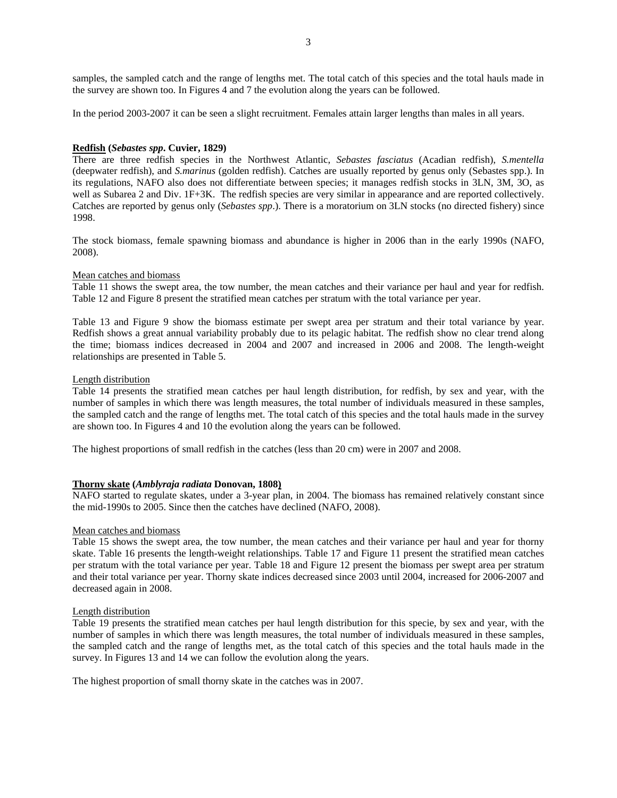samples, the sampled catch and the range of lengths met. The total catch of this species and the total hauls made in the survey are shown too. In Figures 4 and 7 the evolution along the years can be followed.

In the period 2003-2007 it can be seen a slight recruitment. Females attain larger lengths than males in all years.

# **Redfish (***Sebastes spp***. Cuvier, 1829)**

There are three redfish species in the Northwest Atlantic, *Sebastes fasciatus* (Acadian redfish), *S.mentella* (deepwater redfish), and *S.marinus* (golden redfish). Catches are usually reported by genus only (Sebastes spp.). In its regulations, NAFO also does not differentiate between species; it manages redfish stocks in 3LN, 3M, 3O, as well as Subarea 2 and Div. 1F+3K. The redfish species are very similar in appearance and are reported collectively. Catches are reported by genus only (*Sebastes spp*.). There is a moratorium on 3LN stocks (no directed fishery) since 1998.

The stock biomass, female spawning biomass and abundance is higher in 2006 than in the early 1990s (NAFO, 2008).

#### Mean catches and biomass

Table 11 shows the swept area, the tow number, the mean catches and their variance per haul and year for redfish. Table 12 and Figure 8 present the stratified mean catches per stratum with the total variance per year.

Table 13 and Figure 9 show the biomass estimate per swept area per stratum and their total variance by year. Redfish shows a great annual variability probably due to its pelagic habitat. The redfish show no clear trend along the time; biomass indices decreased in 2004 and 2007 and increased in 2006 and 2008. The length-weight relationships are presented in Table 5.

#### Length distribution

Table 14 presents the stratified mean catches per haul length distribution, for redfish, by sex and year, with the number of samples in which there was length measures, the total number of individuals measured in these samples, the sampled catch and the range of lengths met. The total catch of this species and the total hauls made in the survey are shown too. In Figures 4 and 10 the evolution along the years can be followed.

The highest proportions of small redfish in the catches (less than 20 cm) were in 2007 and 2008.

## **Thorny skate (***Amblyraja radiata* **Donovan, 1808)**

NAFO started to regulate skates, under a 3-year plan, in 2004. The biomass has remained relatively constant since the mid-1990s to 2005. Since then the catches have declined (NAFO, 2008).

### Mean catches and biomass

Table 15 shows the swept area, the tow number, the mean catches and their variance per haul and year for thorny skate. Table 16 presents the length-weight relationships. Table 17 and Figure 11 present the stratified mean catches per stratum with the total variance per year. Table 18 and Figure 12 present the biomass per swept area per stratum and their total variance per year. Thorny skate indices decreased since 2003 until 2004, increased for 2006-2007 and decreased again in 2008.

#### Length distribution

Table 19 presents the stratified mean catches per haul length distribution for this specie, by sex and year, with the number of samples in which there was length measures, the total number of individuals measured in these samples, the sampled catch and the range of lengths met, as the total catch of this species and the total hauls made in the survey. In Figures 13 and 14 we can follow the evolution along the years.

The highest proportion of small thorny skate in the catches was in 2007.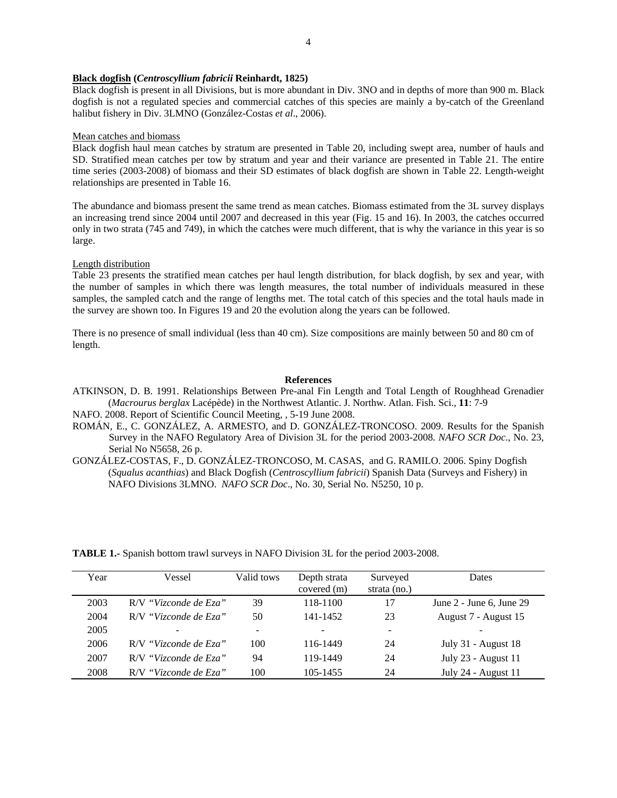### **Black dogfish (***Centroscyllium fabricii* **Reinhardt, 1825)**

Black dogfish is present in all Divisions, but is more abundant in Div. 3NO and in depths of more than 900 m. Black dogfish is not a regulated species and commercial catches of this species are mainly a by-catch of the Greenland halibut fishery in Div. 3LMNO (González-Costas *et al*., 2006).

### Mean catches and biomass

Black dogfish haul mean catches by stratum are presented in Table 20, including swept area, number of hauls and SD. Stratified mean catches per tow by stratum and year and their variance are presented in Table 21. The entire time series (2003-2008) of biomass and their SD estimates of black dogfish are shown in Table 22. Length-weight relationships are presented in Table 16.

The abundance and biomass present the same trend as mean catches. Biomass estimated from the 3L survey displays an increasing trend since 2004 until 2007 and decreased in this year (Fig. 15 and 16). In 2003, the catches occurred only in two strata (745 and 749), in which the catches were much different, that is why the variance in this year is so large.

# Length distribution

Table 23 presents the stratified mean catches per haul length distribution, for black dogfish, by sex and year, with the number of samples in which there was length measures, the total number of individuals measured in these samples, the sampled catch and the range of lengths met. The total catch of this species and the total hauls made in the survey are shown too. In Figures 19 and 20 the evolution along the years can be followed.

There is no presence of small individual (less than 40 cm). Size compositions are mainly between 50 and 80 cm of length.

## **References**

ATKINSON, D. B. 1991. Relationships Between Pre-anal Fin Length and Total Length of Roughhead Grenadier (*Macrourus berglax* Lacépède) in the Northwest Atlantic. J. Northw. Atlan. Fish. Sci., **11**: 7-9

NAFO. 2008. Report of Scientific Council Meeting, , 5-19 June 2008.

ROMÁN, E., C. GONZÁLEZ, A. ARMESTO, and D. GONZÁLEZ-TRONCOSO. 2009. Results for the Spanish Survey in the NAFO Regulatory Area of Division 3L for the period 2003-2008. *NAFO SCR Doc*., No. 23, Serial No N5658, 26 p.

GONZÁLEZ-COSTAS, F., D. GONZÁLEZ-TRONCOSO, M. CASAS, and G. RAMILO. 2006. Spiny Dogfish (*Squalus acanthias*) and Black Dogfish (*Centroscyllium fabricii*) Spanish Data (Surveys and Fishery) in NAFO Divisions 3LMNO. *NAFO SCR Doc*., No. 30, Serial No. N5250, 10 p.

Year Vessel Valid tows Depth strata covered (m) Surveyed strata (no.) Dates 2003 R/V *"Vizconde de Eza"* 39 118-1100 17 June 2 - June 6, June 29 2004 R/V *"Vizconde de Eza"* 50 141-1452 23 August 7 - August 15 2005 - - - - - 2006 R/V *"Vizconde de Eza"* 100 116-1449 24 July 31 - August 18 2007 R/V *"Vizconde de Eza"* 94 119-1449 24 July 23 - August 11 2008 R/V *"Vizconde de Eza"* 100 105-1455 24 July 24 - August 11

**TABLE 1.-** Spanish bottom trawl surveys in NAFO Division 3L for the period 2003-2008.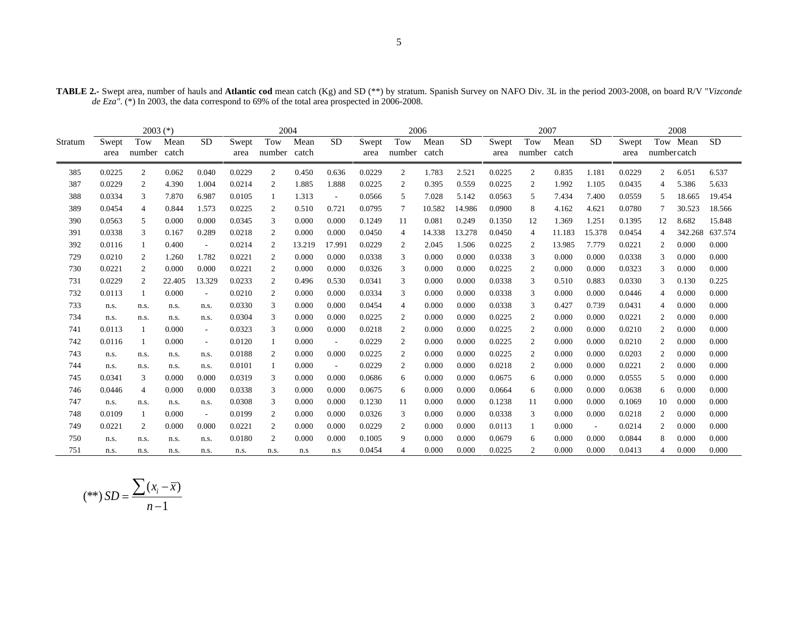|         | $2003$ (*)    |                     |        |                          |               | 2004                |        |                          |               | 2006           |               |           |               | 2007           |               |           |               |                | 2008     |           |
|---------|---------------|---------------------|--------|--------------------------|---------------|---------------------|--------|--------------------------|---------------|----------------|---------------|-----------|---------------|----------------|---------------|-----------|---------------|----------------|----------|-----------|
| Stratum | Swept<br>area | Tow<br>number catch | Mean   | <b>SD</b>                | Swept<br>area | Tow<br>number catch | Mean   | <b>SD</b>                | Swept<br>area | Tow<br>number  | Mean<br>catch | <b>SD</b> | Swept<br>area | Tow<br>number  | Mean<br>catch | <b>SD</b> | Swept<br>area | numbercatch    | Tow Mean | <b>SD</b> |
| 385     | 0.0225        | 2                   | 0.062  | 0.040                    | 0.0229        | $\overline{2}$      | 0.450  | 0.636                    | 0.0229        | $\overline{2}$ | 1.783         | 2.521     | 0.0225        | $\overline{2}$ | 0.835         | 1.181     | 0.0229        | $\overline{2}$ | 6.051    | 6.537     |
| 387     | 0.0229        | 2                   | 4.390  | 1.004                    | 0.0214        | 2                   | 1.885  | 1.888                    | 0.0225        | 2              | 0.395         | 0.559     | 0.0225        | 2              | 1.992         | 1.105     | 0.0435        | 4              | 5.386    | 5.633     |
| 388     | 0.0334        | 3                   | 7.870  | 6.987                    | 0.0105        |                     | 1.313  | $\overline{\phantom{a}}$ | 0.0566        | 5              | 7.028         | 5.142     | 0.0563        | 5              | 7.434         | 7.400     | 0.0559        |                | 18.665   | 19.454    |
| 389     | 0.0454        | $\overline{4}$      | 0.844  | 1.573                    | 0.0225        | 2                   | 0.510  | 0.721                    | 0.0795        | 7              | 10.582        | 14.986    | 0.0900        | 8              | 4.162         | 4.621     | 0.0780        |                | 30.523   | 18.566    |
| 390     | 0.0563        | 5                   | 0.000  | 0.000                    | 0.0345        | 3                   | 0.000  | 0.000                    | 0.1249        | 11             | 0.081         | 0.249     | 0.1350        | 12             | 1.369         | 1.251     | 0.1395        | 12             | 8.682    | 15.848    |
| 391     | 0.0338        | 3                   | 0.167  | 0.289                    | 0.0218        | 2                   | 0.000  | 0.000                    | 0.0450        | 4              | 14.338        | 13.278    | 0.0450        | 4              | 11.183        | 15.378    | 0.0454        | 4              | 342.268  | 637.574   |
| 392     | 0.0116        |                     | 0.400  | $\overline{\phantom{a}}$ | 0.0214        | 2                   | 13.219 | 17.991                   | 0.0229        | 2              | 2.045         | 1.506     | 0.0225        | 2              | 13.985        | 7.779     | 0.0221        |                | 0.000    | 0.000     |
| 729     | 0.0210        | 2                   | 1.260  | 1.782                    | 0.0221        | 2                   | 0.000  | 0.000                    | 0.0338        | 3              | 0.000         | 0.000     | 0.0338        | 3              | 0.000         | 0.000     | 0.0338        |                | 0.000    | 0.000     |
| 730     | 0.0221        | 2                   | 0.000  | 0.000                    | 0.0221        | 2                   | 0.000  | 0.000                    | 0.0326        | 3              | 0.000         | 0.000     | 0.0225        | 2              | 0.000         | 0.000     | 0.0323        | 3              | 0.000    | 0.000     |
| 731     | 0.0229        | 2                   | 22.405 | 13.329                   | 0.0233        | 2                   | 0.496  | 0.530                    | 0.0341        | 3              | 0.000         | 0.000     | 0.0338        | 3              | 0.510         | 0.883     | 0.0330        | 3              | 0.130    | 0.225     |
| 732     | 0.0113        |                     | 0.000  | $\sim$                   | 0.0210        | 2                   | 0.000  | 0.000                    | 0.0334        | 3              | 0.000         | 0.000     | 0.0338        | 3              | 0.000         | 0.000     | 0.0446        | 4              | 0.000    | 0.000     |
| 733     | n.s.          | n.s.                | n.s.   | n.s.                     | 0.0330        | 3                   | 0.000  | 0.000                    | 0.0454        | $\overline{4}$ | 0.000         | 0.000     | 0.0338        | 3              | 0.427         | 0.739     | 0.0431        | $\overline{4}$ | 0.000    | 0.000     |
| 734     | n.s.          | n.s.                | n.s.   | n.s.                     | 0.0304        | 3                   | 0.000  | 0.000                    | 0.0225        | 2              | 0.000         | 0.000     | 0.0225        | 2              | 0.000         | 0.000     | 0.0221        | 2              | 0.000    | 0.000     |
| 741     | 0.0113        |                     | 0.000  | $\sim$                   | 0.0323        | 3                   | 0.000  | 0.000                    | 0.0218        | 2              | 0.000         | 0.000     | 0.0225        | 2              | 0.000         | 0.000     | 0.0210        | 2              | 0.000    | 0.000     |
| 742     | 0.0116        |                     | 0.000  | $\sim$                   | 0.0120        |                     | 0.000  | $\overline{\phantom{a}}$ | 0.0229        | 2              | 0.000         | 0.000     | 0.0225        | 2              | 0.000         | 0.000     | 0.0210        | 2              | 0.000    | 0.000     |
| 743     | n.s.          | n.s.                | n.s.   | n.s.                     | 0.0188        | 2                   | 0.000  | 0.000                    | 0.0225        | $\overline{2}$ | 0.000         | 0.000     | 0.0225        | 2              | 0.000         | 0.000     | 0.0203        |                | 0.000    | 0.000     |
| 744     | n.s.          | n.s.                | n.s.   | n.s.                     | 0.0101        |                     | 0.000  | $\sim$                   | 0.0229        | 2              | 0.000         | 0.000     | 0.0218        | 2              | 0.000         | 0.000     | 0.0221        | 2              | 0.000    | 0.000     |
| 745     | 0.0341        | 3                   | 0.000  | 0.000                    | 0.0319        | 3                   | 0.000  | 0.000                    | 0.0686        | 6              | 0.000         | 0.000     | 0.0675        | 6              | 0.000         | 0.000     | 0.0555        | 5              | 0.000    | 0.000     |
| 746     | 0.0446        | $\overline{4}$      | 0.000  | 0.000                    | 0.0338        | 3                   | 0.000  | 0.000                    | 0.0675        | 6              | 0.000         | 0.000     | 0.0664        | 6              | 0.000         | 0.000     | 0.0638        | 6              | 0.000    | 0.000     |
| 747     | n.s.          | n.s.                | n.s.   | n.s.                     | 0.0308        | 3                   | 0.000  | 0.000                    | 0.1230        | -11            | 0.000         | 0.000     | 0.1238        | -11            | 0.000         | 0.000     | 0.1069        | 10             | 0.000    | 0.000     |
| 748     | 0.0109        |                     | 0.000  | $\sim$                   | 0.0199        | 2                   | 0.000  | 0.000                    | 0.0326        | 3              | 0.000         | 0.000     | 0.0338        | 3              | 0.000         | 0.000     | 0.0218        |                | 0.000    | 0.000     |
| 749     | 0.0221        | 2                   | 0.000  | 0.000                    | 0.0221        | 2                   | 0.000  | 0.000                    | 0.0229        | 2              | 0.000         | 0.000     | 0.0113        |                | 0.000         | $\sim$    | 0.0214        | 2              | 0.000    | 0.000     |
| 750     | n.s.          | n.s.                | n.s.   | n.s.                     | 0.0180        | 2                   | 0.000  | 0.000                    | 0.1005        | 9              | 0.000         | 0.000     | 0.0679        | 6              | 0.000         | 0.000     | 0.0844        |                | 0.000    | 0.000     |
| 751     | n.s.          | n.s.                | n.s.   | n.s.                     | n.s.          | n.s.                | n.s    | n.s                      | 0.0454        |                | 0.000         | 0.000     | 0.0225        |                | 0.000         | 0.000     | 0.0413        |                | 0.000    | 0.000     |

**TABLE 2.-** Swept area, number of hauls and **Atlantic cod** mean catch (Kg) and SD (\*\*) by stratum. Spanish Survey on NAFO Div. 3L in the period 2003-2008, on board R/V "*Vizconde de Eza"*. (\*) In 2003, the data correspond to 69% of the total area prospected in 2006-2008.

$$
(**) SD = \frac{\sum (x_i - \overline{x})}{n - 1}
$$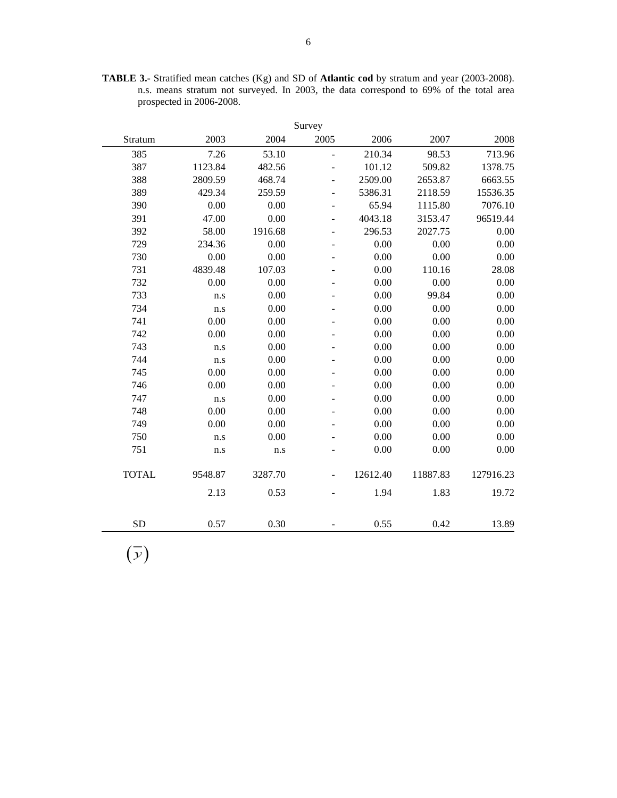**TABLE 3.-** Stratified mean catches (Kg) and SD of **Atlantic cod** by stratum and year (2003-2008). n.s. means stratum not surveyed. In 2003, the data correspond to 69% of the total area prospected in 2006-2008.

|              | Survey   |         |                          |          |          |           |  |  |  |  |  |  |
|--------------|----------|---------|--------------------------|----------|----------|-----------|--|--|--|--|--|--|
| Stratum      | 2003     | 2004    | 2005                     | 2006     | 2007     | 2008      |  |  |  |  |  |  |
| 385          | 7.26     | 53.10   | $\blacksquare$           | 210.34   | 98.53    | 713.96    |  |  |  |  |  |  |
| 387          | 1123.84  | 482.56  |                          | 101.12   | 509.82   | 1378.75   |  |  |  |  |  |  |
| 388          | 2809.59  | 468.74  | $\overline{a}$           | 2509.00  | 2653.87  | 6663.55   |  |  |  |  |  |  |
| 389          | 429.34   | 259.59  | $\overline{a}$           | 5386.31  | 2118.59  | 15536.35  |  |  |  |  |  |  |
| 390          | 0.00     | 0.00    | $\overline{\phantom{a}}$ | 65.94    | 1115.80  | 7076.10   |  |  |  |  |  |  |
| 391          | 47.00    | 0.00    | $\overline{a}$           | 4043.18  | 3153.47  | 96519.44  |  |  |  |  |  |  |
| 392          | 58.00    | 1916.68 | $\overline{\phantom{a}}$ | 296.53   | 2027.75  | 0.00      |  |  |  |  |  |  |
| 729          | 234.36   | 0.00    | $\overline{\phantom{a}}$ | 0.00     | 0.00     | 0.00      |  |  |  |  |  |  |
| 730          | 0.00     | 0.00    | $\overline{\phantom{a}}$ | 0.00     | 0.00     | 0.00      |  |  |  |  |  |  |
| 731          | 4839.48  | 107.03  |                          | 0.00     | 110.16   | 28.08     |  |  |  |  |  |  |
| 732          | 0.00     | 0.00    |                          | 0.00     | 0.00     | 0.00      |  |  |  |  |  |  |
| 733          | n.s      | 0.00    |                          | 0.00     | 99.84    | 0.00      |  |  |  |  |  |  |
| 734          | n.s      | 0.00    |                          | 0.00     | 0.00     | 0.00      |  |  |  |  |  |  |
| 741          | 0.00     | 0.00    |                          | 0.00     | 0.00     | 0.00      |  |  |  |  |  |  |
| 742          | 0.00     | 0.00    |                          | 0.00     | 0.00     | 0.00      |  |  |  |  |  |  |
| 743          | n.s      | 0.00    |                          | 0.00     | 0.00     | 0.00      |  |  |  |  |  |  |
| 744          | n.s      | 0.00    |                          | 0.00     | 0.00     | 0.00      |  |  |  |  |  |  |
| 745          | 0.00     | 0.00    |                          | 0.00     | 0.00     | 0.00      |  |  |  |  |  |  |
| 746          | $0.00\,$ | 0.00    |                          | 0.00     | 0.00     | 0.00      |  |  |  |  |  |  |
| 747          | n.s      | 0.00    |                          | 0.00     | 0.00     | 0.00      |  |  |  |  |  |  |
| 748          | 0.00     | 0.00    |                          | 0.00     | 0.00     | 0.00      |  |  |  |  |  |  |
| 749          | 0.00     | 0.00    |                          | 0.00     | 0.00     | 0.00      |  |  |  |  |  |  |
| 750          | n.s      | 0.00    |                          | 0.00     | 0.00     | 0.00      |  |  |  |  |  |  |
| 751          | n.s      | n.s     |                          | 0.00     | 0.00     | 0.00      |  |  |  |  |  |  |
| <b>TOTAL</b> | 9548.87  | 3287.70 |                          | 12612.40 | 11887.83 | 127916.23 |  |  |  |  |  |  |
|              | 2.13     | 0.53    |                          | 1.94     | 1.83     | 19.72     |  |  |  |  |  |  |
|              |          |         |                          |          |          |           |  |  |  |  |  |  |
| <b>SD</b>    | 0.57     | 0.30    |                          | 0.55     | 0.42     | 13.89     |  |  |  |  |  |  |

 $\left( \overline{\mathcal{Y}}\right)$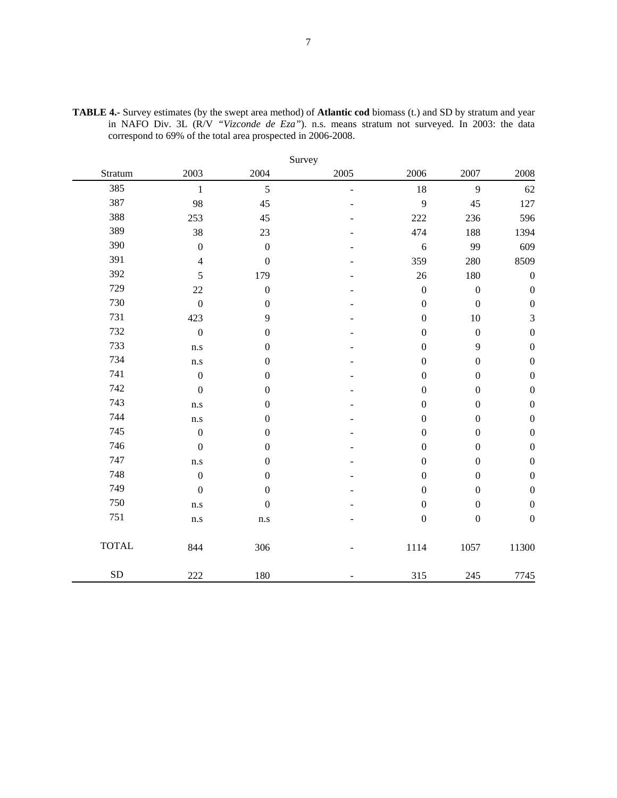|              |                  |                  | Survey         |                  |                  |                  |
|--------------|------------------|------------------|----------------|------------------|------------------|------------------|
| Stratum      | 2003             | 2004             | 2005           | 2006             | 2007             | 2008             |
| 385          | $\mathbf{1}$     | 5                | $\blacksquare$ | 18               | 9                | 62               |
| 387          | 98               | 45               |                | 9                | 45               | 127              |
| 388          | 253              | 45               |                | 222              | 236              | 596              |
| 389          | 38               | 23               |                | 474              | 188              | 1394             |
| 390          | $\boldsymbol{0}$ | $\boldsymbol{0}$ |                | $\sqrt{6}$       | 99               | 609              |
| 391          | $\overline{4}$   | $\boldsymbol{0}$ |                | 359              | 280              | 8509             |
| 392          | 5                | 179              |                | 26               | 180              | $\boldsymbol{0}$ |
| 729          | 22               | $\boldsymbol{0}$ |                | $\boldsymbol{0}$ | $\boldsymbol{0}$ | $\boldsymbol{0}$ |
| 730          | $\boldsymbol{0}$ | $\boldsymbol{0}$ |                | $\boldsymbol{0}$ | $\boldsymbol{0}$ | $\boldsymbol{0}$ |
| 731          | 423              | $\mathbf{9}$     |                | $\boldsymbol{0}$ | $10\,$           | $\mathfrak{Z}$   |
| 732          | $\overline{0}$   | $\boldsymbol{0}$ |                | $\boldsymbol{0}$ | $\boldsymbol{0}$ | $\boldsymbol{0}$ |
| 733          | n.s              | $\boldsymbol{0}$ |                | $\boldsymbol{0}$ | 9                | $\boldsymbol{0}$ |
| 734          | n.s              | $\boldsymbol{0}$ |                | $\boldsymbol{0}$ | $\boldsymbol{0}$ | $\boldsymbol{0}$ |
| 741          | $\boldsymbol{0}$ | $\boldsymbol{0}$ |                | $\boldsymbol{0}$ | $\boldsymbol{0}$ | $\boldsymbol{0}$ |
| 742          | $\boldsymbol{0}$ | $\boldsymbol{0}$ |                | $\boldsymbol{0}$ | $\boldsymbol{0}$ | $\boldsymbol{0}$ |
| 743          | n.s              | $\boldsymbol{0}$ |                | $\boldsymbol{0}$ | $\boldsymbol{0}$ | $\boldsymbol{0}$ |
| 744          | n.s              | $\boldsymbol{0}$ |                | $\boldsymbol{0}$ | $\boldsymbol{0}$ | $\boldsymbol{0}$ |
| 745          | $\boldsymbol{0}$ | $\boldsymbol{0}$ |                | $\boldsymbol{0}$ | $\boldsymbol{0}$ | $\boldsymbol{0}$ |
| 746          | $\boldsymbol{0}$ | $\boldsymbol{0}$ |                | $\boldsymbol{0}$ | $\boldsymbol{0}$ | $\boldsymbol{0}$ |
| 747          | n.s              | $\boldsymbol{0}$ |                | $\boldsymbol{0}$ | $\boldsymbol{0}$ | $\boldsymbol{0}$ |
| 748          | $\boldsymbol{0}$ | $\boldsymbol{0}$ |                | $\boldsymbol{0}$ | $\boldsymbol{0}$ | $\boldsymbol{0}$ |
| 749          | $\boldsymbol{0}$ | $\boldsymbol{0}$ |                | $\boldsymbol{0}$ | $\boldsymbol{0}$ | $\boldsymbol{0}$ |
| 750          | n.s              | $\boldsymbol{0}$ |                | $\boldsymbol{0}$ | $\boldsymbol{0}$ | $\boldsymbol{0}$ |
| 751          | n.s              | n.s              |                | $\boldsymbol{0}$ | $\boldsymbol{0}$ | $\boldsymbol{0}$ |
| <b>TOTAL</b> | 844              | 306              |                | 1114             | 1057             | 11300            |
| SD           | 222              | 180              |                | 315              | 245              | 7745             |

**TABLE 4.-** Survey estimates (by the swept area method) of **Atlantic cod** biomass (t.) and SD by stratum and year in NAFO Div. 3L (R/V *"Vizconde de Eza"*). n.s. means stratum not surveyed. In 2003: the data correspond to 69% of the total area prospected in 2006-2008.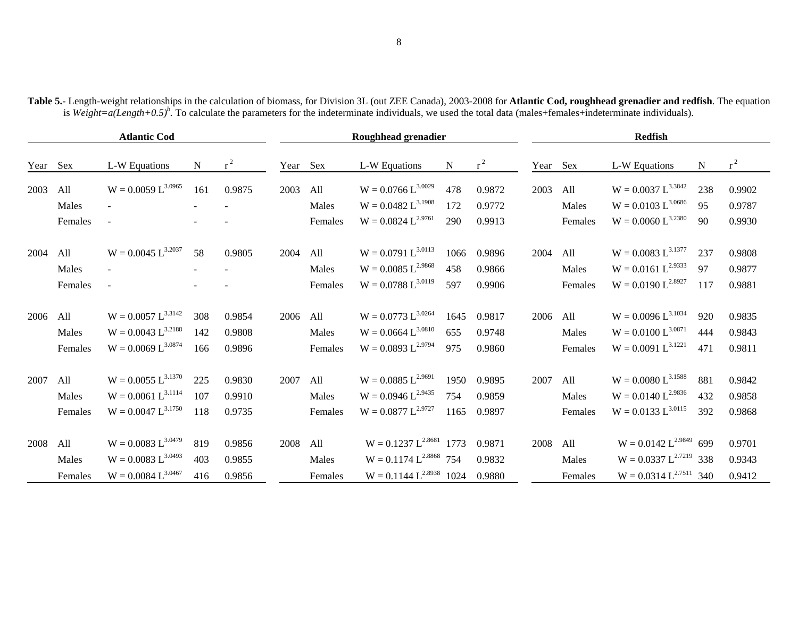|          |         | <b>Atlantic Cod</b>     |        |        |          |         | Roughhead grenadier                 |      |        |          |         | <b>Redfish</b>              |           |        |
|----------|---------|-------------------------|--------|--------|----------|---------|-------------------------------------|------|--------|----------|---------|-----------------------------|-----------|--------|
| Year Sex |         | L-W Equations           | N      | $r^2$  | Year Sex |         | L-W Equations                       | N    | $r^2$  | Year Sex |         | L-W Equations               | ${\bf N}$ | $r^2$  |
| 2003     | All     | $W = 0.0059 L^{3.0965}$ | 161    | 0.9875 | 2003     | All     | $W = 0.0766 L^{3.0029}$             | 478  | 0.9872 | 2003     | All     | $W = 0.0037 L^{3.3842}$     | 238       | 0.9902 |
|          | Males   | $\blacksquare$          | $\sim$ | $\sim$ |          | Males   | $W = 0.0482 L^{3.1908}$             | 172  | 0.9772 |          | Males   | $W = 0.0103 L^{3.0686}$     | 95        | 0.9787 |
|          | Females | $\sim$                  |        |        |          | Females | $W = 0.0824 L^{2.9761}$             | 290  | 0.9913 |          | Females | $W = 0.0060 L^{3.2380}$     | 90        | 0.9930 |
| 2004     | All     | $W = 0.0045 L^{3.2037}$ | 58     | 0.9805 | 2004     | All     | $W = 0.0791 L^{3.0113}$             | 1066 | 0.9896 | 2004     | All     | $W = 0.0083 L^{3.1377}$     | 237       | 0.9808 |
|          | Males   | $\blacksquare$          |        |        |          | Males   | $W = 0.0085 L^{2.9868}$             | 458  | 0.9866 |          | Males   | $W = 0.0161 L^{2.9333}$     | 97        | 0.9877 |
|          | Females | $\sim$                  |        |        |          | Females | $W = 0.0788 L^{3.0119}$             | 597  | 0.9906 |          | Females | $W = 0.0190 L^{2.8927}$     | 117       | 0.9881 |
| 2006     | All     | $W = 0.0057 L^{3.3142}$ | 308    | 0.9854 | 2006     | All     | $W = 0.0773 L^{3.0264}$             | 1645 | 0.9817 | 2006 All |         | $W = 0.0096 L^{3.1034}$     | 920       | 0.9835 |
|          | Males   | $W = 0.0043 L^{3.2188}$ | 142    | 0.9808 |          | Males   | $W = 0.0664 L^{3.0810}$             | 655  | 0.9748 |          | Males   | $W = 0.0100 L^{3.0871}$     | 444       | 0.9843 |
|          | Females | $W = 0.0069 L^{3.0874}$ | 166    | 0.9896 |          | Females | $W = 0.0893 L^{2.9794}$             | 975  | 0.9860 |          | Females | $W = 0.0091 L^{3.1221}$     | 471       | 0.9811 |
| 2007     | All     | $W = 0.0055 L^{3.1370}$ | 225    | 0.9830 | 2007     | All     | $W = 0.0885 L^{2.9691}$             | 1950 | 0.9895 | 2007     | All     | $W = 0.0080 L^{3.1588}$     | 881       | 0.9842 |
|          | Males   | $W = 0.0061 L^{3.1114}$ | 107    | 0.9910 |          | Males   | $W = 0.0946 L^{2.9435}$             | 754  | 0.9859 |          | Males   | $W = 0.0140 L^{2.9836}$     | 432       | 0.9858 |
|          | Females | $W = 0.0047 L^{3.1750}$ | 118    | 0.9735 |          | Females | $W = 0.0877 L^{2.9727}$             | 1165 | 0.9897 |          | Females | $W = 0.0133 L^{3.0115}$     | 392       | 0.9868 |
| 2008     | All     | $W = 0.0083 L^{3.0479}$ | 819    | 0.9856 | 2008     | All     | $W = 0.1237 L^{2.8681}$ 1773        |      | 0.9871 | 2008     | All     | $W = 0.0142 L^{2.9849}$ 699 |           | 0.9701 |
|          | Males   | $W = 0.0083 L^{3.0493}$ | 403    | 0.9855 |          | Males   | $W = 0.1174 L^{2.8868}$ 754         |      | 0.9832 |          | Males   | $W = 0.0337 L^{2.7219}$ 338 |           | 0.9343 |
|          | Females | $W = 0.0084 L^{3.0467}$ | 416    | 0.9856 |          | Females | $W = 0.1144 L^{2.8938}$ 1024 0.9880 |      |        |          | Females | $W = 0.0314 L^{2.7511}$ 340 |           | 0.9412 |

**Table 5.-** Length-weight relationships in the calculation of biomass, for Division 3L (out ZEE Canada), 2003-2008 for **Atlantic Cod, roughhead grenadier and redfish**. The equation is *Weight=a(Length+0.5)<sup>b</sup>*. To calculate the parameters for the indeterminate individuals, we used the total data (males+females+indeterminate individuals).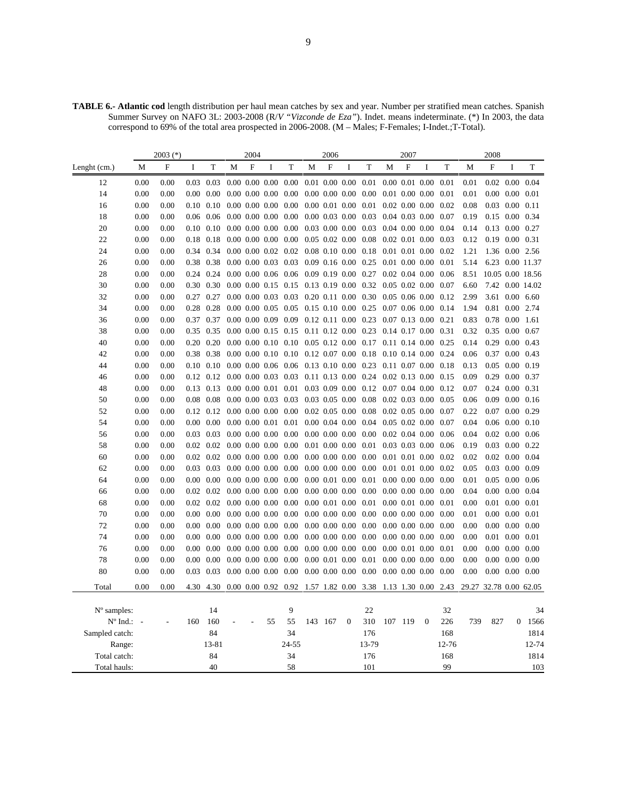**TABLE 6.- Atlantic cod** length distribution per haul mean catches by sex and year. Number per stratified mean catches. Spanish Summer Survey on NAFO 3L: 2003-2008 (R/*V "Vizconde de Eza"*). Indet. means indeterminate. (\*) In 2003, the data correspond to 69% of the total area prospected in 2006-2008. (M – Males; F-Females; I-Indet.;T-Total).

|                   |      | $2003$ $(*)$ |     |                                           |                             | 2004        |                             |                                                                                                                                          |                       | 2006        |                             |                                                         |                  | 2007    |                             |           |                        | 2008                       |                            |                  |
|-------------------|------|--------------|-----|-------------------------------------------|-----------------------------|-------------|-----------------------------|------------------------------------------------------------------------------------------------------------------------------------------|-----------------------|-------------|-----------------------------|---------------------------------------------------------|------------------|---------|-----------------------------|-----------|------------------------|----------------------------|----------------------------|------------------|
| Lenght (cm.)      | М    | ${\bf F}$    | I   | T                                         | M                           | $\mathbf F$ | I                           | T                                                                                                                                        | M                     | $\mathbf F$ | $\bf I$                     | T                                                       | M                | F       | I                           | T         | M                      | $\mathbf F$                | I                          | T                |
| 12                | 0.00 | 0.00         |     | $0.03$ 0.03                               |                             |             |                             | $0.00\ 0.00\ 0.00\ 0.00\ 0.01\ 0.00\ 0.00\ 0.01$                                                                                         |                       |             |                             |                                                         |                  |         | $0.00$ $0.01$ $0.00$ $0.01$ |           | 0.01                   |                            | $0.02$ $0.00$ $0.04$       |                  |
| 14                | 0.00 | 0.00         |     | $0.00 \quad 0.00$                         |                             |             | $0.00\ 0.00\ 0.00\ 0.00$    |                                                                                                                                          |                       |             |                             | $0.00\ 0.00\ 0.00\ 0.00$                                |                  |         | $0.01$ $0.00$ $0.00$ $0.01$ |           | 0.01                   |                            | $0.00\ 0.00\ 0.01$         |                  |
| 16                | 0.00 | 0.00         |     | $0.10 \quad 0.10$                         |                             |             | $0.00\ 0.00\ 0.00\ 0.00$    |                                                                                                                                          |                       |             |                             | $0.00\ 0.01\ 0.00\ 0.01$                                |                  |         | $0.02$ $0.00$ $0.00$ $0.02$ |           | 0.08                   | $0.03$ 0.00 0.11           |                            |                  |
| 18                | 0.00 | 0.00         |     | $0.06$ 0.06                               |                             |             |                             | 0.00 0.00 0.00 0.00 0.00 0.03 0.00 0.03 0.04 0.03 0.00 0.07                                                                              |                       |             |                             |                                                         |                  |         |                             |           | 0.19                   | $0.15$ 0.00 0.34           |                            |                  |
| 20                | 0.00 | 0.00         |     | $0.10 \quad 0.10$                         |                             |             | $0.00$ $0.00$ $0.00$ $0.00$ |                                                                                                                                          |                       |             |                             | $0.03$ 0.00 0.00 0.03 0.04 0.00 0.00                    |                  |         |                             | 0.04      | 0.14                   | $0.13$ $0.00$ $0.27$       |                            |                  |
| 22                | 0.00 | 0.00         |     | 0.18 0.18                                 |                             |             | $0.00\ 0.00\ 0.00\ 0.00$    |                                                                                                                                          |                       |             |                             | 0.05 0.02 0.00 0.08 0.02 0.01 0.00 0.03                 |                  |         |                             |           | 0.12                   | $0.19$ $0.00$ $0.31$       |                            |                  |
| 24                | 0.00 | 0.00         |     | 0.34 0.34                                 |                             |             | $0.00\ 0.00\ 0.02\ 0.02$    |                                                                                                                                          |                       |             |                             | 0.08 0.10 0.00 0.18 0.01 0.01 0.00 0.02                 |                  |         |                             |           | 1.21                   |                            | 1.36 0.00 2.56             |                  |
| 26                | 0.00 | 0.00         |     | 0.38 0.38                                 |                             |             | $0.00\ 0.00\ 0.03\ 0.03$    |                                                                                                                                          | $0.09$ 0.16 0.00 0.25 |             |                             |                                                         | $0.01$ 0.00 0.00 |         |                             | 0.01      | 5.14                   |                            |                            | 6.23 0.00 11.37  |
| 28                | 0.00 | 0.00         |     | 0.24 0.24                                 |                             |             |                             | $0.00\ 0.00\ 0.06\ 0.06\ 0.09\ 0.19\ 0.00\ 0.27\ 0.02\ 0.04\ 0.00$                                                                       |                       |             |                             |                                                         |                  |         |                             | 0.06      | 8.51                   |                            |                            | 10.05 0.00 18.56 |
| 30                | 0.00 | 0.00         |     | 0.30 0.30                                 |                             |             |                             | 0.00 0.00 0.15 0.15 0.13 0.19 0.00 0.32 0.05 0.02 0.00 0.07                                                                              |                       |             |                             |                                                         |                  |         |                             |           | 6.60                   |                            |                            | 7.42 0.00 14.02  |
| 32                | 0.00 | 0.00         |     | 0.27 0.27                                 |                             |             |                             | 0.00 0.00 0.03 0.03 0.20 0.11 0.00 0.30 0.05 0.06 0.00 0.12                                                                              |                       |             |                             |                                                         |                  |         |                             |           | 2.99                   |                            | 3.61 0.00 6.60             |                  |
| 34                | 0.00 | 0.00         |     | 0.28 0.28                                 |                             |             |                             | $0.00\ 0.00\ 0.05\ 0.05\ 0.15\ 0.10\ 0.00\ 0.25\ 0.07\ 0.06\ 0.00$                                                                       |                       |             |                             |                                                         |                  |         |                             | 0.14      | 1.94                   | 0.81 0.00 2.74             |                            |                  |
| 36                | 0.00 | 0.00         |     | 0.37 0.37                                 |                             |             |                             | 0.00 0.00 0.09 0.09 0.12 0.11 0.00 0.23 0.07 0.13 0.00 0.21                                                                              |                       |             |                             |                                                         |                  |         |                             |           | 0.83                   | $0.78$ 0.00 1.61           |                            |                  |
| 38                | 0.00 | 0.00         |     | 0.35 0.35                                 |                             |             |                             | 0.00 0.00 0.15 0.15 0.11 0.12 0.00 0.23 0.14 0.17 0.00 0.31                                                                              |                       |             |                             |                                                         |                  |         |                             |           | 0.32                   | 0.35 0.00 0.67             |                            |                  |
| 40                | 0.00 | 0.00         |     | $0.20 \quad 0.20$                         |                             |             |                             | 0.00 0.00 0.10 0.10 0.05 0.12 0.00 0.17 0.11 0.14 0.00 0.25                                                                              |                       |             |                             |                                                         |                  |         |                             |           | 0.14                   | $0.29$ $0.00$ $0.43$       |                            |                  |
| 42                | 0.00 | 0.00         |     | 0.38 0.38                                 |                             |             |                             | 0.00 0.00 0.10 0.10 0.12 0.07 0.00 0.18 0.10 0.14 0.00 0.24                                                                              |                       |             |                             |                                                         |                  |         |                             |           | 0.06                   | $0.37$ $0.00$ $0.43$       |                            |                  |
| 44                | 0.00 | 0.00         |     | $0.10 \quad 0.10$                         |                             |             |                             | 0.00 0.00 0.06 0.06 0.13 0.10 0.00 0.23 0.11 0.07 0.00 0.18                                                                              |                       |             |                             |                                                         |                  |         |                             |           | 0.13                   | $0.05$ 0.00 0.19           |                            |                  |
| 46                | 0.00 | 0.00         |     |                                           |                             |             |                             | 0.12 0.12 0.00 0.00 0.03 0.03 0.11 0.13 0.00 0.24 0.02 0.13 0.00 0.15                                                                    |                       |             |                             |                                                         |                  |         |                             |           | 0.09                   | 0.29 0.00 0.37             |                            |                  |
| 48                | 0.00 | 0.00         |     | 0.13 0.13                                 |                             |             |                             | $0.00\ 0.00\ 0.01\ 0.01\ 0.03\ 0.09\ 0.00\ 0.12\ 0.07\ 0.04\ 0.00\ 0.12$                                                                 |                       |             |                             |                                                         |                  |         |                             |           | 0.07                   | $0.24$ 0.00 0.31           |                            |                  |
| 50                | 0.00 | 0.00         |     |                                           |                             |             |                             | $0.08\  \  0.08\  \  0.00\  \  0.00\  \  0.03\  \  0.03\  \  0.03\  \  0.05\  \  0.00\  \  0.08\  \  0.02\  \  0.03\  \  0.00\  \  0.05$ |                       |             |                             |                                                         |                  |         |                             |           | 0.06                   | $0.09$ $0.00$ $0.16$       |                            |                  |
| 52                | 0.00 | 0.00         |     |                                           |                             |             |                             | $0.12$ $0.12$ $0.00$ $0.00$ $0.00$ $0.00$ $0.02$ $0.05$ $0.00$ $0.08$ $0.02$ $0.05$ $0.00$ $0.07$                                        |                       |             |                             |                                                         |                  |         |                             |           | 0.22                   | $0.07$ $0.00$ $0.29$       |                            |                  |
| 54                | 0.00 | 0.00         |     | $0.00\ 0.00$                              |                             |             | $0.00$ $0.00$ $0.01$ $0.01$ |                                                                                                                                          |                       |             |                             | $0.00$ $0.04$ $0.00$ $0.04$ $0.05$ $0.02$ $0.00$        |                  |         |                             | 0.07      | 0.04                   | $0.06$ $0.00$ $0.10$       |                            |                  |
| 56                | 0.00 | 0.00         |     | $0.03$ 0.03                               |                             |             | $0.00\ 0.00\ 0.00\ 0.00$    |                                                                                                                                          |                       |             |                             | $0.00$ $0.00$ $0.00$ $0.00$ $0.02$ $0.04$ $0.00$ $0.06$ |                  |         |                             |           | 0.04                   |                            | $0.02$ $0.00$ $0.06$       |                  |
| 58                | 0.00 | 0.00         |     | $0.02$ $0.02$ $0.00$ $0.00$ $0.00$ $0.00$ |                             |             |                             |                                                                                                                                          |                       |             |                             | 0.01 0.00 0.00 0.01 0.03 0.03 0.00 0.06                 |                  |         |                             |           | 0.19                   | $0.03$ $0.00$ $0.22$       |                            |                  |
| 60                | 0.00 | 0.00         |     | $0.02$ $0.02$ $0.00$ $0.00$ $0.00$ $0.00$ |                             |             |                             |                                                                                                                                          |                       |             |                             | $0.00\ 0.00\ 0.00\ 0.00\ 0.01\ 0.01\ 0.00\ 0.02$        |                  |         |                             |           | 0.02                   | $0.02$ $0.00$ $0.04$       |                            |                  |
| 62                | 0.00 | 0.00         |     | $0.03$ 0.03                               |                             |             | $0.00$ $0.00$ $0.00$ $0.00$ |                                                                                                                                          |                       |             |                             | $0.00\ 0.00\ 0.00\ 0.00\ 0.01\ 0.01\ 0.00$              |                  |         |                             | 0.02      | 0.05                   |                            | $0.03$ $0.00$ $0.09$       |                  |
| 64                | 0.00 | 0.00         |     | $0.00 \quad 0.00$                         |                             |             | $0.00$ $0.00$ $0.00$ $0.00$ |                                                                                                                                          |                       |             |                             | $0.00$ $0.01$ $0.00$ $0.01$ $0.00$ $0.00$ $0.00$ $0.00$ |                  |         |                             |           | 0.01                   |                            | $0.05$ 0.00 0.06           |                  |
| 66                | 0.00 | 0.00         |     | $0.02$ $0.02$ $0.00$ $0.00$ $0.00$ $0.00$ |                             |             |                             |                                                                                                                                          |                       |             |                             | $0.00\ 0.00\ 0.00\ 0.00\ 0.00\ 0.00\ 0.00\ 0.00\ 0.00$  |                  |         |                             |           | 0.04                   | $0.00\quad 0.00\quad 0.04$ |                            |                  |
| 68                | 0.00 | 0.00         |     | $0.02 \quad 0.02$                         |                             |             | $0.00\ 0.00\ 0.00\ 0.00$    |                                                                                                                                          |                       |             | $0.00$ $0.01$ $0.00$ $0.01$ |                                                         |                  |         | $0.00\ 0.01\ 0.00$          | 0.01      | 0.00                   |                            | $0.01$ $0.00$ $0.01$       |                  |
| 70                | 0.00 | 0.00         |     | $0.00 \quad 0.00$                         | $0.00$ $0.00$ $0.00$ $0.00$ |             |                             |                                                                                                                                          |                       |             |                             | $0.00\ 0.00\ 0.00\ 0.00\ 0.00\ 0.00\ 0.00\ 0.00\ 0.00$  |                  |         |                             |           | 0.01                   |                            | $0.00$ $0.00$ $0.01$       |                  |
| 72                | 0.00 | 0.00         |     | $0.00\ 0.00$                              |                             |             | $0.00$ $0.00$ $0.00$ $0.00$ |                                                                                                                                          |                       |             |                             | $0.00\ 0.00\ 0.00\ 0.00\ 0.00\ 0.00\ 0.00$              |                  |         |                             | 0.00      | 0.00                   | $0.00\ 0.00\ 0.00$         |                            |                  |
| 74                | 0.00 | 0.00         |     | $0.00\ 0.00$                              |                             |             | $0.00\ 0.00\ 0.00\ 0.00$    |                                                                                                                                          |                       |             |                             | $0.00\ 0.00\ 0.00\ 0.00\ 0.00\ 0.00\ 0.00\ 0.00$        |                  |         |                             | 0.00      | 0.00                   | $0.01$ $0.00$ $0.01$       |                            |                  |
| 76                | 0.00 | 0.00         |     | $0.00 \quad 0.00$                         |                             |             | $0.00$ $0.00$ $0.00$ $0.00$ |                                                                                                                                          |                       |             |                             | $0.00\ 0.00\ 0.00\ 0.00\ 0.00\ 0.01\ 0.00\ 0.01$        |                  |         |                             |           | 0.00                   |                            | $0.00\quad 0.00\quad 0.00$ |                  |
| 78                | 0.00 | 0.00         |     | $0.00\ 0.00$                              |                             |             |                             | $0.00\ 0.00\ 0.00\ 0.00\ 0.00\ 0.00\ 0.01\ 0.00\ 0.01\ 0.00\ 0.00\ 0.00$                                                                 |                       |             |                             |                                                         |                  |         |                             | 0.00      | 0.00                   | $0.00\ 0.00\ 0.00$         |                            |                  |
| 80                | 0.00 | 0.00         |     | $0.03$ 0.03                               |                             |             |                             | $0.00\ 0.00\ 0.00\ 0.00\ 0.00\ 0.00\ 0.00\ 0.00\ 0.00\ 0.00\ 0.00\ 0.00\ 0.00$                                                           |                       |             |                             |                                                         |                  |         |                             |           | 0.00                   | $0.00\quad 0.00\quad 0.00$ |                            |                  |
| Total             | 0.00 | 0.00         |     | 4.30 4.30                                 |                             |             |                             | 0.00 0.00 0.92 0.92 1.57 1.82 0.00 3.38 1.13 1.30 0.00 2.43                                                                              |                       |             |                             |                                                         |                  |         |                             |           | 29.27 32.78 0.00 62.05 |                            |                            |                  |
|                   |      |              |     |                                           |                             |             |                             |                                                                                                                                          |                       |             |                             |                                                         |                  |         |                             |           |                        |                            |                            |                  |
| $No$ samples:     |      |              |     | 14                                        |                             |             |                             | 9                                                                                                                                        |                       |             |                             | 22                                                      |                  |         |                             | 32        |                        |                            |                            | 34               |
| $N^{\circ}$ Ind.: |      |              | 160 | 160                                       |                             |             | 55                          | 55                                                                                                                                       |                       | 143 167     | $\mathbf{0}$                | 310                                                     |                  | 107 119 | $\mathbf{0}$                | 226       | 739                    | 827                        | $\boldsymbol{0}$           | 1566             |
| Sampled catch:    |      |              |     | 84                                        |                             |             |                             | 34                                                                                                                                       |                       |             |                             | 176                                                     |                  |         |                             | 168       |                        |                            |                            | 1814             |
| Range:            |      |              |     | 13-81                                     |                             |             |                             | 24-55                                                                                                                                    |                       |             |                             | 13-79                                                   |                  |         |                             | 12-76     |                        |                            |                            | 12-74            |
| Total catch:      |      |              |     | 84<br>40                                  |                             |             |                             | 34<br>58                                                                                                                                 |                       |             |                             | 176<br>101                                              |                  |         |                             | 168<br>99 |                        |                            |                            | 1814             |
| Total hauls:      |      |              |     |                                           |                             |             |                             |                                                                                                                                          |                       |             |                             |                                                         |                  |         |                             |           |                        |                            |                            | 103              |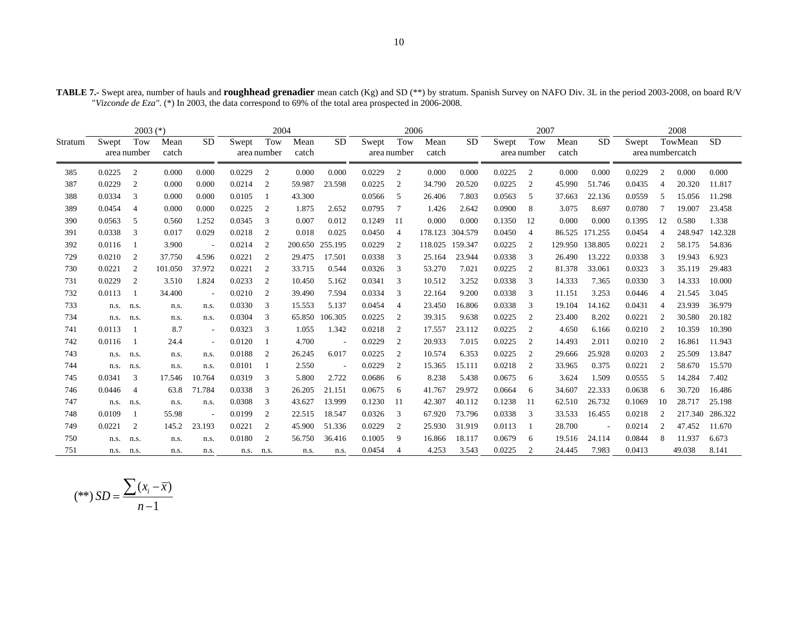|         | $2003$ $(*)$ |                |         |                          |        | 2004        |         |                          |        | 2006           |         |           |        | 2007           |         |           |        |                | 2008             |           |
|---------|--------------|----------------|---------|--------------------------|--------|-------------|---------|--------------------------|--------|----------------|---------|-----------|--------|----------------|---------|-----------|--------|----------------|------------------|-----------|
| Stratum | Swept        | Tow            | Mean    | <b>SD</b>                | Swept  | Tow         | Mean    | <b>SD</b>                | Swept  | Tow            | Mean    | <b>SD</b> | Swept  | Tow            | Mean    | <b>SD</b> | Swept  |                | TowMean          | <b>SD</b> |
|         |              | area number    | catch   |                          |        | area number | catch   |                          |        | area number    | catch   |           |        | area number    | catch   |           |        |                | area numbercatch |           |
| 385     | 0.0225       | 2              | 0.000   | 0.000                    | 0.0229 | 2           | 0.000   | 0.000                    | 0.0229 | 2              | 0.000   | 0.000     | 0.0225 | 2              | 0.000   | 0.000     | 0.0229 | $\overline{2}$ | 0.000            | 0.000     |
| 387     | 0.0229       | $\overline{2}$ | 0.000   | 0.000                    | 0.0214 | 2           | 59.987  | 23.598                   | 0.0225 | $\overline{2}$ | 34.790  | 20.520    | 0.0225 | 2              | 45.990  | 51.746    | 0.0435 | $\overline{4}$ | 20.320           | 11.817    |
| 388     | 0.0334       | 3              | 0.000   | 0.000                    | 0.0105 |             | 43.300  |                          | 0.0566 | 5              | 26.406  | 7.803     | 0.0563 | 5              | 37.663  | 22.136    | 0.0559 | -5             | 15.056           | 11.298    |
| 389     | 0.0454       | $\overline{4}$ | 0.000   | 0.000                    | 0.0225 | 2           | 1.875   | 2.652                    | 0.0795 | 7              | 1.426   | 2.642     | 0.0900 | 8              | 3.075   | 8.697     | 0.0780 | -7             | 19.007           | 23.458    |
| 390     | 0.0563       | -5             | 0.560   | 1.252                    | 0.0345 | 3           | 0.007   | 0.012                    | 0.1249 | 11             | 0.000   | 0.000     | 0.1350 | 12             | 0.000   | 0.000     | 0.1395 | 12             | 0.580            | 1.338     |
| 391     | 0.0338       | 3              | 0.017   | 0.029                    | 0.0218 | 2           | 0.018   | 0.025                    | 0.0450 | $\overline{4}$ | 178.123 | 304.579   | 0.0450 | $\overline{4}$ | 86.525  | 171.255   | 0.0454 | 4              | 248.947          | 142.328   |
| 392     | 0.0116       |                | 3.900   |                          | 0.0214 | 2           | 200.650 | 255.195                  | 0.0229 | 2              | 118.025 | 159.347   | 0.0225 | 2              | 129.950 | 138.805   | 0.0221 | 2              | 58.175           | 54.836    |
| 729     | 0.0210       | 2              | 37.750  | 4.596                    | 0.0221 | 2           | 29.475  | 17.501                   | 0.0338 | 3              | 25.164  | 23.944    | 0.0338 | 3              | 26.490  | 13.222    | 0.0338 | 3              | 19.943           | 6.923     |
| 730     | 0.0221       | $\overline{2}$ | 101.050 | 37.972                   | 0.0221 | 2           | 33.715  | 0.544                    | 0.0326 | 3              | 53.270  | 7.021     | 0.0225 | 2              | 81.378  | 33.061    | 0.0323 | 3              | 35.119           | 29.483    |
| 731     | 0.0229       | $\overline{2}$ | 3.510   | 1.824                    | 0.0233 | 2           | 10.450  | 5.162                    | 0.0341 | 3              | 10.512  | 3.252     | 0.0338 | 3              | 14.333  | 7.365     | 0.0330 | 3              | 14.333           | 10.000    |
| 732     | 0.0113       |                | 34.400  | $\overline{\phantom{a}}$ | 0.0210 | 2           | 39.490  | 7.594                    | 0.0334 | 3              | 22.164  | 9.200     | 0.0338 | 3              | 11.151  | 3.253     | 0.0446 | $\overline{4}$ | 21.545           | 3.045     |
| 733     | n.s. n.s.    |                | n.s.    | n.s.                     | 0.0330 | 3           | 15.553  | 5.137                    | 0.0454 | $\overline{4}$ | 23.450  | 16.806    | 0.0338 | 3              | 19.104  | 14.162    | 0.0431 | $\overline{4}$ | 23.939           | 36.979    |
| 734     | n.s.         | n.s.           | n.s.    | n.s.                     | 0.0304 | 3           |         | 65.850 106.305           | 0.0225 | 2              | 39.315  | 9.638     | 0.0225 | 2              | 23.400  | 8.202     | 0.0221 | $\overline{2}$ | 30.580           | 20.182    |
| 741     | 0.0113       |                | 8.7     | $\overline{\phantom{a}}$ | 0.0323 | 3           | 1.055   | 1.342                    | 0.0218 | $\overline{c}$ | 17.557  | 23.112    | 0.0225 | 2              | 4.650   | 6.166     | 0.0210 | $\overline{2}$ | 10.359           | 10.390    |
| 742     | 0.0116       |                | 24.4    | $\sim$                   | 0.0120 |             | 4.700   | $\overline{\phantom{a}}$ | 0.0229 | 2              | 20.933  | 7.015     | 0.0225 | 2              | 14.493  | 2.011     | 0.0210 | 2              | 16.861           | 11.943    |
| 743     | n.s.         | n.s.           | n.s.    | n.s.                     | 0.0188 | 2           | 26.245  | 6.017                    | 0.0225 | 2              | 10.574  | 6.353     | 0.0225 | 2              | 29.666  | 25.928    | 0.0203 | $\overline{2}$ | 25.509           | 13.847    |
| 744     | n.s.         | n.s.           | n.s.    | n.s.                     | 0.0101 |             | 2.550   | $\overline{\phantom{a}}$ | 0.0229 | 2              | 15.365  | 15.111    | 0.0218 | 2              | 33.965  | 0.375     | 0.0221 | $\overline{2}$ | 58.670           | 15.570    |
| 745     | 0.0341       | 3              | 17.546  | 10.764                   | 0.0319 | 3           | 5.800   | 2.722                    | 0.0686 | 6              | 8.238   | 5.438     | 0.0675 | 6              | 3.624   | 1.509     | 0.0555 | -5             | 14.284           | 7.402     |
| 746     | 0.0446       | $\overline{4}$ | 63.8    | 71.784                   | 0.0338 | 3           | 26.205  | 21.151                   | 0.0675 | 6              | 41.767  | 29.972    | 0.0664 | 6              | 34.607  | 22.333    | 0.0638 | 6              | 30.720           | 16.486    |
| 747     | n.s.         | n.s.           | n.s.    | n.s.                     | 0.0308 | 3           | 43.627  | 13.999                   | 0.1230 | 11             | 42.307  | 40.112    | 0.1238 | -11            | 62.510  | 26.732    | 0.1069 | 10             | 28.717           | 25.198    |
| 748     | 0.0109       |                | 55.98   |                          | 0.0199 | 2           | 22.515  | 18.547                   | 0.0326 | 3              | 67.920  | 73.796    | 0.0338 | 3              | 33.533  | 16.455    | 0.0218 | $\overline{2}$ | 217.340          | 286.322   |
| 749     | 0.0221       | 2              | 145.2   | 23.193                   | 0.0221 | 2           | 45.900  | 51.336                   | 0.0229 | 2              | 25.930  | 31.919    | 0.0113 |                | 28.700  |           | 0.0214 | 2              | 47.452           | 11.670    |
| 750     | n.s.         | n.s.           | n.s.    | n.s.                     | 0.0180 | 2           | 56.750  | 36.416                   | 0.1005 | 9              | 16.866  | 18.117    | 0.0679 | 6              | 19.516  | 24.114    | 0.0844 | 8              | 11.937           | 6.673     |
| 751     | n.s.         | n.s.           | n.s.    | n.s.                     | n.s.   | n.s.        | n.s.    | n.s.                     | 0.0454 | Δ              | 4.253   | 3.543     | 0.0225 | 2              | 24.445  | 7.983     | 0.0413 |                | 49.038           | 8.141     |

**TABLE 7.-** Swept area, number of hauls and **roughhead grenadier** mean catch (Kg) and SD (\*\*) by stratum. Spanish Survey on NAFO Div. 3L in the period 2003-2008, on board R/V "*Vizconde de Eza"*. (\*) In 2003, the data correspond to 69% of the total area prospected in 2006-2008.

$$
(**) SD = \frac{\sum (x_i - \overline{x})}{n - 1}
$$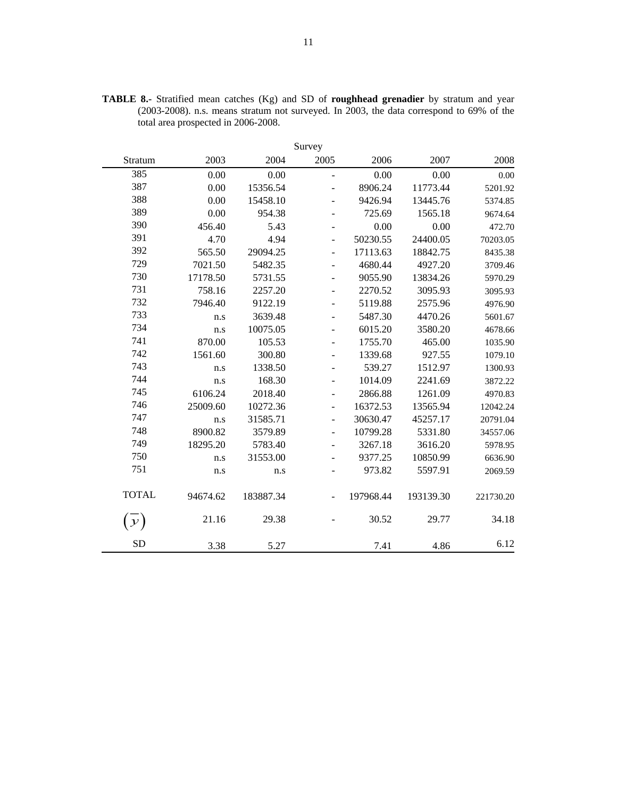|                | Survey   |           |                          |           |           |           |  |  |  |  |  |  |  |  |
|----------------|----------|-----------|--------------------------|-----------|-----------|-----------|--|--|--|--|--|--|--|--|
| Stratum        | 2003     | 2004      | 2005                     | 2006      | 2007      | 2008      |  |  |  |  |  |  |  |  |
| 385            | 0.00     | 0.00      | $\overline{a}$           | 0.00      | 0.00      | 0.00      |  |  |  |  |  |  |  |  |
| 387            | 0.00     | 15356.54  |                          | 8906.24   | 11773.44  | 5201.92   |  |  |  |  |  |  |  |  |
| 388            | 0.00     | 15458.10  |                          | 9426.94   | 13445.76  | 5374.85   |  |  |  |  |  |  |  |  |
| 389            | 0.00     | 954.38    |                          | 725.69    | 1565.18   | 9674.64   |  |  |  |  |  |  |  |  |
| 390            | 456.40   | 5.43      | $\overline{\phantom{0}}$ | 0.00      | 0.00      | 472.70    |  |  |  |  |  |  |  |  |
| 391            | 4.70     | 4.94      | $\overline{\phantom{a}}$ | 50230.55  | 24400.05  | 70203.05  |  |  |  |  |  |  |  |  |
| 392            | 565.50   | 29094.25  | $\overline{\phantom{0}}$ | 17113.63  | 18842.75  | 8435.38   |  |  |  |  |  |  |  |  |
| 729            | 7021.50  | 5482.35   | ÷                        | 4680.44   | 4927.20   | 3709.46   |  |  |  |  |  |  |  |  |
| 730            | 17178.50 | 5731.55   |                          | 9055.90   | 13834.26  | 5970.29   |  |  |  |  |  |  |  |  |
| 731            | 758.16   | 2257.20   |                          | 2270.52   | 3095.93   | 3095.93   |  |  |  |  |  |  |  |  |
| 732            | 7946.40  | 9122.19   |                          | 5119.88   | 2575.96   | 4976.90   |  |  |  |  |  |  |  |  |
| 733            | n.s      | 3639.48   |                          | 5487.30   | 4470.26   | 5601.67   |  |  |  |  |  |  |  |  |
| 734            | n.s      | 10075.05  |                          | 6015.20   | 3580.20   | 4678.66   |  |  |  |  |  |  |  |  |
| 741            | 870.00   | 105.53    |                          | 1755.70   | 465.00    | 1035.90   |  |  |  |  |  |  |  |  |
| 742            | 1561.60  | 300.80    |                          | 1339.68   | 927.55    | 1079.10   |  |  |  |  |  |  |  |  |
| 743            | n.s      | 1338.50   |                          | 539.27    | 1512.97   | 1300.93   |  |  |  |  |  |  |  |  |
| 744            | n.s      | 168.30    | $\overline{\phantom{0}}$ | 1014.09   | 2241.69   | 3872.22   |  |  |  |  |  |  |  |  |
| 745            | 6106.24  | 2018.40   | $\overline{\phantom{0}}$ | 2866.88   | 1261.09   | 4970.83   |  |  |  |  |  |  |  |  |
| 746            | 25009.60 | 10272.36  | $\overline{\phantom{a}}$ | 16372.53  | 13565.94  | 12042.24  |  |  |  |  |  |  |  |  |
| 747            | n.s      | 31585.71  | $\overline{\phantom{0}}$ | 30630.47  | 45257.17  | 20791.04  |  |  |  |  |  |  |  |  |
| 748            | 8900.82  | 3579.89   | $\overline{\phantom{m}}$ | 10799.28  | 5331.80   | 34557.06  |  |  |  |  |  |  |  |  |
| 749            | 18295.20 | 5783.40   | $\overline{\phantom{a}}$ | 3267.18   | 3616.20   | 5978.95   |  |  |  |  |  |  |  |  |
| 750            | n.s      | 31553.00  |                          | 9377.25   | 10850.99  | 6636.90   |  |  |  |  |  |  |  |  |
| 751            | n.s      | n.s       |                          | 973.82    | 5597.91   | 2069.59   |  |  |  |  |  |  |  |  |
| <b>TOTAL</b>   | 94674.62 | 183887.34 |                          | 197968.44 | 193139.30 | 221730.20 |  |  |  |  |  |  |  |  |
| ${\mathcal Y}$ | 21.16    | 29.38     |                          | 30.52     | 29.77     | 34.18     |  |  |  |  |  |  |  |  |
| <b>SD</b>      | 3.38     | 5.27      |                          | 7.41      | 4.86      | 6.12      |  |  |  |  |  |  |  |  |

**TABLE 8.-** Stratified mean catches (Kg) and SD of **roughhead grenadier** by stratum and year (2003-2008). n.s. means stratum not surveyed. In 2003, the data correspond to 69% of the total area prospected in 2006-2008.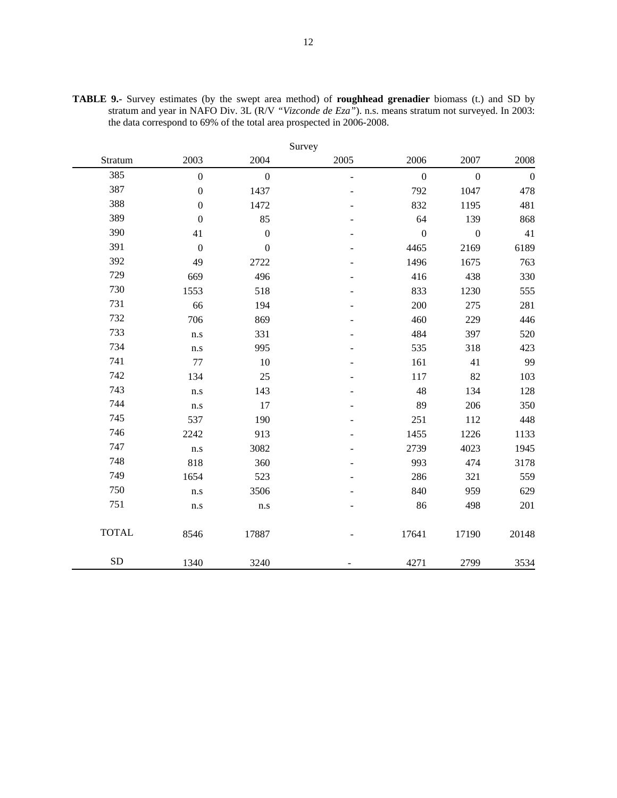|              |                  |                  | Survey         |                  |                  |                  |
|--------------|------------------|------------------|----------------|------------------|------------------|------------------|
| Stratum      | 2003             | 2004             | 2005           | 2006             | 2007             | 2008             |
| 385          | $\overline{0}$   | $\overline{0}$   | $\blacksquare$ | $\mathbf{0}$     | $\mathbf{0}$     | $\boldsymbol{0}$ |
| 387          | $\boldsymbol{0}$ | 1437             |                | 792              | 1047             | 478              |
| 388          | $\boldsymbol{0}$ | 1472             |                | 832              | 1195             | 481              |
| 389          | $\boldsymbol{0}$ | 85               |                | 64               | 139              | 868              |
| 390          | 41               | $\boldsymbol{0}$ |                | $\boldsymbol{0}$ | $\boldsymbol{0}$ | 41               |
| 391          | $\boldsymbol{0}$ | $\boldsymbol{0}$ |                | 4465             | 2169             | 6189             |
| 392          | 49               | 2722             |                | 1496             | 1675             | 763              |
| 729          | 669              | 496              |                | 416              | 438              | 330              |
| 730          | 1553             | 518              |                | 833              | 1230             | 555              |
| 731          | 66               | 194              |                | 200              | 275              | 281              |
| 732          | 706              | 869              |                | 460              | 229              | 446              |
| 733          | n.s              | 331              |                | 484              | 397              | 520              |
| 734          | n.s              | 995              |                | 535              | 318              | 423              |
| 741          | 77               | 10               |                | 161              | 41               | 99               |
| 742          | 134              | 25               |                | 117              | 82               | 103              |
| 743          | n.s              | 143              |                | 48               | 134              | 128              |
| 744          | n.s              | 17               |                | 89               | 206              | 350              |
| 745          | 537              | 190              |                | 251              | 112              | 448              |
| 746          | 2242             | 913              |                | 1455             | 1226             | 1133             |
| 747          | n.s              | 3082             |                | 2739             | 4023             | 1945             |
| 748          | 818              | 360              |                | 993              | 474              | 3178             |
| 749          | 1654             | 523              |                | 286              | 321              | 559              |
| 750          | n.s              | 3506             |                | 840              | 959              | 629              |
| 751          | n.s              | n.s              |                | 86               | 498              | 201              |
| <b>TOTAL</b> | 8546             | 17887            |                | 17641            | 17190            | 20148            |
| <b>SD</b>    | 1340             | 3240             |                | 4271             | 2799             | 3534             |

**TABLE 9.-** Survey estimates (by the swept area method) of **roughhead grenadier** biomass (t.) and SD by stratum and year in NAFO Div. 3L (R/V *"Vizconde de Eza"*). n.s. means stratum not surveyed. In 2003: the data correspond to 69% of the total area prospected in 2006-2008.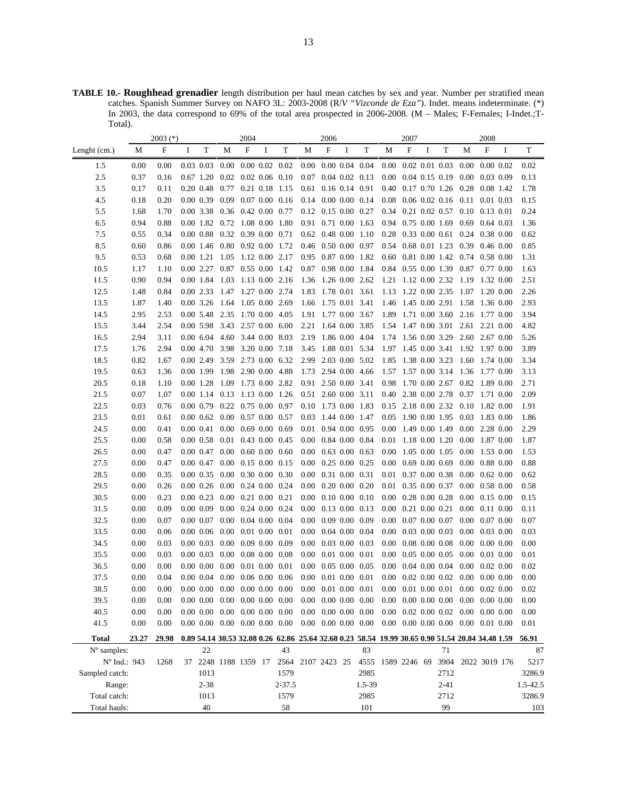**TABLE 10.- Roughhead grenadier** length distribution per haul mean catches by sex and year. Number per stratified mean catches. Spanish Summer Survey on NAFO 3L: 2003-2008 (R/*V "Vizconde de Eza"*). Indet. means indeterminate. (\*) In 2003, the data correspond to 69% of the total area prospected in 2006-2008. (M – Males; F-Females; I-Indet.;T-Total).

|                      |          | $2003$ (*) |                                                          |            |                                         | 2004                 |   |                      |          | 2006                                    |   |                                                                                                  |          | 2007                                    |   |                             |                                                                          | 2008          |   |          |
|----------------------|----------|------------|----------------------------------------------------------|------------|-----------------------------------------|----------------------|---|----------------------|----------|-----------------------------------------|---|--------------------------------------------------------------------------------------------------|----------|-----------------------------------------|---|-----------------------------|--------------------------------------------------------------------------|---------------|---|----------|
| Lenght (cm.)         | М        | F          | I                                                        | T          | М                                       | F                    | Ι | T                    | М        | F                                       | I | T                                                                                                | М        | F                                       | Ι | T                           | М                                                                        | F             | I | T        |
| 1.5                  | 0.00     | 0.00       | $0.03$ 0.03                                              |            | $0.00\,$                                |                      |   | $0.00\ 0.02\ 0.02$   |          | $0.00$ $0.00$ $0.04$ $0.04$             |   |                                                                                                  | $0.00\,$ | $0.02$ 0.01 0.03                        |   |                             | $0.00 \quad 0.00 \quad 0.02$                                             |               |   | 0.02     |
| 2.5                  | 0.37     | 0.16       | $0.67$ 1.20                                              |            | $0.02$ $0.02$ $0.06$ $0.10$             |                      |   |                      |          | $0.07$ 0.04 0.02 0.13                   |   |                                                                                                  |          | $0.00 \quad 0.04 \quad 0.15 \quad 0.19$ |   |                             | $0.00\,$                                                                 | $0.03$ 0.09   |   | 0.13     |
| 3.5                  | 0.17     | 0.11       | $0.20$ 0.48                                              |            | $0.77$ $0.21$ $0.18$ $1.15$             |                      |   |                      |          | $0.61$ 0.16 0.14 0.91                   |   |                                                                                                  |          | 0.40 0.17 0.70 1.26                     |   |                             | 0.28                                                                     | 0.08 1.42     |   | 1.78     |
| 4.5                  | 0.18     | 0.20       | $0.00$ 0.39                                              |            | $0.09$ 0.07 0.00 0.16                   |                      |   |                      |          |                                         |   | $0.14$ 0.00 0.00 0.14                                                                            | 0.08     |                                         |   | $0.06$ $0.02$ $0.16$ $0.11$ |                                                                          | $0.01$ 0.03   |   | 0.15     |
| 5.5                  | 1.68     | 1.70       | 0.00 3.38                                                |            | 0.36                                    | $0.42$ $0.00$ $0.77$ |   |                      |          | 0.12 0.15 0.00 0.27                     |   |                                                                                                  | 0.34     |                                         |   | 0.21 0.02 0.57              | 0.10                                                                     | 0.13 0.01     |   | 0.24     |
| 6.5                  | 0.94     | 0.88       | 0.00 1.82                                                |            | $0.72$ 1.08 0.00 1.80                   |                      |   |                      |          | 0.91 0.71 0.00 1.63                     |   |                                                                                                  | 0.94     | 0.75 0.00 1.69                          |   |                             | 0.69                                                                     | $0.64$ 0.03   |   | 1.36     |
| 7.5                  | 0.55     | 0.34       | $0.00\;0.88$                                             |            | 0.32 0.39 0.00 0.71                     |                      |   |                      |          |                                         |   | 0.62 0.48 0.00 1.10                                                                              | 0.28     |                                         |   | $0.33$ 0.00 0.61            | 0.24                                                                     | 0.38 0.00     |   | 0.62     |
| 8.5                  | 0.60     | 0.86       | 0.00 1.46                                                |            | 0.80 0.92 0.00 1.72                     |                      |   |                      |          | 0.46 0.50 0.00 0.97                     |   |                                                                                                  | 0.54     |                                         |   | $0.68$ 0.01 1.23            | 0.39                                                                     | $0.46$ 0.00   |   | 0.85     |
| 9.5                  | 0.53     | 0.68       | 0.00 1.21                                                |            | 1.05                                    | 1.12 0.00 2.17       |   |                      |          | 0.95 0.87 0.00 1.82                     |   |                                                                                                  |          | 0.60 0.81 0.00 1.42                     |   |                             | 0.74                                                                     | 0.58 0.00     |   | 1.31     |
| 10.5                 | 1.17     | 1.10       | 0.002.27                                                 |            | 0.87                                    |                      |   | $0.55$ $0.00$ $1.42$ | 0.87     |                                         |   | 0.98 0.00 1.84                                                                                   |          | 0.84 0.55 0.00 1.39                     |   |                             | 0.87                                                                     | $0.77$ 0.00   |   | 1.63     |
| 11.5                 | 0.90     | 0.94       | 0.00 1.84                                                |            | 1.03 1.13 0.00 2.16                     |                      |   |                      |          |                                         |   | 1.36 1.26 0.00 2.62                                                                              |          | 1.21 1.12 0.00 2.32                     |   |                             | 1.19                                                                     | 1.32 0.00     |   | 2.51     |
| 12.5                 | 1.48     | 0.84       | 0.002.33                                                 |            | 1.47 1.27 0.00 2.74                     |                      |   |                      |          | 1.83 1.78 0.01 3.61                     |   |                                                                                                  |          | 1.13 1.22 0.00 2.35                     |   |                             | 1.07                                                                     | 1.20 0.00     |   | 2.26     |
| 13.5                 | 1.87     | 1.40       | $0.00$ 3.26                                              |            | 1.64                                    | 1.05 0.00 2.69       |   |                      |          | 1.66 1.75 0.01 3.41                     |   |                                                                                                  |          | 1.46 1.45 0.00 2.91                     |   |                             | 1.58                                                                     | 1.36 0.00     |   | 2.93     |
| 14.5                 | 2.95     | 2.53       | 0.00 5.48                                                |            | 2.35 1.70 0.00 4.05                     |                      |   |                      | 1.91     | 1.77 0.00 3.67                          |   |                                                                                                  | 1.89     | 1.71 0.00 3.60                          |   |                             | 2.16                                                                     | 1.77 0.00     |   | 3.94     |
| 15.5                 | 3.44     | 2.54       | 0.00 5.98                                                |            | 3.43 2.57 0.00 6.00                     |                      |   |                      | 2.21     |                                         |   | 1.64 0.00 3.85                                                                                   | 1.54     | 1.47 0.00 3.01                          |   |                             | 2.61                                                                     | 2.21 0.00     |   | 4.82     |
| 16.5                 | 2.94     | 3.11       | $0.00\,6.04$                                             |            | 4.60                                    | 3.44 0.00 8.03       |   |                      |          | 2.19 1.86 0.00 4.04                     |   |                                                                                                  |          | 1.74 1.56 0.00 3.29                     |   |                             | 2.60 2.67 0.00                                                           |               |   | 5.26     |
| 17.5                 | 1.76     | 2.94       | 0.00 4.70                                                |            | 3.98                                    | 3.20 0.00 7.18       |   |                      | 3.45     |                                         |   | 1.88 0.01 5.34                                                                                   |          |                                         |   |                             | 1.97 1.45 0.00 3.41 1.92 1.97 0.00                                       |               |   | 3.89     |
| 18.5                 | 0.82     | 1.67       | 0.00 2.49                                                |            | 3.59 2.73 0.00 6.32                     |                      |   |                      |          | 2.99 2.03 0.00 5.02                     |   |                                                                                                  |          | 1.85 1.38 0.00 3.23                     |   |                             | 1.60 1.74 0.00                                                           |               |   | 3.34     |
| 19.5                 | 0.63     | 1.36       | 0.00 1.99                                                |            | 1.98 2.90 0.00 4.88                     |                      |   |                      | 1.73     |                                         |   | 2.94 0.00 4.66                                                                                   |          | 1.57 1.57 0.00 3.14                     |   |                             | 1.36 1.77 0.00                                                           |               |   | 3.13     |
| 20.5                 | 0.18     | 1.10       | $0.00$ 1.28                                              |            | 1.09                                    | 1.73 0.00 2.82       |   |                      |          | 0.91 2.50 0.00 3.41                     |   |                                                                                                  | 0.98     | 1.70 0.00 2.67                          |   |                             | 0.82 1.89 0.00                                                           |               |   | 2.71     |
| 21.5                 | 0.07     | 1.07       | 0.00 1.14 0.13 1.13 0.00 1.26                            |            |                                         |                      |   |                      |          | 0.51 2.60 0.00 3.11                     |   |                                                                                                  |          | 0.40 2.38 0.00 2.78                     |   |                             | 0.37 1.71 0.00                                                           |               |   | 2.09     |
| 22.5                 | 0.03     | 0.76       | 0.00 0.79                                                |            | $0.22$ 0.75 0.00 0.97                   |                      |   |                      |          | 0.10 1.73 0.00 1.83                     |   |                                                                                                  |          | 0.15 2.18 0.00 2.32                     |   |                             | $0.10 \quad 1.82 \quad 0.00$                                             |               |   | 1.91     |
| 23.5                 | 0.01     | 0.61       | $0.00\;0.62$                                             |            | $0.00 \quad 0.57 \quad 0.00 \quad 0.57$ |                      |   |                      | 0.03     |                                         |   | 1.44 0.00 1.47                                                                                   | 0.05     | 1.90 0.00 1.95                          |   |                             | 0.03                                                                     | 1.83 0.00     |   | 1.86     |
| 24.5                 | 0.00     | 0.41       | 0.00 0.41                                                |            | $0.00\,$                                |                      |   | $0.69$ $0.00$ $0.69$ | 0.01     |                                         |   | 0.94 0.00 0.95                                                                                   | 0.00     | 1.49 0.00 1.49                          |   |                             | $0.00\,$                                                                 | 2.28 0.00     |   | 2.29     |
| 25.5                 | 0.00     | 0.58       | $0.00\;0.58$                                             |            | $0.01$ 0.43 0.00 0.45                   |                      |   |                      |          | $0.00 \quad 0.84 \quad 0.00 \quad 0.84$ |   |                                                                                                  |          | 0.01 1.18 0.00 1.20                     |   |                             | $0.00\,$                                                                 | 1.87 0.00     |   | 1.87     |
| 26.5                 | 0.00     | 0.47       | 0.00 0.47                                                |            | $0.00\,$                                |                      |   | $0.60$ $0.00$ $0.60$ | $0.00\,$ |                                         |   | $0.63$ $0.00$ $0.63$                                                                             | 0.00     | 1.05 0.00 1.05                          |   |                             | 0.00                                                                     | 1.53 0.00     |   | 1.53     |
| 27.5                 | 0.00     | 0.47       | 0.00 0.47                                                |            | $0.00 \quad 0.15 \quad 0.00 \quad 0.15$ |                      |   |                      | $0.00\,$ |                                         |   | $0.25$ $0.00$ $0.25$                                                                             |          | $0.00 \quad 0.69 \quad 0.00 \quad 0.69$ |   |                             | $0.00\,$                                                                 | 0.88 0.00     |   | 0.88     |
| 28.5                 | 0.00     | 0.35       | $0.00\;0.35$                                             |            | $0.00 \quad 0.30 \quad 0.00 \quad 0.30$ |                      |   |                      |          | $0.00 \quad 0.31 \quad 0.00 \quad 0.31$ |   |                                                                                                  | 0.01     | 0.37 0.00 0.38                          |   |                             | 0.00                                                                     | $0.62$ 0.00   |   | 0.62     |
| 29.5                 | 0.00     | 0.26       | $0.00\;0.26$                                             |            | $0.00 \quad 0.24 \quad 0.00 \quad 0.24$ |                      |   |                      |          | $0.00 \quad 0.20 \quad 0.00 \quad 0.20$ |   |                                                                                                  | 0.01     | 0.35 0.00 0.37                          |   |                             | $0.00 \quad 0.58 \quad 0.00$                                             |               |   | 0.58     |
| 30.5                 | 0.00     | 0.23       | $0.00\;0.23$                                             |            | $0.00\,$                                | $0.21$ $0.00$ $0.21$ |   |                      |          | $0.00 \quad 0.10 \quad 0.00 \quad 0.10$ |   |                                                                                                  |          | $0.00$ $0.28$ $0.00$ $0.28$             |   |                             | $0.00 \quad 0.15 \quad 0.00$                                             |               |   | 0.15     |
| 31.5                 | 0.00     | 0.09       | $0.00\ 0.09$                                             |            | $0.00 \quad 0.24 \quad 0.00 \quad 0.24$ |                      |   |                      | $0.00\,$ |                                         |   | $0.13$ $0.00$ $0.13$                                                                             | $0.00\,$ | $0.21$ $0.00$ $0.21$                    |   |                             | $0.00\,$                                                                 | $0.11$ $0.00$ |   | 0.11     |
| 32.5                 | 0.00     | 0.07       | $0.00\ 0.07$                                             |            | $0.00\,$                                |                      |   | $0.04$ 0.00 0.04     | $0.00\,$ |                                         |   | $0.09$ $0.00$ $0.09$                                                                             | $0.00\,$ | $0.07$ $0.00$ $0.07$                    |   |                             | 0.00                                                                     | $0.07$ 0.00   |   | 0.07     |
| 33.5                 | 0.00     | 0.06       | $0.00\ 0.06$                                             |            | 0.00                                    | $0.01$ $0.00$ $0.01$ |   |                      | $0.00\,$ |                                         |   | $0.04$ $0.00$ $0.04$                                                                             | 0.00     |                                         |   | $0.03$ 0.00 0.03            | 0.00                                                                     | $0.03$ 0.00   |   | 0.03     |
| 34.5                 | 0.00     | 0.03       | $0.00\ 0.03$                                             |            | 0.00                                    |                      |   | $0.09$ $0.00$ $0.09$ | $0.00\,$ |                                         |   | $0.03$ $0.00$ $0.03$                                                                             | 0.00     | $0.08$ 0.00 0.08                        |   |                             | 0.00                                                                     | $0.00\ 0.00$  |   | 0.00     |
| 35.5                 | 0.00     | 0.03       | $0.00\ 0.03$                                             |            | 0.00                                    | $0.08$ 0.00 0.08     |   |                      | $0.00\,$ |                                         |   | $0.01$ $0.00$ $0.01$                                                                             | 0.00     | $0.05$ 0.00 0.05                        |   |                             | 0.00                                                                     | 0.01 0.00     |   | 0.01     |
| 36.5                 | 0.00     | 0.00       | $0.00\ 0.00$                                             |            | $0.00 \quad 0.01 \quad 0.00 \quad 0.01$ |                      |   |                      |          | $0.00 \quad 0.05 \quad 0.00 \quad 0.05$ |   |                                                                                                  |          | $0.00 \quad 0.04 \quad 0.00 \quad 0.04$ |   |                             | $0.00\,$                                                                 | $0.02$ 0.00   |   | 0.02     |
| 37.5                 | 0.00     | 0.04       | $0.00\ 0.04\ 0.00\ 0.06\ 0.00\ 0.06$                     |            |                                         |                      |   |                      |          | $0.00 \quad 0.01 \quad 0.00 \quad 0.01$ |   |                                                                                                  |          |                                         |   |                             | $0.00 \quad 0.02 \quad 0.00 \quad 0.02 \quad 0.00 \quad 0.00 \quad 0.00$ |               |   | 0.00     |
| 38.5                 | $0.00\,$ | $0.00\,$   | $0.00\ 0.00\ 0.00\ 0.00\ 0.00\ 0.00$                     |            |                                         |                      |   |                      |          |                                         |   | $0.00 \quad 0.01 \quad 0.00 \quad 0.01$                                                          |          |                                         |   |                             | $0.00 \quad 0.01 \quad 0.00 \quad 0.01 \quad 0.00 \quad 0.02 \quad 0.00$ |               |   | 0.02     |
| 39.5                 | 0.00     | 0.00       | $0.00\ 0.00\ 0.00\ 0.00\ 0.00\ 0.00$                     |            |                                         |                      |   |                      |          |                                         |   | $0.00 \quad 0.00 \quad 0.00 \quad 0.00$                                                          |          |                                         |   |                             | $0.00 \quad 0.00 \quad 0.00 \quad 0.00 \quad 0.00 \quad 0.00 \quad 0.00$ |               |   | 0.00     |
| 40.5                 | 0.00     | 0.00       | $0.00\ 0.00\ 0.00\ 0.00\ 0.00\ 0.00$                     |            |                                         |                      |   |                      |          |                                         |   | $0.00$ $0.00$ $0.00$ $0.00$                                                                      |          |                                         |   |                             | $0.00 \quad 0.02 \quad 0.00 \quad 0.02 \quad 0.00$                       | $0.00\ 0.00$  |   | 0.00     |
| 41.5                 | 0.00     | 0.00       | $0.00\  \, 0.00\quad 0.00\quad 0.00\  \, 0.00\  \, 0.00$ |            |                                         |                      |   |                      |          |                                         |   | $0.00 \quad 0.00 \quad 0.00 \quad 0.00$                                                          |          |                                         |   |                             | $0.00 \quad 0.00 \quad 0.00 \quad 0.00 \quad 0.00 \quad 0.01 \quad 0.00$ |               |   | 0.01     |
| Total                | 23.27    | 29.98      |                                                          |            |                                         |                      |   |                      |          |                                         |   | 0.89 54.14 30.53 32.08 0.26 62.86 25.64 32.68 0.23 58.54 19.99 30.65 0.90 51.54 20.84 34.48 1.59 |          |                                         |   |                             |                                                                          |               |   | 56.91    |
| $N^{\circ}$ samples: |          |            |                                                          | 22         |                                         |                      |   | 43                   |          |                                         |   | 83                                                                                               |          |                                         |   | 71                          |                                                                          |               |   | 87       |
| Nº Ind.: 943         |          | 1268       |                                                          |            | 37 2248 1188 1359 17                    |                      |   |                      |          |                                         |   | 2564 2107 2423 25 4555 1589 2246 69 3904                                                         |          |                                         |   |                             | 2022 3019 176                                                            |               |   | 5217     |
| Sampled catch:       |          |            |                                                          | 1013       |                                         |                      |   | 1579                 |          |                                         |   | 2985                                                                                             |          |                                         |   | 2712                        |                                                                          |               |   | 3286.9   |
| Range:               |          |            |                                                          | $2 - 38$   |                                         |                      |   | 2-37.5               |          |                                         |   | 1.5-39                                                                                           |          |                                         |   | $2 - 41$                    |                                                                          |               |   | 1.5-42.5 |
| Total catch:         |          |            |                                                          | 1013<br>40 |                                         |                      |   | 1579<br>58           |          |                                         |   | 2985                                                                                             |          |                                         |   | 2712                        |                                                                          |               |   | 3286.9   |
| Total hauls:         |          |            |                                                          |            |                                         |                      |   |                      |          |                                         |   | 101                                                                                              |          |                                         |   | 99                          |                                                                          |               |   | 103      |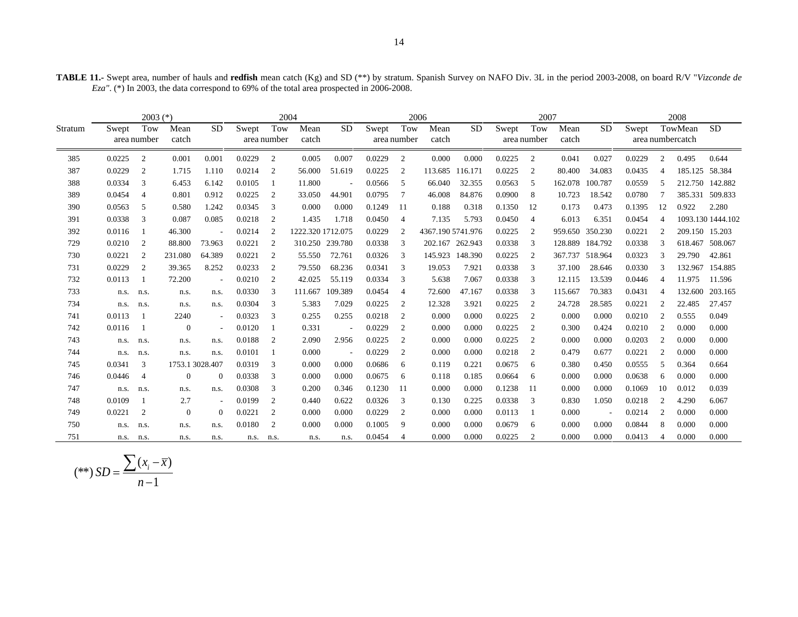| TABLE 11.- Swept area, number of hauls and redfish mean catch (Kg) and SD (**) by stratum. Spanish Survey on NAFO Div. 3L in the period 2003-2008, on board R/V "Vizconde de |  |
|------------------------------------------------------------------------------------------------------------------------------------------------------------------------------|--|
| $Eza''$ . (*) In 2003, the data correspond to 69% of the total area prospected in 2006-2008.                                                                                 |  |

|         |        | $2003$ $(*)$       |                |                          |        | 2004               |                   |           |        |                    | 2006              |           |        | 2007               |               |                          |        |    | 2008                        |                   |
|---------|--------|--------------------|----------------|--------------------------|--------|--------------------|-------------------|-----------|--------|--------------------|-------------------|-----------|--------|--------------------|---------------|--------------------------|--------|----|-----------------------------|-------------------|
| Stratum | Swept  | Tow<br>area number | Mean<br>catch  | <b>SD</b>                | Swept  | Tow<br>area number | Mean<br>catch     | <b>SD</b> | Swept  | Tow<br>area number | Mean<br>catch     | <b>SD</b> | Swept  | Tow<br>area number | Mean<br>catch | <b>SD</b>                | Swept  |    | TowMean<br>area numbercatch | <b>SD</b>         |
| 385     | 0.0225 | 2                  | 0.001          | 0.001                    | 0.0229 | 2                  | 0.005             | 0.007     | 0.0229 | 2                  | 0.000             | 0.000     | 0.0225 | 2                  | 0.041         | 0.027                    | 0.0229 | 2  | 0.495                       | 0.644             |
| 387     | 0.0229 | 2                  | 1.715          | 1.110                    | 0.0214 | 2                  | 56.000            | 51.619    | 0.0225 | 2                  | 113.685           | 116.171   | 0.0225 | 2                  | 80.400        | 34.083                   | 0.0435 | 4  | 185.125                     | 58.384            |
| 388     | 0.0334 | 3                  | 6.453          | 6.142                    | 0.0105 |                    | 11.800            |           | 0.0566 | -5                 | 66.040            | 32.355    | 0.0563 | 5                  | 162.078       | 100.787                  | 0.0559 | 5  |                             | 212.750 142.882   |
| 389     | 0.0454 | $\overline{4}$     | 0.801          | 0.912                    | 0.0225 | 2                  | 33.050            | 44.901    | 0.0795 | 7                  | 46.008            | 84.876    | 0.0900 | 8                  | 10.723        | 18.542                   | 0.0780 |    |                             | 385.331 509.833   |
| 390     | 0.0563 | 5                  | 0.580          | 1.242                    | 0.0345 | 3                  | 0.000             | 0.000     | 0.1249 | -11                | 0.188             | 0.318     | 0.1350 | 12                 | 0.173         | 0.473                    | 0.1395 | 12 | 0.922                       | 2.280             |
| 391     | 0.0338 | 3                  | 0.087          | 0.085                    | 0.0218 | 2                  | 1.435             | 1.718     | 0.0450 | $\overline{4}$     | 7.135             | 5.793     | 0.0450 | $\overline{4}$     | 6.013         | 6.351                    | 0.0454 | 4  |                             | 1093.130 1444.102 |
| 392     | 0.0116 |                    | 46.300         |                          | 0.0214 | 2                  | 1222.320 1712.075 |           | 0.0229 | $\overline{c}$     | 4367.190 5741.976 |           | 0.0225 | 2                  |               | 959.650 350.230          | 0.0221 | 2  | 209.150 15.203              |                   |
| 729     | 0.0210 | 2                  | 88.800         | 73.963                   | 0.0221 | 2                  | 310.250 239.780   |           | 0.0338 | 3                  | 202.167 262.943   |           | 0.0338 | 3                  |               | 128.889 184.792          | 0.0338 | 3  |                             | 618.467 508.067   |
| 730     | 0.0221 | 2                  | 231.080        | 64.389                   | 0.0221 | 2                  | 55.550            | 72.761    | 0.0326 | 3                  | 145.923           | 148.390   | 0.0225 | 2                  | 367.737       | 518.964                  | 0.0323 | 3  | 29.790                      | 42.861            |
| 731     | 0.0229 | 2                  | 39.365         | 8.252                    | 0.0233 | 2                  | 79.550            | 68.236    | 0.0341 | 3                  | 19.053            | 7.921     | 0.0338 | 3                  | 37.100        | 28.646                   | 0.0330 | 3  |                             | 132.967 154.885   |
| 732     | 0.0113 |                    | 72.200         |                          | 0.0210 | 2                  | 42.025            | 55.119    | 0.0334 | 3                  | 5.638             | 7.067     | 0.0338 | 3                  | 12.115        | 13.539                   | 0.0446 | 4  | 11.975                      | 11.596            |
| 733     | n.s.   | n.s.               | n.s.           | n.s.                     | 0.0330 | 3                  | 111.667           | 109.389   | 0.0454 | $\overline{4}$     | 72.600            | 47.167    | 0.0338 | 3                  | 115.667       | 70.383                   | 0.0431 | 4  | 132.600                     | 203.165           |
| 734     | n.s.   | n.s.               | n.s.           | n.s.                     | 0.0304 | 3                  | 5.383             | 7.029     | 0.0225 | 2                  | 12.328            | 3.921     | 0.0225 | 2                  | 24.728        | 28.585                   | 0.0221 | 2  | 22.485                      | 27.457            |
| 741     | 0.0113 |                    | 2240           | $\overline{\phantom{a}}$ | 0.0323 | 3                  | 0.255             | 0.255     | 0.0218 | 2                  | 0.000             | 0.000     | 0.0225 | 2                  | 0.000         | 0.000                    | 0.0210 | 2  | 0.555                       | 0.049             |
| 742     | 0.0116 |                    | $\mathbf{0}$   | $\overline{\phantom{a}}$ | 0.0120 |                    | 0.331             |           | 0.0229 | 2                  | 0.000             | 0.000     | 0.0225 | 2                  | 0.300         | 0.424                    | 0.0210 | 2  | 0.000                       | 0.000             |
| 743     | n.s.   | n.s.               | n.s.           | n.s.                     | 0.0188 | 2                  | 2.090             | 2.956     | 0.0225 | 2                  | 0.000             | 0.000     | 0.0225 | 2                  | 0.000         | 0.000                    | 0.0203 | 2  | 0.000                       | 0.000             |
| 744     | n.s.   | n.s.               | n.s.           | n.s.                     | 0.0101 |                    | 0.000             |           | 0.0229 | 2                  | 0.000             | 0.000     | 0.0218 | 2                  | 0.479         | 0.677                    | 0.0221 | 2  | 0.000                       | 0.000             |
| 745     | 0.0341 | 3                  |                | 1753.1 3028.407          | 0.0319 | 3                  | 0.000             | 0.000     | 0.0686 | 6                  | 0.119             | 0.221     | 0.0675 | 6                  | 0.380         | 0.450                    | 0.0555 | 5  | 0.364                       | 0.664             |
| 746     | 0.0446 | $\overline{4}$     | $\overline{0}$ | $\Omega$                 | 0.0338 | 3                  | 0.000             | 0.000     | 0.0675 | 6                  | 0.118             | 0.185     | 0.0664 | 6                  | 0.000         | 0.000                    | 0.0638 | 6  | 0.000                       | 0.000             |
| 747     | n.s.   | n.s.               | n.s.           | n.s.                     | 0.0308 | 3                  | 0.200             | 0.346     | 0.1230 | -11                | 0.000             | 0.000     | 0.1238 | -11                | 0.000         | 0.000                    | 0.1069 | 10 | 0.012                       | 0.039             |
| 748     | 0.0109 |                    | 2.7            | $\overline{\phantom{a}}$ | 0.0199 | 2                  | 0.440             | 0.622     | 0.0326 | 3                  | 0.130             | 0.225     | 0.0338 | 3                  | 0.830         | 1.050                    | 0.0218 | 2  | 4.290                       | 6.067             |
| 749     | 0.0221 | 2                  | $\mathbf{0}$   | $\theta$                 | 0.0221 | 2                  | 0.000             | 0.000     | 0.0229 | 2                  | 0.000             | 0.000     | 0.0113 |                    | 0.000         | $\overline{\phantom{a}}$ | 0.0214 | 2  | 0.000                       | 0.000             |
| 750     | n.s.   | n.s.               | n.s.           | n.s.                     | 0.0180 | 2                  | 0.000             | 0.000     | 0.1005 | 9                  | 0.000             | 0.000     | 0.0679 | 6                  | 0.000         | 0.000                    | 0.0844 | 8  | 0.000                       | 0.000             |
| 751     | n.s.   | n.s.               | n.s.           | n.s.                     | n.s.   | n.s.               | n.s.              | n.s.      | 0.0454 | 4                  | 0.000             | 0.000     | 0.0225 | 2                  | 0.000         | 0.000                    | 0.0413 | 4  | 0.000                       | 0.000             |

$$
(**) SD = \frac{\sum (x_i - \overline{x})}{n - 1}
$$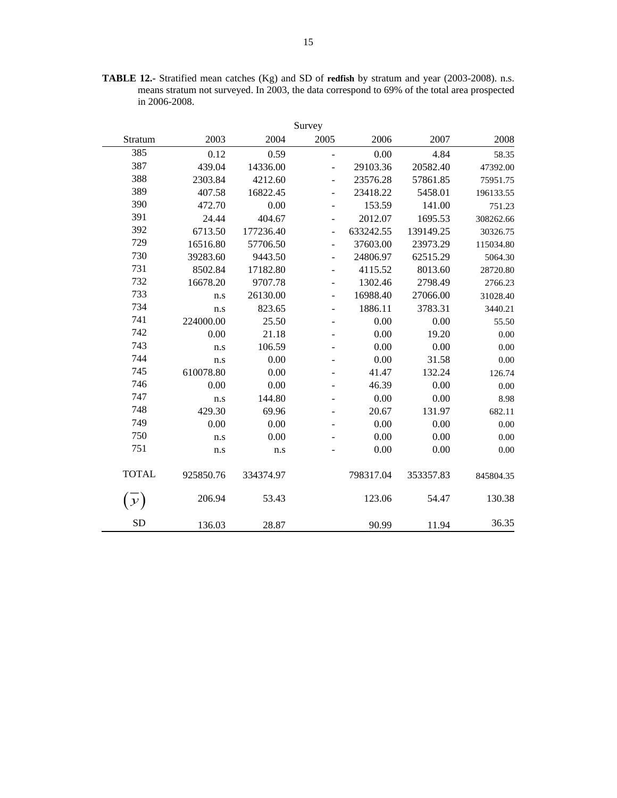| <b>TABLE 12.-</b> Stratified mean catches (Kg) and SD of redfish by stratum and year (2003-2008). n.s. |  |
|--------------------------------------------------------------------------------------------------------|--|
| means stratum not surveyed. In 2003, the data correspond to 69% of the total area prospected           |  |
| in $2006 - 2008$ .                                                                                     |  |

|               |           |           | Survey                   |           |           |           |
|---------------|-----------|-----------|--------------------------|-----------|-----------|-----------|
| Stratum       | 2003      | 2004      | 2005                     | 2006      | 2007      | 2008      |
| 385           | 0.12      | 0.59      | $\overline{\phantom{a}}$ | 0.00      | 4.84      | 58.35     |
| 387           | 439.04    | 14336.00  | $\overline{\phantom{m}}$ | 29103.36  | 20582.40  | 47392.00  |
| 388           | 2303.84   | 4212.60   | $\overline{a}$           | 23576.28  | 57861.85  | 75951.75  |
| 389           | 407.58    | 16822.45  |                          | 23418.22  | 5458.01   | 196133.55 |
| 390           | 472.70    | 0.00      |                          | 153.59    | 141.00    | 751.23    |
| 391           | 24.44     | 404.67    | $\overline{\phantom{a}}$ | 2012.07   | 1695.53   | 308262.66 |
| 392           | 6713.50   | 177236.40 | $\overline{\phantom{a}}$ | 633242.55 | 139149.25 | 30326.75  |
| 729           | 16516.80  | 57706.50  | $\blacksquare$           | 37603.00  | 23973.29  | 115034.80 |
| 730           | 39283.60  | 9443.50   |                          | 24806.97  | 62515.29  | 5064.30   |
| 731           | 8502.84   | 17182.80  |                          | 4115.52   | 8013.60   | 28720.80  |
| 732           | 16678.20  | 9707.78   | $\overline{\phantom{a}}$ | 1302.46   | 2798.49   | 2766.23   |
| 733           | n.s       | 26130.00  | $\overline{\phantom{m}}$ | 16988.40  | 27066.00  | 31028.40  |
| 734           | n.s       | 823.65    | $\overline{a}$           | 1886.11   | 3783.31   | 3440.21   |
| 741           | 224000.00 | 25.50     | $\overline{\phantom{m}}$ | 0.00      | 0.00      | 55.50     |
| 742           | 0.00      | 21.18     |                          | 0.00      | 19.20     | $0.00\,$  |
| 743           | n.s       | 106.59    |                          | 0.00      | 0.00      | 0.00      |
| 744           | n.s       | 0.00      |                          | 0.00      | 31.58     | 0.00      |
| 745           | 610078.80 | 0.00      |                          | 41.47     | 132.24    | 126.74    |
| 746           | 0.00      | 0.00      |                          | 46.39     | 0.00      | 0.00      |
| 747           | n.s       | 144.80    |                          | 0.00      | 0.00      | 8.98      |
| 748           | 429.30    | 69.96     |                          | 20.67     | 131.97    | 682.11    |
| 749           | 0.00      | 0.00      |                          | 0.00      | 0.00      | 0.00      |
| 750           | n.s       | 0.00      |                          | 0.00      | 0.00      | 0.00      |
| 751           | n.s       | n.s       |                          | 0.00      | 0.00      | 0.00      |
| <b>TOTAL</b>  | 925850.76 | 334374.97 |                          | 798317.04 | 353357.83 | 845804.35 |
| $\mathcal{Y}$ | 206.94    | 53.43     |                          | 123.06    | 54.47     | 130.38    |
| <b>SD</b>     | 136.03    | 28.87     |                          | 90.99     | 11.94     | 36.35     |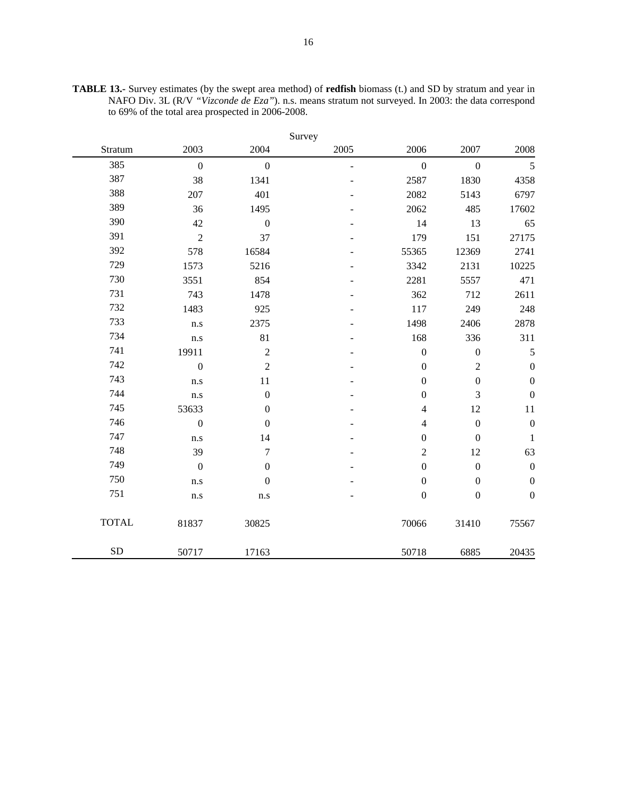|              |                  |                         | Survey                   |                         |                  |                  |
|--------------|------------------|-------------------------|--------------------------|-------------------------|------------------|------------------|
| Stratum      | 2003             | 2004                    | 2005                     | 2006                    | 2007             | 2008             |
| 385          | $\overline{0}$   | $\mathbf{0}$            | $\overline{\phantom{a}}$ | $\mathbf{0}$            | $\overline{0}$   | 5                |
| 387          | 38               | 1341                    |                          | 2587                    | 1830             | 4358             |
| 388          | 207              | 401                     |                          | 2082                    | 5143             | 6797             |
| 389          | 36               | 1495                    |                          | 2062                    | 485              | 17602            |
| 390          | 42               | $\boldsymbol{0}$        |                          | 14                      | 13               | 65               |
| 391          | $\overline{c}$   | 37                      |                          | 179                     | 151              | 27175            |
| 392          | 578              | 16584                   |                          | 55365                   | 12369            | 2741             |
| 729          | 1573             | 5216                    |                          | 3342                    | 2131             | 10225            |
| 730          | 3551             | 854                     |                          | 2281                    | 5557             | 471              |
| 731          | 743              | 1478                    |                          | 362                     | 712              | 2611             |
| 732          | 1483             | 925                     |                          | 117                     | 249              | 248              |
| 733          | n.s              | 2375                    |                          | 1498                    | 2406             | 2878             |
| 734          | n.s              | 81                      |                          | 168                     | 336              | 311              |
| 741          | 19911            | $\sqrt{2}$              |                          | $\boldsymbol{0}$        | $\boldsymbol{0}$ | $\mathfrak s$    |
| 742          | $\mathbf{0}$     | $\sqrt{2}$              |                          | $\boldsymbol{0}$        | $\sqrt{2}$       | $\boldsymbol{0}$ |
| 743          | n.s              | 11                      |                          | $\mathbf{0}$            | $\boldsymbol{0}$ | $\boldsymbol{0}$ |
| 744          | n.s              | $\boldsymbol{0}$        |                          | $\boldsymbol{0}$        | 3                | $\boldsymbol{0}$ |
| 745          | 53633            | $\boldsymbol{0}$        |                          | 4                       | 12               | 11               |
| 746          | $\overline{0}$   | $\boldsymbol{0}$        |                          | $\overline{\mathbf{4}}$ | $\boldsymbol{0}$ | $\boldsymbol{0}$ |
| 747          | n.s              | 14                      |                          | $\boldsymbol{0}$        | $\boldsymbol{0}$ | $\mathbf 1$      |
| 748          | 39               | $\boldsymbol{7}$        |                          | $\overline{2}$          | 12               | 63               |
| 749          | $\boldsymbol{0}$ | $\boldsymbol{0}$        |                          | $\boldsymbol{0}$        | $\boldsymbol{0}$ | $\boldsymbol{0}$ |
| 750          | n.s              | $\boldsymbol{0}$        |                          | $\boldsymbol{0}$        | $\boldsymbol{0}$ | $\boldsymbol{0}$ |
| 751          | n.s              | $\mathbf{n}.\mathbf{s}$ |                          | $\boldsymbol{0}$        | $\boldsymbol{0}$ | $\boldsymbol{0}$ |
| <b>TOTAL</b> | 81837            | 30825                   |                          | 70066                   | 31410            | 75567            |
| ${\rm SD}$   | 50717            | 17163                   |                          | 50718                   | 6885             | 20435            |

**TABLE 13.-** Survey estimates (by the swept area method) of **redfish** biomass (t.) and SD by stratum and year in NAFO Div. 3L (R/V *"Vizconde de Eza"*). n.s. means stratum not surveyed. In 2003: the data correspond to 69% of the total area prospected in 2006-2008.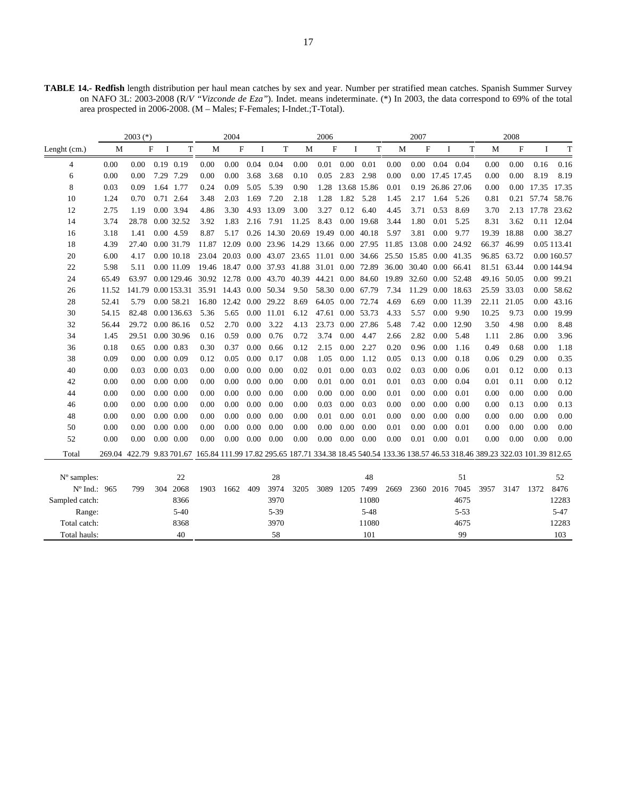**TABLE 14.- Redfish** length distribution per haul mean catches by sex and year. Number per stratified mean catches. Spanish Summer Survey on NAFO 3L: 2003-2008 (R/*V "Vizconde de Eza"*). Indet. means indeterminate. (\*) In 2003, the data correspond to 69% of the total area prospected in 2006-2008. (M – Males; F-Females; I-Indet.;T-Total).

|                      |       | $2003$ (*)                                                                                                                             |               |                    |       | 2004             |          |            |       | 2006                      |          |                        |       | 2007             |      |                  |       | 2008        |          |             |
|----------------------|-------|----------------------------------------------------------------------------------------------------------------------------------------|---------------|--------------------|-------|------------------|----------|------------|-------|---------------------------|----------|------------------------|-------|------------------|------|------------------|-------|-------------|----------|-------------|
| Lenght (cm.)         | M     |                                                                                                                                        | F<br><b>I</b> | T                  | M     | $\mathbf F$      | Ι        | T          | M     | $\boldsymbol{\mathrm{F}}$ | Ι.       | $\mathbf T$            | M     | F                | Ι.   | T                | M     | F           | Ι        | T           |
| 4                    | 0.00  | 0.00                                                                                                                                   |               | $0.19$ $0.19$      | 0.00  | 0.00             | 0.04     | 0.04       | 0.00  | 0.01                      | $0.00\,$ | 0.01                   | 0.00  | 0.00             |      | $0.04$ 0.04      | 0.00  | 0.00        | 0.16     | 0.16        |
| 6                    | 0.00  | 0.00                                                                                                                                   |               | 7.29 7.29          | 0.00  | $0.00\,$         | 3.68     | 3.68       | 0.10  | 0.05                      | 2.83     | 2.98                   | 0.00  |                  |      | 0.00 17.45 17.45 | 0.00  | 0.00        | 8.19     | 8.19        |
| 8                    | 0.03  | 0.09                                                                                                                                   |               | 1.64 1.77          | 0.24  | 0.09             | 5.05     | 5.39       | 0.90  | 1.28                      |          | 13.68 15.86            | 0.01  |                  |      | 0.19 26.86 27.06 | 0.00  | 0.00        | 17.35    | 17.35       |
| 10                   | 1.24  | 0.70                                                                                                                                   |               | 0.71 2.64          | 3.48  | 2.03             | 1.69     | 7.20       | 2.18  | 1.28                      | 1.82     | 5.28                   | 1.45  | 2.17             | 1.64 | 5.26             | 0.81  | 0.21        |          | 57.74 58.76 |
| 12                   | 2.75  | 1.19                                                                                                                                   |               | 0.00 3.94          | 4.86  | 3.30             |          | 4.93 13.09 | 3.00  | 3.27                      | 0.12     | 6.40                   | 4.45  | 3.71             | 0.53 | 8.69             | 3.70  | 2.13        |          | 17.78 23.62 |
| 14                   | 3.74  | 28.78                                                                                                                                  |               | 0.00 32.52         | 3.92  | 1.83             | 2.16     | 7.91       | 11.25 | 8.43                      |          | 0.00 19.68             | 3.44  | 1.80             | 0.01 | 5.25             | 8.31  | 3.62        |          | 0.11 12.04  |
| 16                   | 3.18  | 1.41                                                                                                                                   |               | 0.00 4.59          | 8.87  | 5.17             |          | 0.26 14.30 | 20.69 | 19.49                     |          | 0.00 40.18             | 5.97  | 3.81             | 0.00 | 9.77             | 19.39 | 18.88       |          | 0.00 38.27  |
| 18                   | 4.39  | 27.40                                                                                                                                  |               | 0.00 31.79         | 11.87 | 12.09            |          | 0.00 23.96 | 14.29 |                           |          | 13.66 0.00 27.95       | 11.85 | 13.08            |      | 0.00 24.92       | 66.37 | 46.99       |          | 0.05 113.41 |
| 20                   | 6.00  | 4.17                                                                                                                                   |               | 0.00 10.18         | 23.04 | 20.03 0.00       |          | 43.07      | 23.65 |                           |          | 11.01 0.00 34.66 25.50 |       | 15.85 0.00 41.35 |      |                  |       | 96.85 63.72 |          | 0.00 160.57 |
| 22                   | 5.98  | 5.11                                                                                                                                   |               | 0.00 11.09         |       | 19.46 18.47 0.00 |          | 37.93      | 41.88 |                           |          | 31.01 0.00 72.89       | 36.00 | 30.40            |      | 0.00 66.41       | 81.51 | 63.44       |          | 0.00 144.94 |
| 24                   | 65.49 | 63.97                                                                                                                                  |               | 0.00 129.46        | 30.92 | 12.78 0.00 43.70 |          |            | 40.39 |                           |          | 44.21 0.00 84.60       | 19.89 | 32.60            |      | 0.00 52.48       |       | 49.16 50.05 | $0.00\,$ | 99.21       |
| 26                   | 11.52 |                                                                                                                                        |               | 141.79 0.00 153.31 | 35.91 | 14.43 0.00 50.34 |          |            | 9.50  |                           |          | 58.30 0.00 67.79       | 7.34  | 11.29            |      | 0.00 18.63       |       | 25.59 33.03 | 0.00     | 58.62       |
| 28                   | 52.41 | 5.79                                                                                                                                   |               | 0.00 58.21         | 16.80 | 12.42 0.00 29.22 |          |            | 8.69  |                           |          | 64.05 0.00 72.74       | 4.69  | 6.69             |      | 0.00 11.39       |       | 22.11 21.05 | 0.00     | 43.16       |
| 30                   | 54.15 | 82.48                                                                                                                                  |               | 0.00 136.63        | 5.36  | 5.65             | $0.00\,$ | 11.01      | 6.12  | 47.61 0.00 53.73          |          |                        | 4.33  | 5.57             | 0.00 | 9.90             | 10.25 | 9.73        | 0.00     | 19.99       |
| 32                   | 56.44 | 29.72                                                                                                                                  |               | 0.00 86.16         | 0.52  | 2.70             | 0.00     | 3.22       | 4.13  | 23.73                     |          | 0.00 27.86             | 5.48  | 7.42             |      | 0.00 12.90       | 3.50  | 4.98        | 0.00     | 8.48        |
| 34                   | 1.45  | 29.51                                                                                                                                  |               | 0.00 30.96         | 0.16  | 0.59             | 0.00     | 0.76       | 0.72  | 3.74                      | 0.00     | 4.47                   | 2.66  | 2.82             | 0.00 | 5.48             | 1.11  | 2.86        | 0.00     | 3.96        |
| 36                   | 0.18  | 0.65                                                                                                                                   |               | $0.00 \quad 0.83$  | 0.30  | 0.37             | 0.00     | 0.66       | 0.12  | 2.15                      | 0.00     | 2.27                   | 0.20  | 0.96             | 0.00 | 1.16             | 0.49  | 0.68        | 0.00     | 1.18        |
| 38                   | 0.09  | 0.00                                                                                                                                   |               | $0.00\ 0.09$       | 0.12  | 0.05             | 0.00     | 0.17       | 0.08  | 1.05                      | 0.00     | 1.12                   | 0.05  | 0.13             | 0.00 | 0.18             | 0.06  | 0.29        | 0.00     | 0.35        |
| 40                   | 0.00  | 0.03                                                                                                                                   |               | $0.00 \quad 0.03$  | 0.00  | 0.00             | 0.00     | 0.00       | 0.02  | 0.01                      | 0.00     | 0.03                   | 0.02  | 0.03             | 0.00 | 0.06             | 0.01  | 0.12        | 0.00     | 0.13        |
| 42                   | 0.00  | 0.00                                                                                                                                   |               | $0.00\ 0.00$       | 0.00  | 0.00             | 0.00     | 0.00       | 0.00  | 0.01                      | 0.00     | 0.01                   | 0.01  | 0.03             | 0.00 | 0.04             | 0.01  | 0.11        | 0.00     | 0.12        |
| 44                   | 0.00  | 0.00                                                                                                                                   |               | $0.00\ 0.00$       | 0.00  | 0.00             | 0.00     | 0.00       | 0.00  | 0.00                      | 0.00     | 0.00                   | 0.01  | 0.00             | 0.00 | 0.01             | 0.00  | 0.00        | 0.00     | 0.00        |
| 46                   | 0.00  | 0.00                                                                                                                                   |               | $0.00\ 0.00$       | 0.00  | 0.00             | 0.00     | 0.00       | 0.00  | 0.03                      | 0.00     | 0.03                   | 0.00  | 0.00             | 0.00 | 0.00             | 0.00  | 0.13        | 0.00     | 0.13        |
| 48                   | 0.00  | 0.00                                                                                                                                   |               | $0.00\ 0.00$       | 0.00  | 0.00             | 0.00     | 0.00       | 0.00  | 0.01                      | 0.00     | 0.01                   | 0.00  | 0.00             | 0.00 | 0.00             | 0.00  | 0.00        | 0.00     | 0.00        |
| 50                   | 0.00  | 0.00                                                                                                                                   |               | $0.00\ 0.00$       | 0.00  | 0.00             | 0.00     | 0.00       | 0.00  | 0.00                      | 0.00     | 0.00                   | 0.01  | 0.00             | 0.00 | 0.01             | 0.00  | 0.00        | 0.00     | 0.00        |
| 52                   | 0.00  | 0.00                                                                                                                                   |               | $0.00\ 0.00$       | 0.00  | 0.00             | 0.00     | 0.00       | 0.00  | 0.00                      | 0.00     | 0.00                   | 0.00  | 0.01             | 0.00 | 0.01             | 0.00  | 0.00        | 0.00     | 0.00        |
| Total                |       | 269.04 422.79 9.83 701.67 165.84 111.99 17.82 295.65 187.71 334.38 18.45 540.54 133.36 138.57 46.53 318.46 389.23 322.03 101.39 812.65 |               |                    |       |                  |          |            |       |                           |          |                        |       |                  |      |                  |       |             |          |             |
|                      |       |                                                                                                                                        |               |                    |       |                  |          |            |       |                           |          |                        |       |                  |      |                  |       |             |          |             |
| $N^{\circ}$ samples: |       |                                                                                                                                        |               | 22                 |       |                  |          | 28         |       |                           |          | 48                     |       |                  |      | 51               |       |             |          | 52          |
| N° Ind.: 965         |       | 799                                                                                                                                    | 304           | 2068               | 1903  | 1662             | 409      | 3974       | 3205  | 3089                      | 1205     | 7499                   | 2669  | 2360 2016        |      | 7045             | 3957  | 3147        | 1372     | 8476        |
| Sampled catch:       |       |                                                                                                                                        |               | 8366               |       |                  |          | 3970       |       |                           |          | 11080                  |       |                  |      | 4675             |       |             |          | 12283       |
| Range:               |       |                                                                                                                                        |               | $5 - 40$           |       |                  |          | 5-39       |       |                           |          | $5 - 48$               |       |                  |      | $5 - 53$         |       |             |          | $5 - 47$    |
| Total catch:         |       |                                                                                                                                        |               | 8368               |       |                  |          | 3970       |       |                           |          | 11080                  |       |                  |      | 4675             |       |             |          | 12283       |
| Total hauls:         |       |                                                                                                                                        |               | 40                 |       |                  |          | 58         |       |                           |          | 101                    |       |                  |      | 99               |       |             |          | 103         |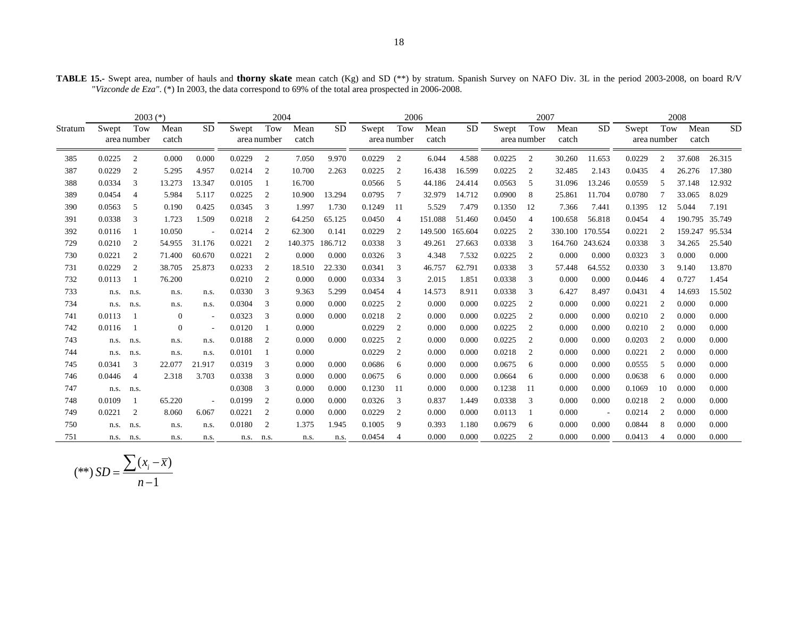**TABLE 15.-** Swept area, number of hauls and **thorny skate** mean catch (Kg) and SD (\*\*) by stratum. Spanish Survey on NAFO Div. 3L in the period 2003-2008, on board R/V "*Vizconde de Eza"*. (\*) In 2003, the data correspond to 69% of the total area prospected in 2006-2008.

|         | $2003$ (*) |                    |                |                          | 2004   |                    |               |           | 2006   |                    |               |           | 2007   |                    |               |           | 2008                 |                |               |           |
|---------|------------|--------------------|----------------|--------------------------|--------|--------------------|---------------|-----------|--------|--------------------|---------------|-----------|--------|--------------------|---------------|-----------|----------------------|----------------|---------------|-----------|
| Stratum | Swept      | Tow<br>area number | Mean<br>catch  | <b>SD</b>                | Swept  | Tow<br>area number | Mean<br>catch | <b>SD</b> | Swept  | Tow<br>area number | Mean<br>catch | <b>SD</b> | Swept  | Tow<br>area number | Mean<br>catch | <b>SD</b> | Swept<br>area number | Tow            | Mean<br>catch | <b>SD</b> |
| 385     | 0.0225     | $\overline{c}$     | 0.000          | 0.000                    | 0.0229 | $\overline{c}$     | 7.050         | 9.970     | 0.0229 | 2                  | 6.044         | 4.588     | 0.0225 | 2                  | 30.260        | 11.653    | 0.0229               | 2              | 37.608        | 26.315    |
| 387     | 0.0229     | 2                  | 5.295          | 4.957                    | 0.0214 | 2                  | 10.700        | 2.263     | 0.0225 | 2                  | 16.438        | 16.599    | 0.0225 | 2                  | 32.485        | 2.143     | 0.0435               | $\overline{4}$ | 26.276        | 17.380    |
| 388     | 0.0334     | 3                  | 13.273         | 13.347                   | 0.0105 | -1                 | 16.700        |           | 0.0566 | 5                  | 44.186        | 24.414    | 0.0563 | -5                 | 31.096        | 13.246    | 0.0559               | 5              | 37.148        | 12.932    |
| 389     | 0.0454     | 4                  | 5.984          | 5.117                    | 0.0225 | $\overline{c}$     | 10.900        | 13.294    | 0.0795 |                    | 32.979        | 14.712    | 0.0900 | 8                  | 25.861        | 11.704    | 0.0780               |                | 33.065        | 8.029     |
| 390     | 0.0563     | 5                  | 0.190          | 0.425                    | 0.0345 | 3                  | 1.997         | 1.730     | 0.1249 | -11                | 5.529         | 7.479     | 0.1350 | 12                 | 7.366         | 7.441     | 0.1395               | 12             | 5.044         | 7.191     |
| 391     | 0.0338     | 3                  | 1.723          | 1.509                    | 0.0218 | 2                  | 64.250        | 65.125    | 0.0450 | $\overline{4}$     | 151.088       | 51.460    | 0.0450 | $\overline{4}$     | 100.658       | 56.818    | 0.0454               | $\overline{4}$ | 190.795       | 35.749    |
| 392     | 0.0116     |                    | 10.050         |                          | 0.0214 | 2                  | 62.300        | 0.141     | 0.0229 | 2                  | 149.500       | 165.604   | 0.0225 | 2                  | 330.100       | 170.554   | 0.0221               | 2              | 159.247       | 95.534    |
| 729     | 0.0210     | $\overline{c}$     | 54.955         | 31.176                   | 0.0221 | 2                  | 140.375       | 186.712   | 0.0338 | 3                  | 49.261        | 27.663    | 0.0338 | 3                  | 164.760       | 243.624   | 0.0338               | 3              | 34.265        | 25.540    |
| 730     | 0.0221     | 2                  | 71.400         | 60.670                   | 0.0221 | 2                  | 0.000         | 0.000     | 0.0326 | 3                  | 4.348         | 7.532     | 0.0225 | $\overline{2}$     | 0.000         | 0.000     | 0.0323               | 3              | 0.000         | 0.000     |
| 731     | 0.0229     | 2                  | 38.705         | 25.873                   | 0.0233 | 2                  | 18.510        | 22.330    | 0.0341 | 3                  | 46.757        | 62.791    | 0.0338 | 3                  | 57.448        | 64.552    | 0.0330               | 3              | 9.140         | 13.870    |
| 732     | 0.0113     |                    | 76.200         |                          | 0.0210 | $\overline{2}$     | 0.000         | 0.000     | 0.0334 | 3                  | 2.015         | 1.851     | 0.0338 | 3                  | 0.000         | 0.000     | 0.0446               | $\overline{4}$ | 0.727         | 1.454     |
| 733     | n.s.       | n.s.               | n.s.           | n.s.                     | 0.0330 | 3                  | 9.363         | 5.299     | 0.0454 | 4                  | 14.573        | 8.911     | 0.0338 | 3                  | 6.427         | 8.497     | 0.0431               | $\overline{4}$ | 14.693        | 15.502    |
| 734     | n.s.       | n.s.               | n.s.           | n.s.                     | 0.0304 | 3                  | 0.000         | 0.000     | 0.0225 | 2                  | 0.000         | 0.000     | 0.0225 | 2                  | 0.000         | 0.000     | 0.0221               | 2              | 0.000         | 0.000     |
| 741     | 0.0113     |                    | $\overline{0}$ | $\overline{\phantom{a}}$ | 0.0323 | 3                  | 0.000         | 0.000     | 0.0218 | 2                  | 0.000         | 0.000     | 0.0225 | $\overline{2}$     | 0.000         | 0.000     | 0.0210               | 2              | 0.000         | 0.000     |
| 742     | 0.0116     |                    | $\Omega$       | $\overline{a}$           | 0.0120 |                    | 0.000         |           | 0.0229 | 2                  | 0.000         | 0.000     | 0.0225 | $\overline{2}$     | 0.000         | 0.000     | 0.0210               | 2              | 0.000         | 0.000     |
| 743     | n.s.       | n.s.               | n.s.           | n.s.                     | 0.0188 | 2                  | 0.000         | 0.000     | 0.0225 | 2                  | 0.000         | 0.000     | 0.0225 | 2                  | 0.000         | 0.000     | 0.0203               | 2              | 0.000         | 0.000     |
| 744     | n.s.       | n.s.               | n.s.           | n.s.                     | 0.0101 |                    | 0.000         |           | 0.0229 | $\overline{c}$     | 0.000         | 0.000     | 0.0218 | 2                  | 0.000         | 0.000     | 0.0221               | 2              | 0.000         | 0.000     |
| 745     | 0.0341     | 3                  | 22,077         | 21.917                   | 0.0319 | 3                  | 0.000         | 0.000     | 0.0686 | 6                  | 0.000         | 0.000     | 0.0675 | -6                 | 0.000         | 0.000     | 0.0555               | .5             | 0.000         | 0.000     |
| 746     | 0.0446     | $\overline{4}$     | 2.318          | 3.703                    | 0.0338 | 3                  | 0.000         | 0.000     | 0.0675 | 6                  | 0.000         | 0.000     | 0.0664 | -6                 | 0.000         | 0.000     | 0.0638               | 6              | 0.000         | 0.000     |
| 747     | n.s.       | n.s.               |                |                          | 0.0308 | 3                  | 0.000         | 0.000     | 0.1230 | -11                | 0.000         | 0.000     | 0.1238 | -11                | 0.000         | 0.000     | 0.1069               | 10             | 0.000         | 0.000     |
| 748     | 0.0109     |                    | 65.220         | $\overline{\phantom{a}}$ | 0.0199 | 2                  | 0.000         | 0.000     | 0.0326 | 3                  | 0.837         | 1.449     | 0.0338 | 3                  | 0.000         | 0.000     | 0.0218               | 2              | 0.000         | 0.000     |
| 749     | 0.0221     | 2                  | 8.060          | 6.067                    | 0.0221 | 2                  | 0.000         | 0.000     | 0.0229 | 2                  | 0.000         | 0.000     | 0.0113 | -1                 | 0.000         |           | 0.0214               | 2              | 0.000         | 0.000     |
| 750     | n.s.       | n.s.               | n.s.           | n.s.                     | 0.0180 | 2                  | 1.375         | 1.945     | 0.1005 | 9                  | 0.393         | 1.180     | 0.0679 | 6                  | 0.000         | 0.000     | 0.0844               | 8              | 0.000         | 0.000     |
| 751     | n.s.       | n.s.               | n.s.           | n.s.                     | n.s.   | n.s.               | n.s.          | n.s.      | 0.0454 | $\overline{4}$     | 0.000         | 0.000     | 0.0225 |                    | 0.000         | 0.000     | 0.0413               | $\overline{4}$ | 0.000         | 0.000     |

$$
(**) SD = \frac{\sum (x_i - \overline{x})}{n-1}
$$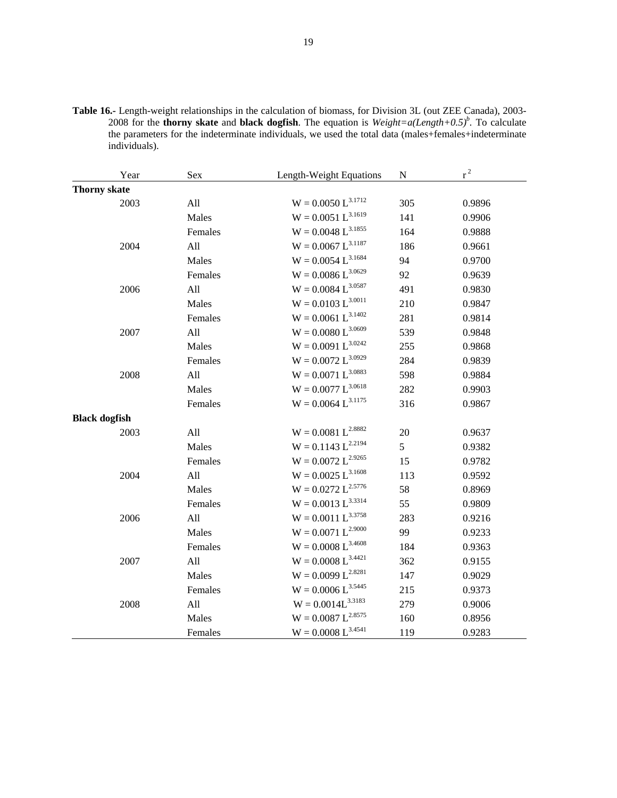**Table 16.-** Length-weight relationships in the calculation of biomass, for Division 3L (out ZEE Canada), 2003- 2008 for the **thorny skate** and **black dogfish**. The equation is  $Weight = a(Length + 0.5)^b$ . To calculate the parameters for the indeterminate individuals, we used the total data (males+females+indeterminate individuals).

| Year                 | Sex     | Length-Weight Equations | ${\bf N}$ | $r^2$  |
|----------------------|---------|-------------------------|-----------|--------|
| <b>Thorny skate</b>  |         |                         |           |        |
| 2003                 | All     | $W = 0.0050 L^{3.1712}$ | 305       | 0.9896 |
|                      | Males   | $W = 0.0051 L^{3.1619}$ | 141       | 0.9906 |
|                      | Females | $W = 0.0048 L^{3.1855}$ | 164       | 0.9888 |
| 2004                 | All     | $W = 0.0067 L^{3.1187}$ | 186       | 0.9661 |
|                      | Males   | $W = 0.0054 L^{3.1684}$ | 94        | 0.9700 |
|                      | Females | $W = 0.0086 L^{3.0629}$ | 92        | 0.9639 |
| 2006                 | All     | $W = 0.0084 L^{3.0587}$ | 491       | 0.9830 |
|                      | Males   | $W = 0.0103 L^{3.0011}$ | 210       | 0.9847 |
|                      | Females | $W = 0.0061 L^{3.1402}$ | 281       | 0.9814 |
| 2007                 | All     | $W=0.0080\ L^{3.0609}$  | 539       | 0.9848 |
|                      | Males   | $W = 0.0091 L^{3.0242}$ | 255       | 0.9868 |
|                      | Females | $W = 0.0072 L^{3.0929}$ | 284       | 0.9839 |
| 2008                 | All     | $W = 0.0071 L^{3.0883}$ | 598       | 0.9884 |
|                      | Males   | $W = 0.0077 L^{3.0618}$ | 282       | 0.9903 |
|                      | Females | $W = 0.0064 L^{3.1175}$ | 316       | 0.9867 |
| <b>Black dogfish</b> |         |                         |           |        |
| 2003                 | All     | $W = 0.0081 L^{2.8882}$ | 20        | 0.9637 |
|                      | Males   | $W = 0.1143 L^{2.2194}$ | 5         | 0.9382 |
|                      | Females | $W = 0.0072 L^{2.9265}$ | 15        | 0.9782 |
| 2004                 | All     | $W = 0.0025 L^{3.1608}$ | 113       | 0.9592 |
|                      | Males   | $W = 0.0272 L^{2.5776}$ | 58        | 0.8969 |
|                      | Females | $W = 0.0013 L^{3.3314}$ | 55        | 0.9809 |
| 2006                 | All     | $W = 0.0011 L^{3.3758}$ | 283       | 0.9216 |
|                      | Males   | $W = 0.0071 L^{2.9000}$ | 99        | 0.9233 |
|                      | Females | $W = 0.0008 L^{3.4608}$ | 184       | 0.9363 |
| 2007                 | All     | $W = 0.0008 L^{3.4421}$ | 362       | 0.9155 |
|                      | Males   | $W = 0.0099 L^{2.8281}$ | 147       | 0.9029 |
|                      | Females | $W = 0.0006 L^{3.5445}$ | 215       | 0.9373 |
| 2008                 | All     | $W = 0.0014L^{3.3183}$  | 279       | 0.9006 |
|                      | Males   | $W = 0.0087 L^{2.8575}$ | 160       | 0.8956 |
|                      | Females | $W = 0.0008 L^{3.4541}$ | 119       | 0.9283 |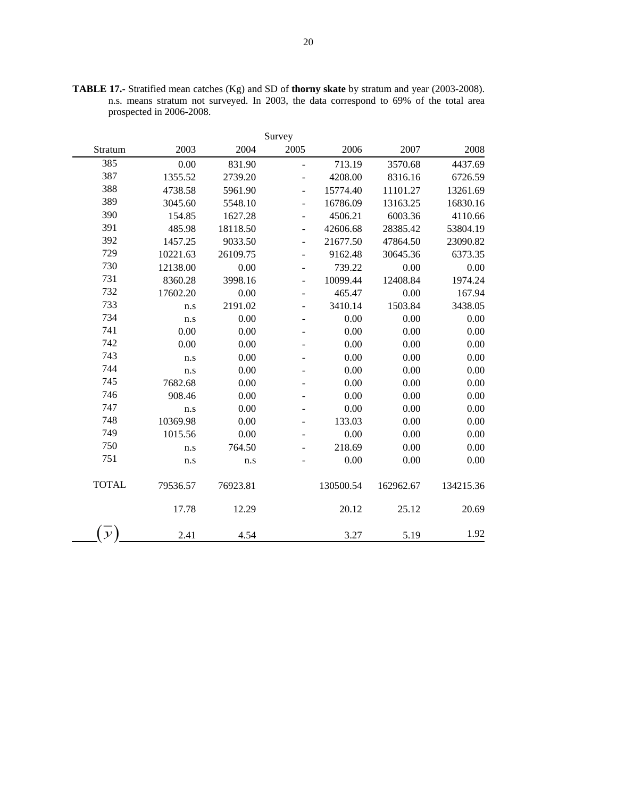|               |          |          | Survey                   |           |           |           |
|---------------|----------|----------|--------------------------|-----------|-----------|-----------|
| Stratum       | 2003     | 2004     | 2005                     | 2006      | 2007      | 2008      |
| 385           | 0.00     | 831.90   | $\overline{a}$           | 713.19    | 3570.68   | 4437.69   |
| 387           | 1355.52  | 2739.20  | $\overline{\phantom{0}}$ | 4208.00   | 8316.16   | 6726.59   |
| 388           | 4738.58  | 5961.90  | $\overline{\phantom{0}}$ | 15774.40  | 11101.27  | 13261.69  |
| 389           | 3045.60  | 5548.10  | $\overline{a}$           | 16786.09  | 13163.25  | 16830.16  |
| 390           | 154.85   | 1627.28  | $\overline{\phantom{0}}$ | 4506.21   | 6003.36   | 4110.66   |
| 391           | 485.98   | 18118.50 | $\overline{\phantom{0}}$ | 42606.68  | 28385.42  | 53804.19  |
| 392           | 1457.25  | 9033.50  | $\blacksquare$           | 21677.50  | 47864.50  | 23090.82  |
| 729           | 10221.63 | 26109.75 | $\overline{\phantom{0}}$ | 9162.48   | 30645.36  | 6373.35   |
| 730           | 12138.00 | 0.00     |                          | 739.22    | 0.00      | 0.00      |
| 731           | 8360.28  | 3998.16  | $\overline{\phantom{0}}$ | 10099.44  | 12408.84  | 1974.24   |
| 732           | 17602.20 | 0.00     | $\overline{\phantom{0}}$ | 465.47    | 0.00      | 167.94    |
| 733           | n.s      | 2191.02  |                          | 3410.14   | 1503.84   | 3438.05   |
| 734           | n.s      | 0.00     | $\overline{\phantom{a}}$ | 0.00      | 0.00      | 0.00      |
| 741           | 0.00     | 0.00     | $\qquad \qquad -$        | 0.00      | 0.00      | 0.00      |
| 742           | 0.00     | 0.00     |                          | 0.00      | 0.00      | 0.00      |
| 743           | n.s      | 0.00     |                          | 0.00      | 0.00      | 0.00      |
| 744           | n.s      | 0.00     |                          | 0.00      | 0.00      | 0.00      |
| 745           | 7682.68  | 0.00     |                          | 0.00      | 0.00      | 0.00      |
| 746           | 908.46   | 0.00     |                          | 0.00      | 0.00      | 0.00      |
| 747           | n.s      | 0.00     |                          | 0.00      | 0.00      | 0.00      |
| 748           | 10369.98 | 0.00     |                          | 133.03    | 0.00      | 0.00      |
| 749           | 1015.56  | 0.00     |                          | 0.00      | 0.00      | 0.00      |
| 750           | n.s      | 764.50   |                          | 218.69    | 0.00      | 0.00      |
| 751           | n.s      | n.s      |                          | 0.00      | 0.00      | 0.00      |
| <b>TOTAL</b>  | 79536.57 | 76923.81 |                          | 130500.54 | 162962.67 | 134215.36 |
|               | 17.78    | 12.29    |                          | 20.12     | 25.12     | 20.69     |
| $\mathcal{Y}$ | 2.41     | 4.54     |                          | 3.27      | 5.19      | 1.92      |

**TABLE 17.-** Stratified mean catches (Kg) and SD of **thorny skate** by stratum and year (2003-2008). n.s. means stratum not surveyed. In 2003, the data correspond to 69% of the total area prospected in 2006-2008.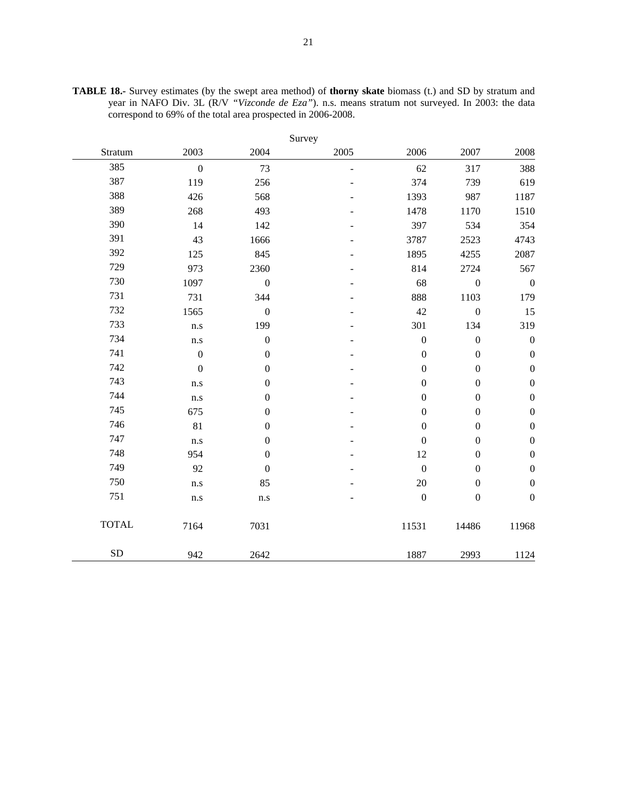|              |                  |                  | Survey |                  |                  |                  |
|--------------|------------------|------------------|--------|------------------|------------------|------------------|
| Stratum      | 2003             | 2004             | 2005   | 2006             | 2007             | 2008             |
| 385          | $\boldsymbol{0}$ | 73               | ÷,     | 62               | 317              | 388              |
| 387          | 119              | 256              |        | 374              | 739              | 619              |
| 388          | 426              | 568              |        | 1393             | 987              | 1187             |
| 389          | 268              | 493              |        | 1478             | 1170             | 1510             |
| 390          | 14               | 142              |        | 397              | 534              | 354              |
| 391          | 43               | 1666             |        | 3787             | 2523             | 4743             |
| 392          | 125              | 845              |        | 1895             | 4255             | 2087             |
| 729          | 973              | 2360             |        | 814              | 2724             | 567              |
| 730          | 1097             | $\boldsymbol{0}$ |        | 68               | $\boldsymbol{0}$ | $\boldsymbol{0}$ |
| 731          | 731              | 344              |        | 888              | 1103             | 179              |
| 732          | 1565             | $\boldsymbol{0}$ |        | 42               | $\boldsymbol{0}$ | 15               |
| 733          | n.s              | 199              |        | 301              | 134              | 319              |
| 734          | n.s              | $\boldsymbol{0}$ |        | $\boldsymbol{0}$ | $\boldsymbol{0}$ | $\boldsymbol{0}$ |
| 741          | $\boldsymbol{0}$ | $\boldsymbol{0}$ |        | $\boldsymbol{0}$ | $\boldsymbol{0}$ | $\boldsymbol{0}$ |
| 742          | $\mathbf{0}$     | $\boldsymbol{0}$ |        | $\boldsymbol{0}$ | $\boldsymbol{0}$ | $\boldsymbol{0}$ |
| 743          | n.s              | $\boldsymbol{0}$ |        | $\boldsymbol{0}$ | $\boldsymbol{0}$ | $\boldsymbol{0}$ |
| 744          | n.s              | $\boldsymbol{0}$ |        | $\boldsymbol{0}$ | $\boldsymbol{0}$ | $\boldsymbol{0}$ |
| 745          | 675              | $\boldsymbol{0}$ |        | $\boldsymbol{0}$ | $\boldsymbol{0}$ | $\boldsymbol{0}$ |
| 746          | 81               | $\boldsymbol{0}$ |        | $\boldsymbol{0}$ | $\boldsymbol{0}$ | $\boldsymbol{0}$ |
| 747          | n.s              | $\boldsymbol{0}$ |        | $\boldsymbol{0}$ | $\boldsymbol{0}$ | $\boldsymbol{0}$ |
| 748          | 954              | $\boldsymbol{0}$ |        | 12               | $\boldsymbol{0}$ | $\boldsymbol{0}$ |
| 749          | 92               | $\boldsymbol{0}$ |        | $\boldsymbol{0}$ | $\boldsymbol{0}$ | $\boldsymbol{0}$ |
| 750          | n.s              | 85               |        | 20               | $\boldsymbol{0}$ | $\boldsymbol{0}$ |
| 751          | $\rm n.s$        | $\rm n.s$        |        | $\boldsymbol{0}$ | $\boldsymbol{0}$ | $\boldsymbol{0}$ |
| <b>TOTAL</b> | 7164             | 7031             |        | 11531            | 14486            | 11968            |
| SD           | 942              | 2642             |        | 1887             | 2993             | 1124             |

**TABLE 18.-** Survey estimates (by the swept area method) of **thorny skate** biomass (t.) and SD by stratum and year in NAFO Div. 3L (R/V *"Vizconde de Eza"*). n.s. means stratum not surveyed. In 2003: the data correspond to 69% of the total area prospected in 2006-2008.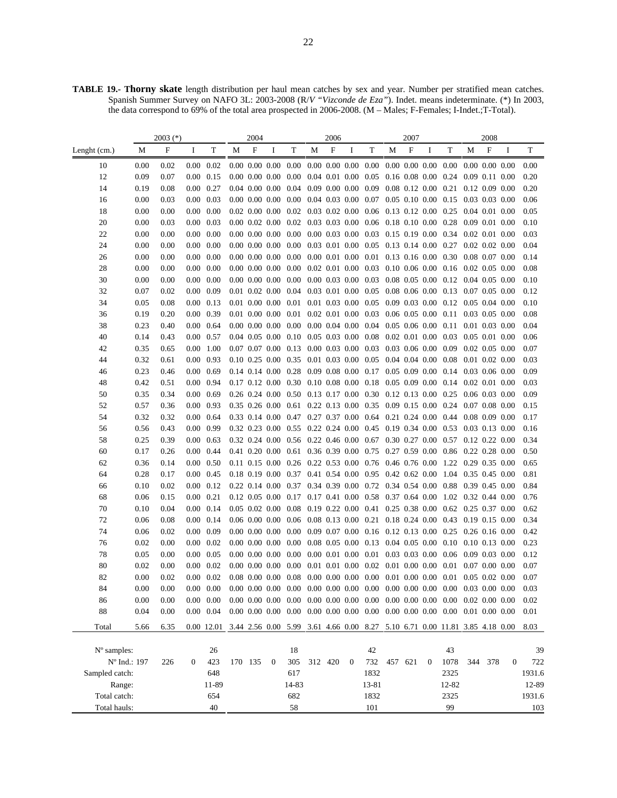**TABLE 19.- Thorny skate** length distribution per haul mean catches by sex and year. Number per stratified mean catches. Spanish Summer Survey on NAFO 3L: 2003-2008 (R/*V "Vizconde de Eza"*). Indet. means indeterminate. (\*) In 2003, the data correspond to 69% of the total area prospected in 2006-2008. (M – Males; F-Females; I-Indet.;T-Total).

|                      |              | $2003$ (*)   |                   |                                        |   | 2004    |                          |                                                                          |   | 2006    |              |                             |                       | 2007 |                    |                                                                                                                                                              |                      | 2008               |          |              |
|----------------------|--------------|--------------|-------------------|----------------------------------------|---|---------|--------------------------|--------------------------------------------------------------------------|---|---------|--------------|-----------------------------|-----------------------|------|--------------------|--------------------------------------------------------------------------------------------------------------------------------------------------------------|----------------------|--------------------|----------|--------------|
| Lenght $(cm.)$       | М            | F            | Ι                 | T                                      | М | F       | Ι                        | T                                                                        | М | F       | I            | T                           | M                     | F    | I                  | T                                                                                                                                                            | М                    | F                  | 1        | T            |
| 10                   | 0.00         | 0.02         |                   | $0.00 \quad 0.02$                      |   |         | $0.00\ 0.00\ 0.00\ 0.00$ |                                                                          |   |         |              | $0.00$ $0.00$ $0.00$ $0.00$ |                       |      | $0.00\ 0.00\ 0.00$ | 0.00                                                                                                                                                         |                      | $0.00\ 0.00\ 0.00$ |          | 0.00         |
| 12                   | 0.09         | 0.07         |                   | $0.00 \quad 0.15$                      |   |         |                          | $0.00\ 0.00\ 0.00\ 0.00\ 0.04\ 0.01\ 0.00\ 0.05$                         |   |         |              |                             | $0.16$ 0.08 0.00 0.24 |      |                    |                                                                                                                                                              | 0.09 0.11 0.00       |                    |          | 0.20         |
| 14                   | 0.19         | 0.08         | $0.00 \quad 0.27$ |                                        |   |         |                          | $0.04$ 0.00 0.00 0.04 0.09 0.00 0.00 0.09                                |   |         |              |                             |                       |      |                    | 0.08 0.12 0.00 0.21 0.12 0.09 0.00                                                                                                                           |                      |                    |          | 0.20         |
| 16                   | 0.00         | 0.03         | $0.00 \quad 0.03$ |                                        |   |         |                          |                                                                          |   |         |              |                             |                       |      |                    | 0.00 0.00 0.00 0.00 0.04 0.03 0.00 0.07 0.05 0.10 0.00 0.15 0.03 0.03 0.00                                                                                   |                      |                    |          | 0.06         |
| 18                   | 0.00         | 0.00         |                   | $0.00\ 0.00$                           |   |         |                          | 0.02 0.00 0.00 0.02 0.03 0.02 0.00 0.06 0.13 0.12 0.00 0.25              |   |         |              |                             |                       |      |                    |                                                                                                                                                              | $0.04$ 0.01 0.00     |                    |          | 0.05         |
| 20                   | 0.00         | 0.03         | $0.00 \quad 0.03$ |                                        |   |         |                          |                                                                          |   |         |              |                             |                       |      |                    | $0.00\ 0.02\ 0.00\ 0.02\ 0.03\ 0.03\ 0.00\ 0.06\ 0.18\ 0.10\ 0.00\ 0.28\ 0.09\ 0.01\ 0.00$                                                                   |                      |                    |          | 0.10         |
| 22                   | 0.00         | 0.00         |                   | $0.00\ 0.00$                           |   |         |                          |                                                                          |   |         |              |                             |                       |      |                    | 0.00 0.00 0.00 0.00 0.00 0.03 0.00 0.03 0.15 0.19 0.00 0.34 0.02 0.01 0.00                                                                                   |                      |                    |          | 0.03         |
| 24                   | 0.00         | 0.00         |                   | $0.00\ 0.00$                           |   |         |                          |                                                                          |   |         |              |                             |                       |      |                    | 0.00 0.00 0.00 0.00 0.03 0.01 0.00 0.05 0.13 0.14 0.00 0.27 0.02 0.02 0.00                                                                                   |                      |                    |          | 0.04         |
| 26                   | 0.00         | 0.00         |                   | $0.00\ 0.00$                           |   |         | $0.00\ 0.00\ 0.00$       |                                                                          |   |         |              |                             |                       |      |                    | $0.00 \quad 0.00 \quad 0.01 \quad 0.00 \quad 0.01 \quad 0.13 \quad 0.16 \quad 0.00 \quad 0.30$                                                               | $0.08$ 0.07 0.00     |                    |          | 0.14         |
| 28                   | 0.00         | 0.00         |                   | $0.00\ 0.00$                           |   |         |                          |                                                                          |   |         |              |                             |                       |      |                    | $0.00\ 0.00\ 0.00\ 0.00\ 0.02\ 0.01\ 0.00\ 0.03\ 0.10\ 0.06\ 0.00\ 0.16\ 0.02\ 0.05\ 0.00$                                                                   |                      |                    |          | 0.08         |
| 30                   | 0.00         | 0.00         |                   | $0.00\ 0.00$                           |   |         |                          |                                                                          |   |         |              |                             |                       |      |                    | $0.00\ 0.00\ 0.00\ 0.00\ 0.00\ 0.03\ 0.00\ 0.03\ 0.08\ 0.05\ 0.00\ 0.12\ 0.04\ 0.05\ 0.00$                                                                   |                      |                    |          | 0.10         |
| 32                   | 0.07         | 0.02         |                   | $0.00\ 0.09$                           |   |         |                          |                                                                          |   |         |              |                             |                       |      |                    | 0.01 0.02 0.00 0.04 0.03 0.01 0.00 0.05 0.08 0.06 0.00 0.13 0.07 0.05 0.00                                                                                   |                      |                    |          | 0.12         |
| 34                   | 0.05         | 0.08         |                   | $0.00 \quad 0.13$                      |   |         |                          |                                                                          |   |         |              |                             |                       |      |                    | 0.01 0.00 0.00 0.01 0.01 0.03 0.00 0.05 0.09 0.03 0.00 0.12 0.05 0.04 0.00                                                                                   |                      |                    |          | 0.10         |
| 36                   | 0.19         | 0.20         |                   | $0.00 \quad 0.39$                      |   |         |                          | 0.01 0.00 0.00 0.01 0.02 0.01 0.00 0.03 0.06 0.05 0.00 0.11              |   |         |              |                             |                       |      |                    |                                                                                                                                                              | $0.03$ 0.05 0.00     |                    |          | 0.08         |
| 38                   | 0.23         | 0.40         |                   | $0.00 \quad 0.64$                      |   |         |                          |                                                                          |   |         |              |                             |                       |      |                    | $0.00\ 0.00\ 0.00\ 0.00\ 0.00\ 0.04\ 0.00\ 0.04\ 0.05\ 0.06\ 0.00\ 0.11\ 0.01\ 0.03\ 0.00$                                                                   |                      |                    |          | 0.04         |
| 40                   | 0.14         | 0.43         |                   | $0.00 \quad 0.57$                      |   |         |                          |                                                                          |   |         |              |                             |                       |      |                    | $0.04$ $0.05$ $0.00$ $0.10$ $0.05$ $0.03$ $0.00$ $0.08$ $0.02$ $0.01$ $0.00$ $0.03$ $0.05$ $0.01$ $0.00$                                                     |                      |                    |          | 0.06         |
| 42                   | 0.35         | 0.65         |                   | $0.00 \quad 1.00$                      |   |         |                          | 0.07 0.07 0.00 0.13 0.00 0.03 0.00 0.03 0.03 0.06 0.00 0.09              |   |         |              |                             |                       |      |                    |                                                                                                                                                              | $0.02\ 0.05\ 0.00$   |                    |          | 0.07         |
| 44                   | 0.32         | 0.61         |                   | $0.00 \quad 0.93$                      |   |         |                          | 0.10 0.25 0.00 0.35 0.01 0.03 0.00 0.05 0.04 0.04 0.00 0.08              |   |         |              |                             |                       |      |                    |                                                                                                                                                              | $0.01$ $0.02$ $0.00$ |                    |          | 0.03         |
| 46                   | 0.23         | 0.46         | $0.00 \quad 0.69$ |                                        |   |         |                          | 0.14 0.14 0.00 0.28 0.09 0.08 0.00 0.17 0.05 0.09 0.00 0.14              |   |         |              |                             |                       |      |                    |                                                                                                                                                              | $0.03$ 0.06 0.00     |                    |          | 0.09         |
| 48                   | 0.42         | 0.51         |                   | $0.00 \quad 0.94$                      |   |         |                          |                                                                          |   |         |              |                             |                       |      |                    | $0.17$ $0.12$ $0.00$ $0.30$ $0.10$ $0.08$ $0.00$ $0.18$ $0.05$ $0.09$ $0.00$ $0.14$ $0.02$ $0.01$ $0.00$                                                     |                      |                    |          | 0.03         |
| 50                   | 0.35         | 0.34         |                   | $0.00 \quad 0.69$                      |   |         |                          |                                                                          |   |         |              |                             |                       |      |                    | 0.26 0.24 0.00 0.50 0.13 0.17 0.00 0.30 0.12 0.13 0.00 0.25 0.06 0.03 0.00                                                                                   |                      |                    |          | 0.09         |
| 52                   | 0.57         | 0.36         | $0.00 \quad 0.93$ |                                        |   |         |                          | 0.35 0.26 0.00 0.61 0.22 0.13 0.00 0.35 0.09 0.15 0.00 0.24              |   |         |              |                             |                       |      |                    |                                                                                                                                                              | $0.07$ 0.08 0.00     |                    |          | 0.15         |
| 54                   | 0.32         | 0.32         |                   | $0.00 \quad 0.64$                      |   |         |                          | 0.33 0.14 0.00 0.47 0.27 0.37 0.00 0.64 0.21 0.24 0.00 0.44              |   |         |              |                             |                       |      |                    |                                                                                                                                                              | $0.08$ 0.09 0.00     |                    |          | 0.17         |
| 56                   | 0.56         | 0.43         |                   | $0.00 \quad 0.99$                      |   |         |                          |                                                                          |   |         |              |                             |                       |      |                    | 0.32 0.23 0.00 0.55 0.22 0.24 0.00 0.45 0.19 0.34 0.00 0.53 0.03 0.13 0.00                                                                                   |                      |                    |          | 0.16         |
| 58                   | 0.25         | 0.39         | $0.00 \quad 0.63$ |                                        |   |         |                          |                                                                          |   |         |              |                             |                       |      |                    | 0.32 0.24 0.00 0.56 0.22 0.46 0.00 0.67 0.30 0.27 0.00 0.57 0.12 0.22 0.00                                                                                   |                      |                    |          | 0.34         |
| 60                   | 0.17         | 0.26         |                   | $0.00 \quad 0.44$                      |   |         |                          |                                                                          |   |         |              |                             |                       |      |                    | 0.41 0.20 0.00 0.61 0.36 0.39 0.00 0.75 0.27 0.59 0.00 0.86 0.22 0.28 0.00                                                                                   |                      |                    |          | 0.50         |
| 62                   | 0.36         | 0.14         |                   | $0.00 \quad 0.50$                      |   |         |                          |                                                                          |   |         |              |                             |                       |      |                    | 0.11 0.15 0.00 0.26 0.22 0.53 0.00 0.76 0.46 0.76 0.00 1.22 0.29 0.35 0.00                                                                                   |                      |                    |          | 0.65         |
| 64                   | 0.28         | 0.17         |                   | $0.00 \quad 0.45$                      |   |         |                          | 0.18 0.19 0.00 0.37 0.41 0.54 0.00 0.95 0.42 0.62 0.00                   |   |         |              |                             |                       |      |                    | 1.04                                                                                                                                                         | 0.35 0.45 0.00       |                    |          | 0.81         |
| 66                   | 0.10         | 0.02         |                   | $0.00 \quad 0.12$                      |   |         |                          |                                                                          |   |         |              |                             |                       |      |                    | 0.22 0.14 0.00 0.37 0.34 0.39 0.00 0.72 0.34 0.54 0.00 0.88 0.39 0.45 0.00                                                                                   |                      |                    |          | 0.84         |
| 68                   | 0.06         | 0.15         | $0.00 \quad 0.21$ |                                        |   |         |                          | 0.12 0.05 0.00 0.17 0.17 0.41 0.00 0.58 0.37 0.64 0.00                   |   |         |              |                             |                       |      |                    | $1.02$ 0.32 0.44 0.00                                                                                                                                        |                      |                    |          | 0.76         |
| 70                   | 0.10         | 0.04         |                   | $0.00 \quad 0.14$                      |   |         |                          |                                                                          |   |         |              |                             |                       |      |                    | 0.05 0.02 0.00 0.08 0.19 0.22 0.00 0.41 0.25 0.38 0.00 0.62 0.25 0.37 0.00                                                                                   |                      |                    |          | 0.62         |
| 72                   | 0.06         | 0.08         |                   | $0.00 \quad 0.14$                      |   |         |                          |                                                                          |   |         |              |                             |                       |      |                    | 0.06 0.00 0.00 0.06 0.08 0.13 0.00 0.21 0.18 0.24 0.00 0.43 0.19 0.15 0.00                                                                                   |                      |                    |          | 0.34         |
| 74                   | 0.06         | 0.02         |                   | $0.00 \quad 0.09$                      |   |         |                          |                                                                          |   |         |              |                             |                       |      |                    | 0.00 0.00 0.00 0.00 0.09 0.07 0.00 0.16 0.12 0.13 0.00 0.25 0.26 0.16 0.00                                                                                   |                      |                    |          | 0.42         |
| 76                   | 0.02         | 0.00         | $0.00 \quad 0.02$ |                                        |   |         |                          | $0.00\ 0.00\ 0.00\ 0.00\ 0.00\ 0.01\ 0.00\ 0.01\ 0.03\ 0.03\ 0.00\ 0.06$ |   |         |              |                             |                       |      |                    | 0.00 0.00 0.00 0.00 0.08 0.05 0.00 0.13 0.04 0.05 0.00 0.10 0.10 0.13 0.00                                                                                   |                      |                    |          | 0.23         |
| 78                   | 0.05         | 0.00         |                   | $0.00 \quad 0.05$<br>$0.00 \quad 0.02$ |   |         |                          |                                                                          |   |         |              |                             |                       |      |                    |                                                                                                                                                              | $0.09$ $0.03$ $0.00$ |                    |          | 0.12         |
| 80<br>82             | 0.02<br>0.00 | 0.00<br>0.02 | $0.00\,$          | 0.02                                   |   |         |                          | $0.08$ 0.00 0.00 0.08                                                    |   |         |              |                             |                       |      |                    | $0.00\ 0.00\ 0.00\ 0.00\ 0.01\ 0.01\ 0.00\ 0.02\ 0.01\ 0.00\ 0.00\ 0.01\ 0.07\ 0.00\ 0.00$<br>$0.00\ 0.00\ 0.00\ 0.00\ 0.01\ 0.00\ 0.00\ 0.01$               | $0.05$ 0.02 0.00     |                    |          | 0.07<br>0.07 |
| 84                   | 0.00         | 0.00         |                   | $0.00\ 0.00$                           |   |         |                          |                                                                          |   |         |              |                             |                       |      |                    | $0.00\  \  0.00\  \  0.00\  \  0.00\  \  0.00\  \  0.00\  \  0.00\  \  0.00\  \  0.00\  \  0.00\  \  0.00\  \  0.00\  \  0.00\  \  0.03\  \  0.00\  \  0.00$ |                      |                    |          | 0.03         |
| 86                   | 0.00         | 0.00         |                   | $0.00\ 0.00$                           |   |         |                          |                                                                          |   |         |              |                             |                       |      |                    | $0.00\  \  0.00\  \  0.00\  \  0.00\  \  0.00\  \  0.00\  \  0.00\  \  0.00\  \  0.00\  \  0.00\  \  0.00\  \  0.00\  \  0.02\  \  0.00\  \  0.00$           |                      |                    |          | 0.02         |
| 88                   | 0.04         | 0.00         |                   | $0.00 \quad 0.04$                      |   |         |                          |                                                                          |   |         |              |                             |                       |      |                    | $0.00\,0.00\,0.00\,0.00\,0.00\,0.00\,0.00\,0.00\,0.00\,0.00\,0.00\,0.00\,0.00\,0.01\,0.00\,0.00$                                                             |                      |                    |          | 0.01         |
|                      |              |              |                   |                                        |   |         |                          |                                                                          |   |         |              |                             |                       |      |                    |                                                                                                                                                              |                      |                    |          |              |
| Total                | 5.66         | 6.35         |                   | 0.00 12.01                             |   |         |                          | 3.44 2.56 0.00 5.99 3.61 4.66 0.00                                       |   |         |              | 8.27                        |                       |      |                    | 5.10 6.71 0.00 11.81 3.85 4.18 0.00                                                                                                                          |                      |                    |          | 8.03         |
| $N^{\circ}$ samples: |              |              |                   | 26                                     |   |         |                          | 18                                                                       |   |         |              | 42                          |                       |      |                    | 43                                                                                                                                                           |                      |                    |          | 39           |
|                      | Nº Ind.: 197 | 226          | $\overline{0}$    | 423                                    |   | 170 135 | $\mathbf{0}$             | 305                                                                      |   | 312 420 | $\mathbf{0}$ | 732                         | 457 621               |      | $\overline{0}$     | 1078                                                                                                                                                         | 344                  | 378                | $\bf{0}$ | 722          |
| Sampled catch:       |              |              |                   | 648                                    |   |         |                          | 617                                                                      |   |         |              | 1832                        |                       |      |                    | 2325                                                                                                                                                         |                      |                    |          | 1931.6       |
| Range:               |              |              |                   | 11-89                                  |   |         |                          | 14-83                                                                    |   |         |              | 13-81                       |                       |      |                    | 12-82                                                                                                                                                        |                      |                    |          | 12-89        |
| Total catch:         |              |              |                   | 654                                    |   |         |                          | 682                                                                      |   |         |              | 1832                        |                       |      |                    | 2325                                                                                                                                                         |                      |                    |          | 1931.6       |
| Total hauls:         |              |              |                   | 40                                     |   |         |                          | 58                                                                       |   |         |              | 101                         |                       |      |                    | 99                                                                                                                                                           |                      |                    |          | 103          |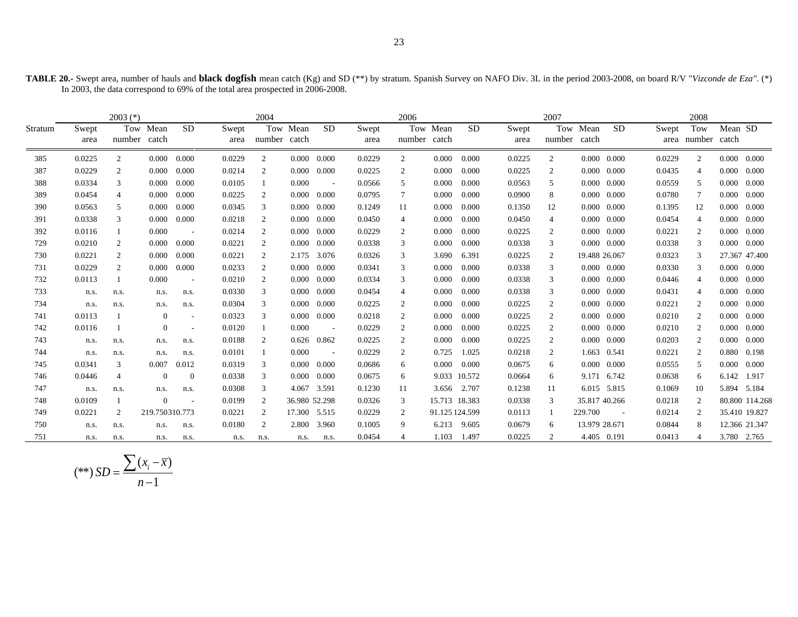|                                                                                | TABLE 20.- Swept area, number of hauls and black dogfish mean catch (Kg) and SD (**) by stratum. Spanish Survey on NAFO Div. 3L in the period 2003-2008, on board R/V "Vizconde de Eza". (*) |
|--------------------------------------------------------------------------------|----------------------------------------------------------------------------------------------------------------------------------------------------------------------------------------------|
| In 2003, the data correspond to 69% of the total area prospected in 2006-2008. |                                                                                                                                                                                              |

|         |               | $2003$ (*)     |                          |                          |               | 2004           |               |                 |               | 2006           |                |              |               | 2007           |                   |                     |        | 2008                     |         |                |
|---------|---------------|----------------|--------------------------|--------------------------|---------------|----------------|---------------|-----------------|---------------|----------------|----------------|--------------|---------------|----------------|-------------------|---------------------|--------|--------------------------|---------|----------------|
| Stratum | Swept<br>area |                | Tow Mean<br>number catch | <b>SD</b>                | Swept<br>area | number catch   | Tow Mean      | <b>SD</b>       | Swept<br>area | number catch   | Tow Mean       | <b>SD</b>    | Swept<br>area | number         | Tow Mean<br>catch | <b>SD</b>           | Swept  | Tow<br>area number catch | Mean SD |                |
| 385     | 0.0225        | 2              | 0.000                    | 0.000                    | 0.0229        | 2              | 0.000         | 0.000           | 0.0229        | 2              | 0.000          | 0.000        | 0.0225        | 2              |                   | $0.000 \quad 0.000$ | 0.0229 | 2                        | 0.000   | 0.000          |
| 387     | 0.0229        | 2              | 0.000                    | 0.000                    | 0.0214        | 2              | 0.000         | 0.000           | 0.0225        | 2              | 0.000          | 0.000        | 0.0225        | 2              | 0.000             | 0.000               | 0.0435 | $\overline{4}$           | 0.000   | 0.000          |
| 388     | 0.0334        | 3              | 0.000                    | 0.000                    | 0.0105        |                | 0.000         | $\sim$          | 0.0566        | 5              | 0.000          | 0.000        | 0.0563        | 5              | 0.000             | 0.000               | 0.0559 | 5                        | 0.000   | 0.000          |
| 389     | 0.0454        | $\overline{4}$ | 0.000                    | 0.000                    | 0.0225        | 2              | 0.000         | 0.000           | 0.0795        | 7              | 0.000          | 0.000        | 0.0900        | 8              | 0.000             | 0.000               | 0.0780 | 7                        | 0.000   | 0.000          |
| 390     | 0.0563        | 5              | 0.000                    | 0.000                    | 0.0345        | 3              | 0.000         | 0.000           | 0.1249        | 11             | 0.000          | 0.000        | 0.1350        | 12             | 0.000             | 0.000               | 0.1395 | 12                       | 0.000   | 0.000          |
| 391     | 0.0338        | 3              | 0.000                    | 0.000                    | 0.0218        | $\overline{2}$ | 0.000         | 0.000           | 0.0450        | 4              | 0.000          | 0.000        | 0.0450        | $\overline{4}$ | 0.000             | 0.000               | 0.0454 | $\overline{4}$           | 0.000   | 0.000          |
| 392     | 0.0116        |                | 0.000                    |                          | 0.0214        | 2              | 0.000         | 0.000           | 0.0229        | 2              | 0.000          | 0.000        | 0.0225        | 2              | 0.000             | 0.000               | 0.0221 | 2                        | 0.000   | 0.000          |
| 729     | 0.0210        | 2              | 0.000                    | 0.000                    | 0.0221        | 2              | 0.000         | 0.000           | 0.0338        | 3              | 0.000          | 0.000        | 0.0338        | 3              |                   | $0.000 \quad 0.000$ | 0.0338 | 3                        | 0.000   | 0.000          |
| 730     | 0.0221        | $\overline{2}$ | 0.000                    | 0.000                    | 0.0221        | 2              | 2.175         | 3.076           | 0.0326        | 3              | 3.690          | 6.391        | 0.0225        | 2              | 19.488 26.067     |                     | 0.0323 | 3                        |         | 27.367 47.400  |
| 731     | 0.0229        | 2              | 0.000                    | 0.000                    | 0.0233        | 2              | 0.000         | 0.000           | 0.0341        | 3              | 0.000          | 0.000        | 0.0338        | 3              |                   | $0.000 \quad 0.000$ | 0.0330 | 3                        | 0.000   | 0.000          |
| 732     | 0.0113        |                | 0.000                    | $\sim$                   | 0.0210        | 2              | 0.000         | 0.000           | 0.0334        | 3              | 0.000          | 0.000        | 0.0338        | 3              |                   | $0.000 \quad 0.000$ | 0.0446 | $\overline{4}$           | 0.000   | 0.000          |
| 733     | n.s.          | n.s.           | n.s.                     | n.s.                     | 0.0330        | 3              | 0.000         | 0.000           | 0.0454        | 4              | 0.000          | 0.000        | 0.0338        | 3              | 0.000             | 0.000               | 0.0431 | $\overline{4}$           | 0.000   | 0.000          |
| 734     | n.s.          | n.s.           | n.s.                     | n.s.                     | 0.0304        | 3              | 0.000         | 0.000           | 0.0225        | $\overline{2}$ | 0.000          | 0.000        | 0.0225        | 2              |                   | $0.000 \quad 0.000$ | 0.0221 | 2                        | 0.000   | 0.000          |
| 741     | 0.0113        |                | $\Omega$                 | $\overline{\phantom{a}}$ | 0.0323        | 3              | 0.000         | 0.000           | 0.0218        | 2              | 0.000          | 0.000        | 0.0225        | 2              |                   | $0.000 \quad 0.000$ | 0.0210 | 2                        | 0.000   | 0.000          |
| 742     | 0.0116        |                | $\Omega$                 |                          | 0.0120        |                | 0.000         | $\sim$          | 0.0229        | 2              | 0.000          | 0.000        | 0.0225        | 2              | 0.000             | 0.000               | 0.0210 | 2                        | 0.000   | 0.000          |
| 743     | n.s.          | n.s.           | n.s.                     | n.s.                     | 0.0188        | 2              |               | $0.626$ $0.862$ | 0.0225        | 2              | 0.000          | 0.000        | 0.0225        | 2              | 0.000             | 0.000               | 0.0203 | 2                        | 0.000   | 0.000          |
| 744     | n.s.          | n.s.           | n.s.                     | n.s.                     | 0.0101        |                | 0.000         |                 | 0.0229        | 2              | 0.725          | 1.025        | 0.0218        | 2              | 1.663             | 0.541               | 0.0221 | 2                        | 0.880   | 0.198          |
| 745     | 0.0341        | 3              | 0.007                    | 0.012                    | 0.0319        | 3              | 0.000         | 0.000           | 0.0686        | 6              | 0.000          | 0.000        | 0.0675        | 6              |                   | $0.000 \quad 0.000$ | 0.0555 | 5                        | 0.000   | 0.000          |
| 746     | 0.0446        | $\overline{4}$ | $\Omega$                 | $\overline{0}$           | 0.0338        | 3              | 0.000         | 0.000           | 0.0675        | 6              |                | 9.033 10.572 | 0.0664        | 6              |                   | 9.171 6.742         | 0.0638 | 6                        | 6.142   | 1.917          |
| 747     | n.s.          | n.s.           | n.s.                     | n.s.                     | 0.0308        | 3              | 4.067 3.591   |                 | 0.1230        | 11             |                | 3.656 2.707  | 0.1238        | 11             |                   | 6.015 5.815         | 0.1069 | 10                       |         | 5.894 5.184    |
| 748     | 0.0109        |                | $\Omega$                 |                          | 0.0199        | 2              | 36.980 52.298 |                 | 0.0326        | 3              | 15.713 18.383  |              | 0.0338        | 3              | 35.817 40.266     |                     | 0.0218 | 2                        |         | 80.800 114.268 |
| 749     | 0.0221        | 2              | 219.750310.773           |                          | 0.0221        | $\overline{2}$ | 17.300 5.515  |                 | 0.0229        | 2              | 91.125 124.599 |              | 0.0113        |                | 229.700           |                     | 0.0214 | 2                        |         | 35.410 19.827  |
| 750     | n.s.          | n.s.           | n.s.                     | n.s.                     | 0.0180        | 2              | 2.800         | 3.960           | 0.1005        | 9              |                | 6.213 9.605  | 0.0679        | 6              | 13.979 28.671     |                     | 0.0844 | 8                        |         | 12.366 21.347  |
| 751     | n.s.          | n.s.           | n.s.                     | n.s.                     | n.s.          | n.s.           | n.s.          | n.s.            | 0.0454        |                | 1.103          | 1.497        | 0.0225        | 2              |                   | 4.405 0.191         | 0.0413 |                          |         | 3.780 2.765    |

$$
(**) SD = \frac{\sum (x_i - \overline{x})}{n - 1}
$$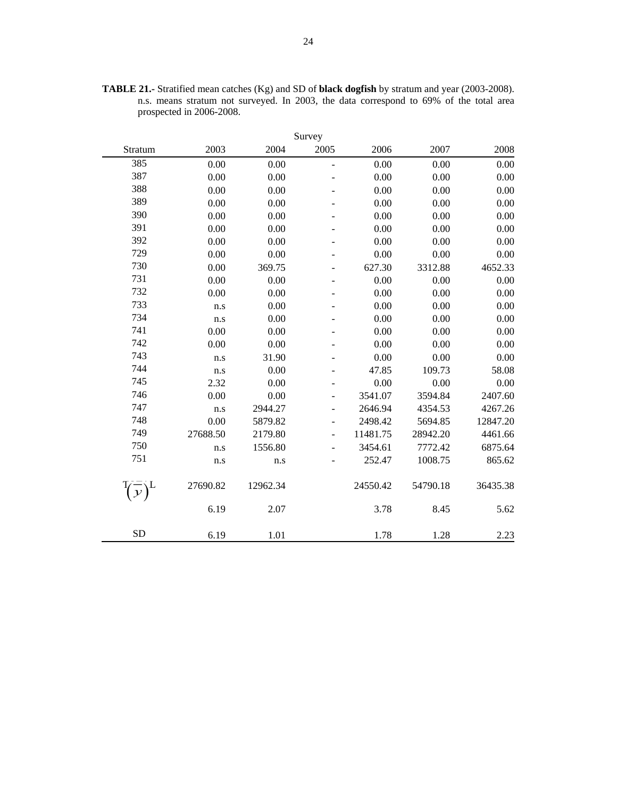|           |          |          | Survey                       |          |          |          |
|-----------|----------|----------|------------------------------|----------|----------|----------|
| Stratum   | 2003     | 2004     | 2005                         | 2006     | 2007     | 2008     |
| 385       | 0.00     | 0.00     | $\overline{a}$               | 0.00     | 0.00     | 0.00     |
| 387       | 0.00     | 0.00     |                              | 0.00     | 0.00     | 0.00     |
| 388       | 0.00     | 0.00     |                              | 0.00     | 0.00     | 0.00     |
| 389       | 0.00     | 0.00     |                              | 0.00     | 0.00     | 0.00     |
| 390       | 0.00     | 0.00     |                              | 0.00     | 0.00     | 0.00     |
| 391       | 0.00     | 0.00     |                              | 0.00     | 0.00     | 0.00     |
| 392       | 0.00     | 0.00     |                              | 0.00     | 0.00     | 0.00     |
| 729       | 0.00     | 0.00     |                              | 0.00     | 0.00     | 0.00     |
| 730       | 0.00     | 369.75   |                              | 627.30   | 3312.88  | 4652.33  |
| 731       | 0.00     | 0.00     |                              | 0.00     | 0.00     | 0.00     |
| 732       | 0.00     | 0.00     |                              | 0.00     | 0.00     | 0.00     |
| 733       | n.s      | 0.00     |                              | 0.00     | 0.00     | 0.00     |
| 734       | n.s      | 0.00     |                              | 0.00     | 0.00     | 0.00     |
| 741       | 0.00     | 0.00     |                              | 0.00     | 0.00     | 0.00     |
| 742       | 0.00     | 0.00     |                              | 0.00     | 0.00     | 0.00     |
| 743       | n.s      | 31.90    |                              | 0.00     | 0.00     | 0.00     |
| 744       | n.s      | 0.00     |                              | 47.85    | 109.73   | 58.08    |
| 745       | 2.32     | 0.00     |                              | 0.00     | 0.00     | 0.00     |
| 746       | 0.00     | 0.00     | $\qquad \qquad \blacksquare$ | 3541.07  | 3594.84  | 2407.60  |
| 747       | n.s      | 2944.27  |                              | 2646.94  | 4354.53  | 4267.26  |
| 748       | 0.00     | 5879.82  |                              | 2498.42  | 5694.85  | 12847.20 |
| 749       | 27688.50 | 2179.80  |                              | 11481.75 | 28942.20 | 4461.66  |
| 750       | n.s      | 1556.80  | $\overline{\phantom{0}}$     | 3454.61  | 7772.42  | 6875.64  |
| 751       | n.s      | n.s      |                              | 252.47   | 1008.75  | 865.62   |
|           | 27690.82 | 12962.34 |                              | 24550.42 | 54790.18 | 36435.38 |
|           | 6.19     | 2.07     |                              | 3.78     | 8.45     | 5.62     |
| <b>SD</b> | 6.19     | 1.01     |                              | 1.78     | 1.28     | 2.23     |

**TABLE 21.-** Stratified mean catches (Kg) and SD of **black dogfish** by stratum and year (2003-2008). n.s. means stratum not surveyed. In 2003, the data correspond to 69% of the total area prospected in 2006-2008.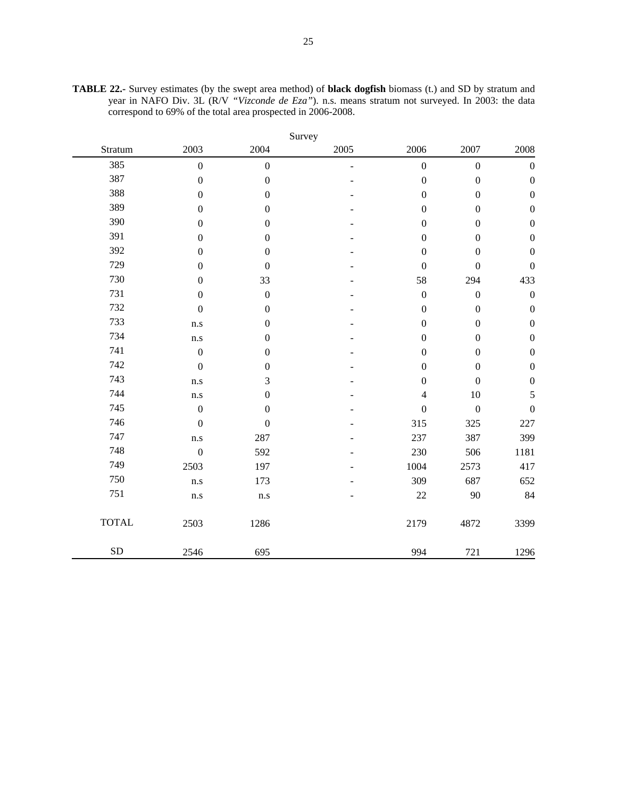|              |                  |                  | Survey |                  |                  |                  |
|--------------|------------------|------------------|--------|------------------|------------------|------------------|
| Stratum      | 2003             | 2004             | 2005   | 2006             | 2007             | 2008             |
| 385          | $\mathbf{0}$     | $\boldsymbol{0}$ | L,     | $\mathbf{0}$     | $\boldsymbol{0}$ | $\boldsymbol{0}$ |
| 387          | $\boldsymbol{0}$ | $\boldsymbol{0}$ |        | $\boldsymbol{0}$ | $\boldsymbol{0}$ | $\boldsymbol{0}$ |
| 388          | $\boldsymbol{0}$ | $\boldsymbol{0}$ |        | $\boldsymbol{0}$ | $\boldsymbol{0}$ | $\boldsymbol{0}$ |
| 389          | $\boldsymbol{0}$ | $\boldsymbol{0}$ |        | $\boldsymbol{0}$ | $\boldsymbol{0}$ | $\boldsymbol{0}$ |
| 390          | $\boldsymbol{0}$ | $\boldsymbol{0}$ |        | $\boldsymbol{0}$ | $\boldsymbol{0}$ | $\boldsymbol{0}$ |
| 391          | $\boldsymbol{0}$ | $\boldsymbol{0}$ |        | $\boldsymbol{0}$ | $\boldsymbol{0}$ | $\boldsymbol{0}$ |
| 392          | $\boldsymbol{0}$ | $\boldsymbol{0}$ |        | $\boldsymbol{0}$ | $\boldsymbol{0}$ | $\boldsymbol{0}$ |
| 729          | $\boldsymbol{0}$ | $\boldsymbol{0}$ |        | $\boldsymbol{0}$ | $\boldsymbol{0}$ | $\boldsymbol{0}$ |
| 730          | $\boldsymbol{0}$ | 33               |        | 58               | 294              | 433              |
| 731          | $\boldsymbol{0}$ | $\boldsymbol{0}$ |        | $\boldsymbol{0}$ | $\boldsymbol{0}$ | $\boldsymbol{0}$ |
| 732          | $\boldsymbol{0}$ | $\boldsymbol{0}$ |        | $\boldsymbol{0}$ | $\boldsymbol{0}$ | $\boldsymbol{0}$ |
| 733          | n.s              | $\boldsymbol{0}$ |        | $\boldsymbol{0}$ | $\boldsymbol{0}$ | $\boldsymbol{0}$ |
| 734          | n.s              | $\boldsymbol{0}$ |        | $\boldsymbol{0}$ | $\boldsymbol{0}$ | $\boldsymbol{0}$ |
| 741          | $\boldsymbol{0}$ | $\boldsymbol{0}$ |        | $\boldsymbol{0}$ | $\boldsymbol{0}$ | $\boldsymbol{0}$ |
| 742          | $\overline{0}$   | $\boldsymbol{0}$ |        | $\boldsymbol{0}$ | $\boldsymbol{0}$ | $\boldsymbol{0}$ |
| 743          | n.s              | 3                |        | $\boldsymbol{0}$ | $\boldsymbol{0}$ | $\boldsymbol{0}$ |
| 744          | n.s              | $\boldsymbol{0}$ |        | $\overline{4}$   | $10\,$           | 5                |
| 745          | $\boldsymbol{0}$ | $\boldsymbol{0}$ |        | $\boldsymbol{0}$ | $\boldsymbol{0}$ | $\boldsymbol{0}$ |
| 746          | $\mathbf{0}$     | $\boldsymbol{0}$ |        | 315              | 325              | 227              |
| 747          | n.s              | 287              |        | 237              | 387              | 399              |
| 748          | $\boldsymbol{0}$ | 592              |        | 230              | 506              | 1181             |
| 749          | 2503             | 197              |        | 1004             | 2573             | 417              |
| 750          | n.s              | 173              |        | 309              | 687              | 652              |
| 751          | n.s              | n.s              |        | 22               | 90               | 84               |
| <b>TOTAL</b> | 2503             | 1286             |        | 2179             | 4872             | 3399             |
| SD           | 2546             | 695              |        | 994              | 721              | 1296             |

**TABLE 22.-** Survey estimates (by the swept area method) of **black dogfish** biomass (t.) and SD by stratum and year in NAFO Div. 3L (R/V *"Vizconde de Eza"*). n.s. means stratum not surveyed. In 2003: the data correspond to 69% of the total area prospected in 2006-2008.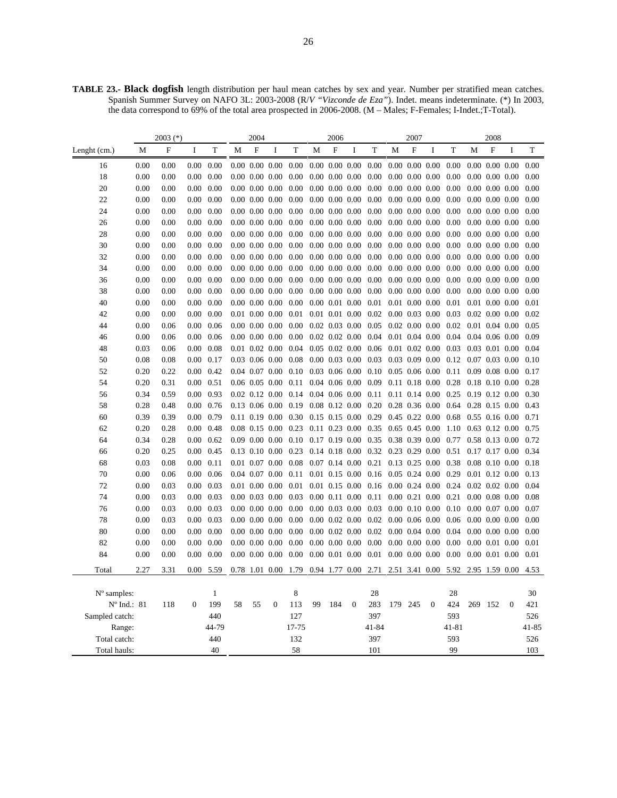**TABLE 23.- Black dogfish** length distribution per haul mean catches by sex and year. Number per stratified mean catches. Spanish Summer Survey on NAFO 3L: 2003-2008 (R/*V "Vizconde de Eza"*). Indet. means indeterminate. (\*) In 2003, the data correspond to 69% of the total area prospected in 2006-2008. (M – Males; F-Females; I-Indet.;T-Total).

|                              | 2003 $(*)$ |      |                |                     | 2004 |                           |                |                       | 2006             |                      |                      |                                    | 2007                 |                      |                      |              | 2008             |                      |                |                  |
|------------------------------|------------|------|----------------|---------------------|------|---------------------------|----------------|-----------------------|------------------|----------------------|----------------------|------------------------------------|----------------------|----------------------|----------------------|--------------|------------------|----------------------|----------------|------------------|
| Lenght (cm.)                 | M          | F    | I              | T                   | M    | $\boldsymbol{\mathrm{F}}$ | I              | T                     | M                | $\mathbf F$          | $\bf{I}$             | T                                  | M                    | F                    | I                    | T            | M                | $\mathbf{F}$         | I              | T                |
| 16                           | 0.00       | 0.00 | 0.00           | 0.00                |      | $0.00$ $0.00$ $0.00$      |                | 0.00                  |                  | $0.00$ $0.00$ $0.00$ |                      | 0.00                               |                      |                      | $0.00\ 0.00\ 0.00$   | 0.00         |                  | $0.00$ $0.00$ $0.00$ |                | 0.00             |
| 18                           | 0.00       | 0.00 | 0.00           | 0.00                |      | $0.00\ 0.00\ 0.00$        |                | 0.00                  |                  | $0.00\ 0.00\ 0.00$   |                      | 0.00                               |                      |                      | $0.00\ 0.00\ 0.00$   | 0.00         |                  | $0.00\ 0.00\ 0.00$   |                | 0.00             |
| 20                           | 0.00       | 0.00 | 0.00           | 0.00                |      | $0.00\ 0.00\ 0.00$        |                | 0.00                  |                  | $0.00$ $0.00$ $0.00$ |                      | 0.00                               |                      |                      | $0.00\ 0.00\ 0.00$   | 0.00         |                  | $0.00\ 0.00\ 0.00$   |                | 0.00             |
| 22                           | 0.00       | 0.00 | 0.00           | 0.00                |      | $0.00\ 0.00\ 0.00$        |                | 0.00                  |                  | $0.00\ 0.00\ 0.00$   |                      | 0.00                               |                      | $0.00\ 0.00\ 0.00$   |                      | 0.00         |                  | $0.00\ 0.00\ 0.00$   |                | 0.00             |
| 24                           | 0.00       | 0.00 | 0.00           | 0.00                |      | $0.00\ 0.00\ 0.00$        |                | 0.00                  |                  | $0.00$ $0.00$ $0.00$ |                      | 0.00                               |                      |                      | $0.00\ 0.00\ 0.00$   | 0.00         |                  | $0.00\ 0.00\ 0.00$   |                | 0.00             |
| 26                           | 0.00       | 0.00 | 0.00           | 0.00                |      | $0.00\ 0.00\ 0.00$        |                | 0.00                  |                  | $0.00\ 0.00\ 0.00$   |                      | 0.00                               |                      |                      | $0.00\ 0.00\ 0.00$   | 0.00         |                  | $0.00\ 0.00\ 0.00$   |                | 0.00             |
| 28                           | 0.00       | 0.00 | 0.00           | 0.00                |      | $0.00\ 0.00\ 0.00$        |                | 0.00                  |                  | $0.00\ 0.00\ 0.00$   |                      | 0.00                               |                      |                      | $0.00\ 0.00\ 0.00$   | 0.00         |                  | $0.00\ 0.00\ 0.00$   |                | 0.00             |
| 30                           | 0.00       | 0.00 | 0.00           | 0.00                |      | $0.00\ 0.00\ 0.00$        |                | 0.00                  |                  | $0.00\ 0.00\ 0.00$   |                      | 0.00                               |                      |                      | $0.00\ 0.00\ 0.00$   | 0.00         |                  | $0.00\ 0.00\ 0.00$   |                | 0.00             |
| 32                           | 0.00       | 0.00 | 0.00           | 0.00                |      | $0.00\ 0.00\ 0.00$        |                | 0.00                  |                  | $0.00\ 0.00\ 0.00$   |                      | 0.00                               |                      | $0.00\ 0.00\ 0.00$   |                      | 0.00         |                  | $0.00\ 0.00\ 0.00$   |                | 0.00             |
| 34                           | 0.00       | 0.00 | 0.00           | 0.00                |      | $0.00\ 0.00\ 0.00$        |                | 0.00                  |                  | $0.00\ 0.00\ 0.00$   |                      | 0.00                               |                      |                      | $0.00\ 0.00\ 0.00$   | 0.00         |                  | $0.00\ 0.00\ 0.00$   |                | 0.00             |
| 36                           | 0.00       | 0.00 | 0.00           | 0.00                |      | $0.00\ 0.00\ 0.00$        |                | 0.00                  |                  | $0.00\ 0.00\ 0.00$   |                      | 0.00                               |                      | $0.00\ 0.00\ 0.00$   |                      | 0.00         |                  | $0.00\ 0.00\ 0.00$   |                | 0.00             |
| 38                           | 0.00       | 0.00 | 0.00           | 0.00                |      | $0.00\ 0.00\ 0.00$        |                | 0.00                  |                  | $0.00\ 0.00\ 0.00$   |                      | 0.00                               |                      |                      | $0.00\ 0.00\ 0.00$   | 0.00         |                  | $0.00\ 0.00\ 0.00$   |                | 0.00             |
| 40                           | 0.00       | 0.00 | 0.00           | 0.00                |      | $0.00\ 0.00\ 0.00$        |                | 0.00                  |                  | $0.00$ $0.01$ $0.00$ |                      | 0.01                               |                      |                      | $0.01$ $0.00$ $0.00$ | 0.01         |                  | $0.01$ $0.00$ $0.00$ |                | 0.01             |
| 42                           | 0.00       | 0.00 | 0.00           | 0.00                |      | $0.01$ $0.00$ $0.00$      |                | 0.01                  |                  | $0.01$ $0.01$ $0.00$ |                      | 0.02                               |                      |                      | $0.00\ 0.03\ 0.00$   | 0.03         |                  | $0.02$ $0.00$ $0.00$ |                | 0.02             |
| 44                           | 0.00       | 0.06 | 0.00           | 0.06                |      | $0.00\ 0.00\ 0.00$        |                | 0.00                  |                  | $0.02$ $0.03$ $0.00$ |                      | 0.05                               |                      | $0.02$ $0.00$ $0.00$ |                      | 0.02         |                  | $0.01$ $0.04$ $0.00$ |                | 0.05             |
| 46                           | 0.00       | 0.06 | 0.00           | 0.06                |      | $0.00\ 0.00\ 0.00$        |                | 0.00                  |                  | $0.02$ $0.02$ $0.00$ |                      | 0.04                               |                      |                      | $0.01$ $0.04$ $0.00$ | 0.04         |                  | $0.04$ 0.06 0.00     |                | 0.09             |
| 48                           | 0.03       | 0.06 | 0.00           | 0.08                |      | $0.01$ $0.02$ $0.00$      |                | 0.04                  |                  | $0.05$ 0.02 0.00     |                      | 0.06                               | $0.01$ $0.02$ $0.00$ |                      |                      | 0.03         |                  | $0.03$ $0.01$ $0.00$ |                | 0.04             |
| 50                           | 0.08       | 0.08 | 0.00           | 0.17                |      | $0.03$ 0.06 0.00          |                | 0.08                  |                  | $0.00$ $0.03$ $0.00$ |                      | 0.03                               |                      |                      | $0.03$ 0.09 0.00     | 0.12         | $0.07$ 0.03 0.00 |                      |                | 0.10             |
| 52                           | 0.20       | 0.22 | 0.00           | 0.42                |      | $0.04$ 0.07 0.00          |                | 0.10                  |                  | $0.03$ 0.06 0.00     |                      | 0.10                               |                      |                      | $0.05$ 0.06 0.00     | 0.11         |                  | $0.09$ $0.08$ $0.00$ |                | 0.17             |
| 54                           | 0.20       | 0.31 |                | $0.00 \quad 0.51$   |      | $0.06$ 0.05 0.00          |                | 0.11                  |                  | $0.04$ 0.06 0.00     |                      | 0.09                               |                      |                      | $0.11$ $0.18$ $0.00$ | 0.28         |                  | $0.18$ 0.10 0.00     |                | 0.28             |
| 56                           | 0.34       | 0.59 | 0.00           | 0.93                |      | $0.02$ 0.12 0.00          |                | $0.14$ 0.04 0.06 0.00 |                  |                      |                      | 0.11                               |                      |                      | $0.11$ $0.14$ $0.00$ | 0.25         |                  | $0.19$ $0.12$ $0.00$ |                | 0.30             |
| 58                           | 0.28       | 0.48 |                | $0.00 \quad 0.76$   |      | $0.13$ 0.06 0.00          |                | 0.19                  |                  | $0.08$ 0.12 0.00     |                      | 0.20                               |                      | $0.28$ 0.36 0.00     |                      | 0.64         |                  | $0.28$ 0.15 0.00     |                | 0.43             |
| 60                           | 0.39       | 0.39 |                | $0.00 \quad 0.79$   |      | $0.11$ $0.19$ $0.00$      |                | 0.30                  | $0.15$ 0.15 0.00 |                      |                      | 0.29                               |                      |                      | $0.45$ 0.22 0.00     | 0.68         |                  | $0.55$ 0.16 0.00     |                | 0.71             |
| 62                           | 0.20       | 0.28 | 0.00           | 0.48                |      | $0.08$ 0.15 0.00          |                | 0.23                  |                  | $0.11$ $0.23$ $0.00$ |                      | 0.35                               |                      |                      | $0.65$ 0.45 0.00     | 1.10         |                  | $0.63$ 0.12 0.00     |                | 0.75             |
| 64                           | 0.34       | 0.28 |                | $0.00 \quad 0.62$   |      | $0.09$ $0.00$ $0.00$      |                | 0.10                  | $0.17$ 0.19 0.00 |                      |                      | 0.35                               |                      |                      | 0.38 0.39 0.00       | 0.77         |                  | $0.58$ 0.13 0.00     |                | 0.72             |
| 66                           | 0.20       | 0.25 | 0.00           | 0.45                |      | $0.13$ $0.10$ $0.00$      |                | 0.23                  |                  | $0.14$ 0.18 0.00     |                      | 0.32                               |                      |                      | $0.23$ 0.29 0.00     | 0.51         |                  | $0.17$ $0.17$ $0.00$ |                | 0.34             |
| 68                           | 0.03       | 0.08 |                | $0.00 \quad 0.11$   |      | $0.01$ $0.07$ $0.00$      |                | 0.08                  |                  | $0.07$ 0.14 0.00     |                      | $0.21$ 0.13 0.25 0.00              |                      |                      |                      | 0.38         |                  | $0.08$ 0.10 0.00     |                | 0.18             |
| 70                           | 0.00       | 0.06 | 0.00           | 0.06                |      | $0.04$ 0.07 0.00          |                | 0.11                  |                  | $0.01$ 0.15 0.00     |                      | 0.16                               |                      |                      | $0.05$ 0.24 0.00     | 0.29         |                  | $0.01$ $0.12$ $0.00$ |                | 0.13             |
| 72                           | 0.00       | 0.03 | 0.00           | 0.03                |      | $0.01$ $0.00$ $0.00$      |                | 0.01                  |                  | $0.01$ $0.15$ $0.00$ |                      | 0.16                               |                      | $0.00$ $0.24$ $0.00$ |                      | 0.24         |                  | $0.02$ $0.02$ $0.00$ |                | 0.04             |
| 74                           | 0.00       | 0.03 | 0.00           | 0.03                |      | $0.00\ 0.03\ 0.00$        |                | 0.03                  |                  | $0.00$ $0.11$ $0.00$ |                      | 0.11                               |                      |                      | $0.00$ $0.21$ $0.00$ | 0.21         |                  | $0.00\ 0.08\ 0.00$   |                | 0.08             |
| 76                           | 0.00       | 0.03 | 0.00           | 0.03                |      | $0.00\ 0.00\ 0.00$        |                | 0.00                  |                  | $0.00$ $0.03$ $0.00$ |                      | 0.03                               |                      |                      | $0.00\ 0.10\ 0.00$   | 0.10         |                  | $0.00\ 0.07\ 0.00$   |                | 0.07             |
| 78                           | 0.00       | 0.03 | 0.00           | 0.03                |      | $0.00\ 0.00\ 0.00$        |                | 0.00                  |                  | $0.00$ $0.02$ $0.00$ |                      | $0.02$ 0.00 0.06 0.00              |                      |                      |                      | 0.06         |                  | $0.00\ 0.00\ 0.00$   |                | 0.00             |
| 80                           | 0.00       | 0.00 | 0.00           | 0.00                |      | $0.00\ 0.00\ 0.00$        |                | 0.00                  |                  | $0.00\ 0.02\ 0.00$   |                      | 0.02                               |                      |                      | $0.00\ 0.04\ 0.00$   | 0.04         |                  | $0.00\ 0.00\ 0.00$   |                | 0.00             |
| 82                           | 0.00       | 0.00 | 0.00           | 0.00                |      | $0.00\ 0.00\ 0.00$        |                | 0.00                  |                  | $0.00\ 0.00\ 0.00$   |                      | $0.00\,$                           | $0.00\ 0.00\ 0.00$   |                      |                      | 0.00         |                  | $0.00$ $0.01$ $0.00$ |                | 0.01             |
| 84                           | 0.00       | 0.00 | 0.00           | 0.00                |      | $0.00\ 0.00\ 0.00$        |                | 0.00                  |                  |                      | $0.00$ $0.01$ $0.00$ | $0.01$ $0.00$ $0.00$ $0.00$ $0.00$ |                      |                      |                      |              |                  | $0.00$ $0.01$ $0.00$ |                | 0.01             |
| Total                        | 2.27       | 3.31 | 0.00           | 5.59                |      |                           | 0.78 1.01 0.00 | 1.79                  |                  |                      | 0.94 1.77 0.00       | 2.71                               |                      |                      | 2.51 3.41 0.00       | 5.92         |                  | 2.95 1.59 0.00       |                | 4.53             |
|                              |            |      |                |                     |      |                           |                |                       |                  |                      |                      |                                    |                      |                      |                      |              |                  |                      |                |                  |
| N° samples:                  |            |      | $\overline{0}$ | $\mathbf{1}$<br>199 |      |                           | $\overline{0}$ | 8                     | 99               |                      | $\overline{0}$       | 28                                 |                      |                      | $\mathbf{0}$         | 28<br>424    | 269              |                      | $\overline{0}$ | 30<br>421        |
| $N^{\circ}$ Ind.: 81         |            | 118  |                |                     | 58   | 55                        |                | 113                   |                  | 184                  |                      | 283                                | 179                  | 245                  |                      |              |                  | 152                  |                |                  |
| Sampled catch:               |            |      |                | 440<br>44-79        |      |                           |                | 127                   |                  |                      |                      | 397                                |                      |                      |                      | 593          |                  |                      |                | 526              |
| Range:                       |            |      |                | 440                 |      |                           |                | 17-75<br>132          |                  |                      |                      | $41 - 84$<br>397                   |                      |                      |                      | 41-81<br>593 |                  |                      |                | $41 - 85$<br>526 |
| Total catch:<br>Total hauls: |            |      |                | 40                  |      |                           |                | 58                    |                  |                      |                      | 101                                |                      |                      |                      | 99           |                  |                      |                | 103              |
|                              |            |      |                |                     |      |                           |                |                       |                  |                      |                      |                                    |                      |                      |                      |              |                  |                      |                |                  |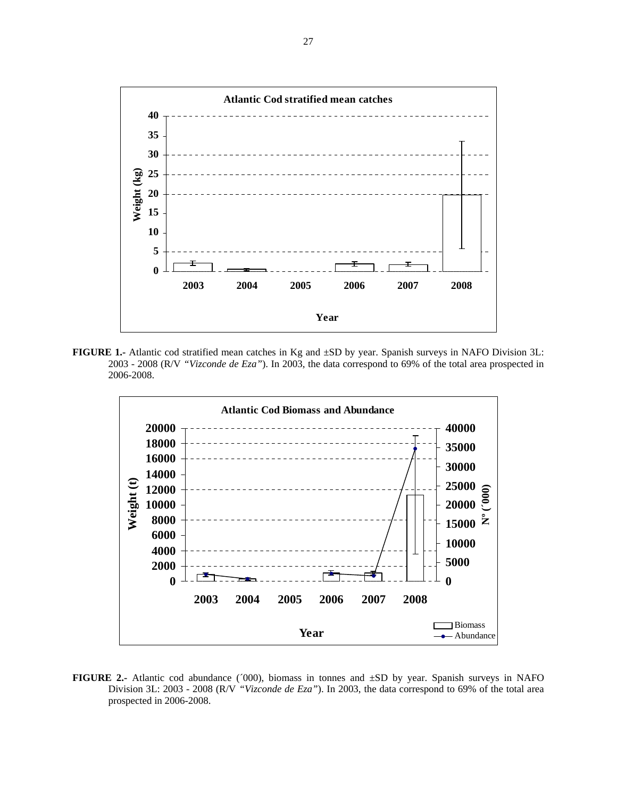

**FIGURE 1.-** Atlantic cod stratified mean catches in Kg and ±SD by year. Spanish surveys in NAFO Division 3L: 2003 - 2008 (R/V *"Vizconde de Eza"*). In 2003, the data correspond to 69% of the total area prospected in 2006-2008.



**FIGURE 2.-** Atlantic cod abundance (´000), biomass in tonnes and ±SD by year. Spanish surveys in NAFO Division 3L: 2003 - 2008 (R/V *"Vizconde de Eza"*). In 2003, the data correspond to 69% of the total area prospected in 2006-2008.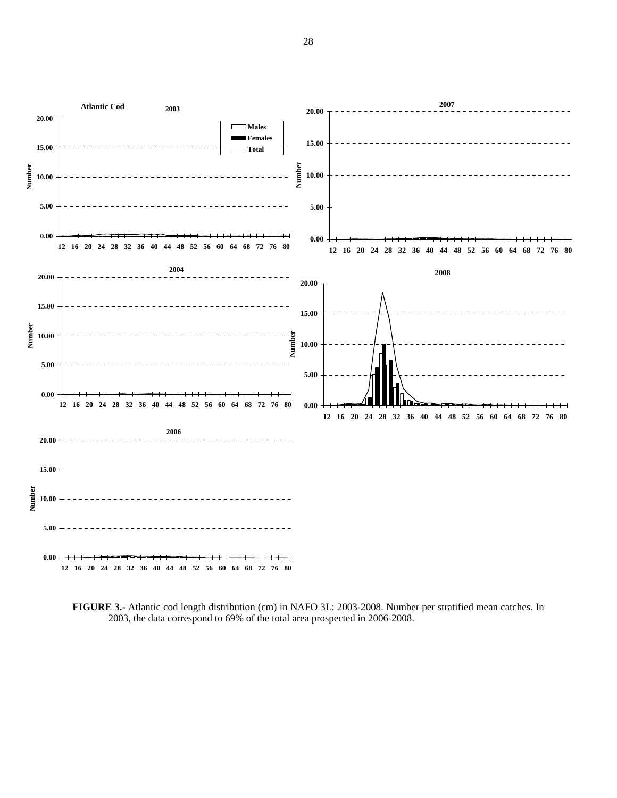

**FIGURE 3.-** Atlantic cod length distribution (cm) in NAFO 3L: 2003-2008. Number per stratified mean catches. In 2003, the data correspond to 69% of the total area prospected in 2006-2008.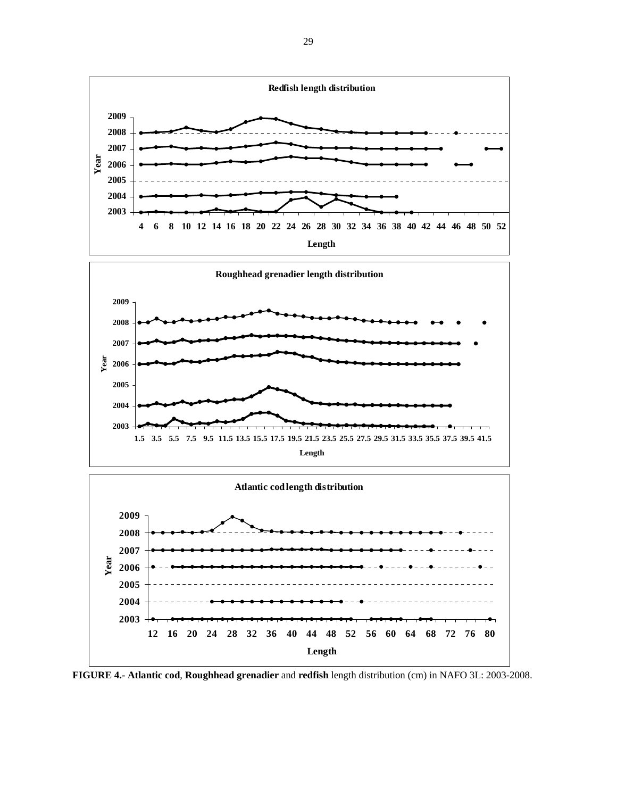

**FIGURE 4.- Atlantic cod**, **Roughhead grenadier** and **redfish** length distribution (cm) in NAFO 3L: 2003-2008.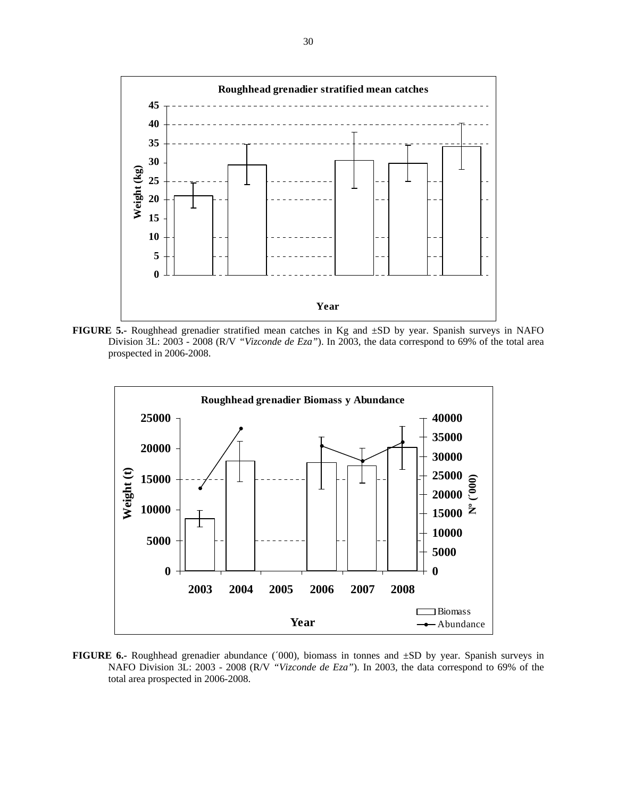

**FIGURE 5.-** Roughhead grenadier stratified mean catches in Kg and ±SD by year. Spanish surveys in NAFO Division 3L: 2003 - 2008 (R/V *"Vizconde de Eza"*). In 2003, the data correspond to 69% of the total area prospected in 2006-2008.



**FIGURE 6.**- Roughhead grenadier abundance ('000), biomass in tonnes and  $\pm SD$  by year. Spanish surveys in NAFO Division 3L: 2003 - 2008 (R/V *"Vizconde de Eza"*). In 2003, the data correspond to 69% of the total area prospected in 2006-2008.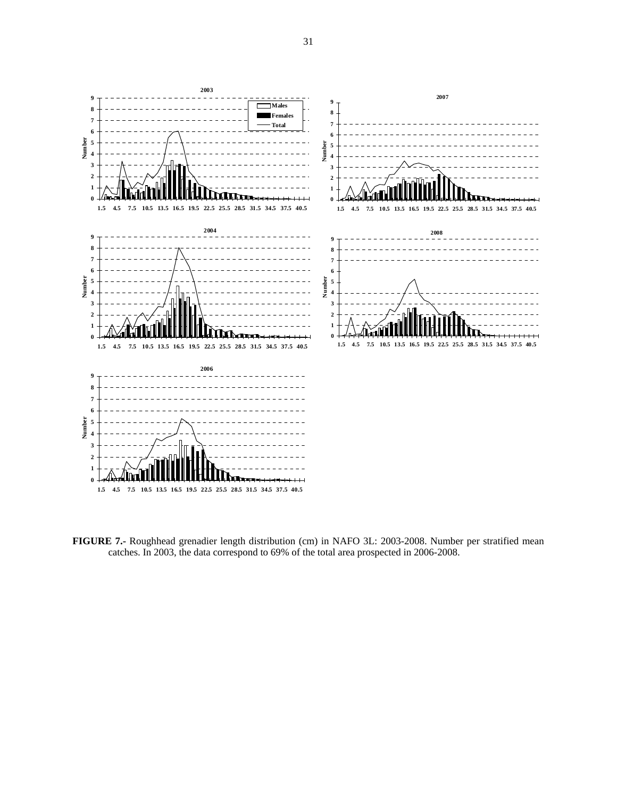

**FIGURE 7.-** Roughhead grenadier length distribution (cm) in NAFO 3L: 2003-2008. Number per stratified mean catches. In 2003, the data correspond to 69% of the total area prospected in 2006-2008.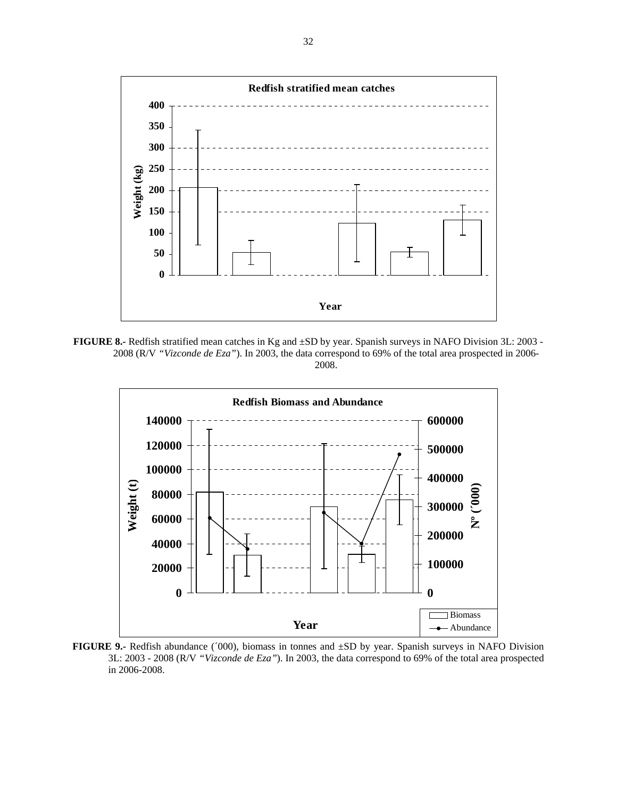

**FIGURE 8.-** Redfish stratified mean catches in Kg and ±SD by year. Spanish surveys in NAFO Division 3L: 2003 - 2008 (R/V *"Vizconde de Eza"*). In 2003, the data correspond to 69% of the total area prospected in 2006- 2008.



**FIGURE 9.-** Redfish abundance (´000), biomass in tonnes and ±SD by year. Spanish surveys in NAFO Division 3L: 2003 - 2008 (R/V *"Vizconde de Eza"*). In 2003, the data correspond to 69% of the total area prospected in 2006-2008.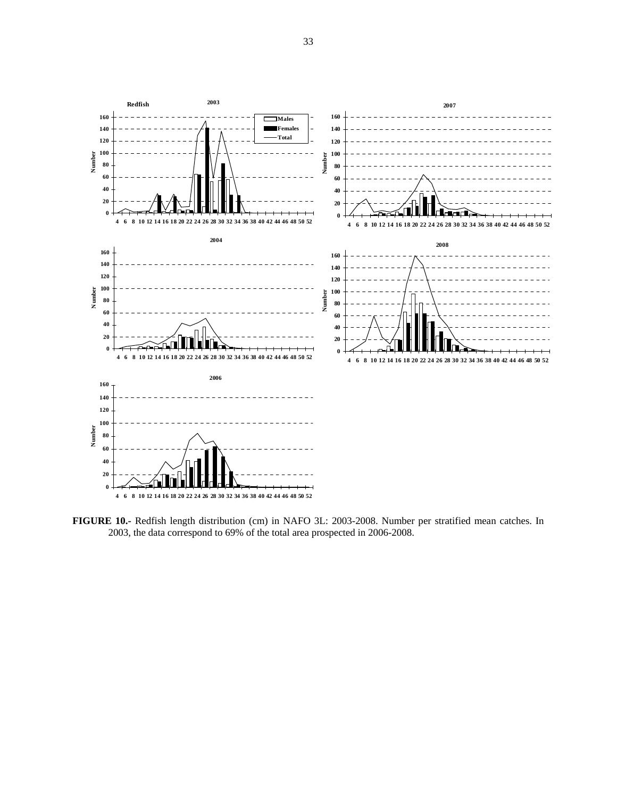

**FIGURE 10.-** Redfish length distribution (cm) in NAFO 3L: 2003-2008. Number per stratified mean catches. In 2003, the data correspond to 69% of the total area prospected in 2006-2008.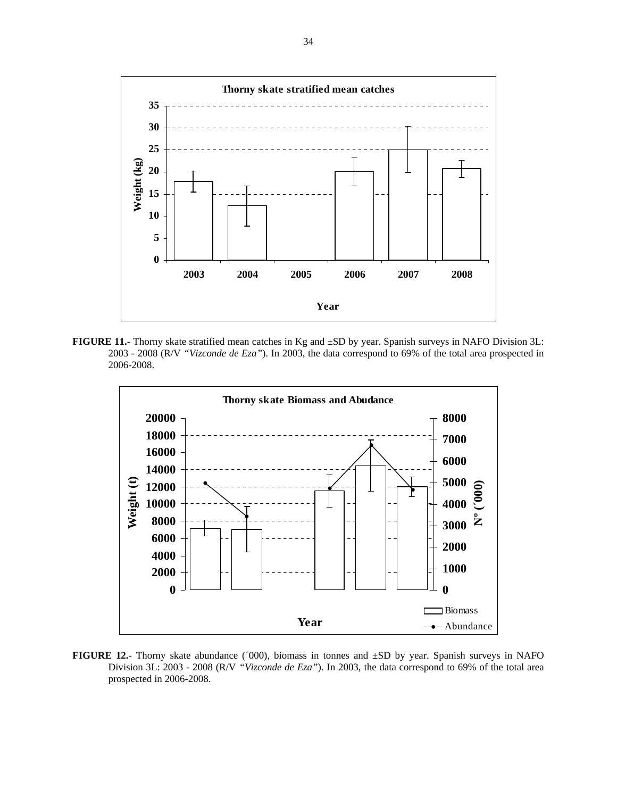

**FIGURE 11.-** Thorny skate stratified mean catches in Kg and ±SD by year. Spanish surveys in NAFO Division 3L: 2003 - 2008 (R/V *"Vizconde de Eza"*). In 2003, the data correspond to 69% of the total area prospected in 2006-2008.



**FIGURE 12.-** Thorny skate abundance (´000), biomass in tonnes and ±SD by year. Spanish surveys in NAFO Division 3L: 2003 - 2008 (R/V *"Vizconde de Eza"*). In 2003, the data correspond to 69% of the total area prospected in 2006-2008.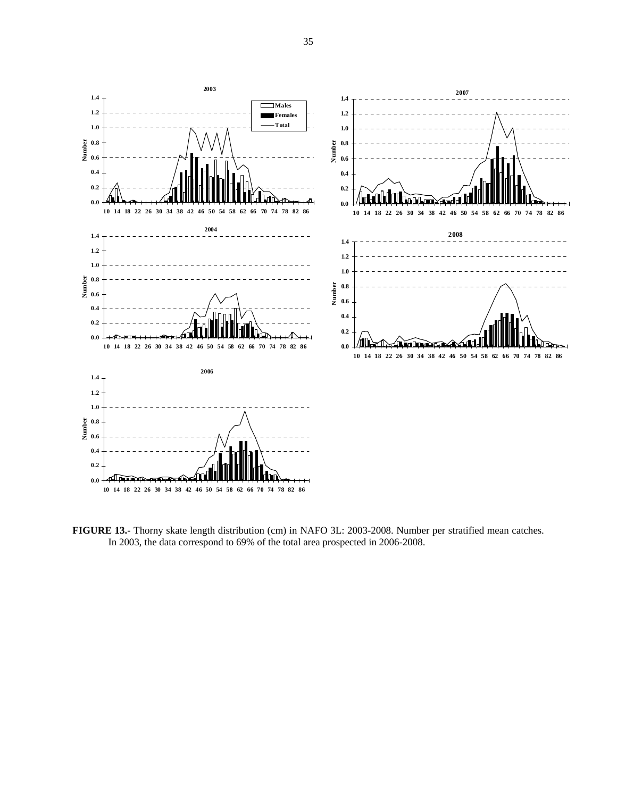

**FIGURE 13.-** Thorny skate length distribution (cm) in NAFO 3L: 2003-2008. Number per stratified mean catches. In 2003, the data correspond to 69% of the total area prospected in 2006-2008.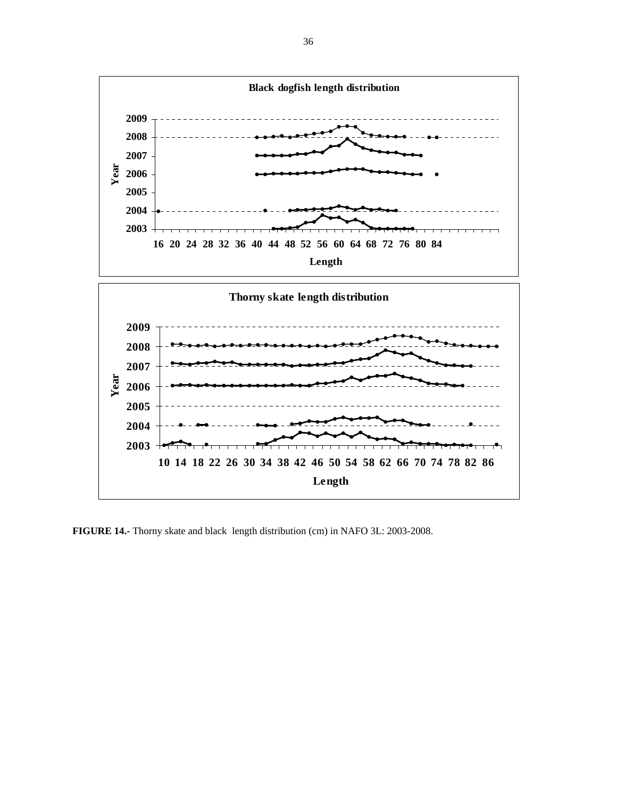

**FIGURE 14.-** Thorny skate and black length distribution (cm) in NAFO 3L: 2003-2008.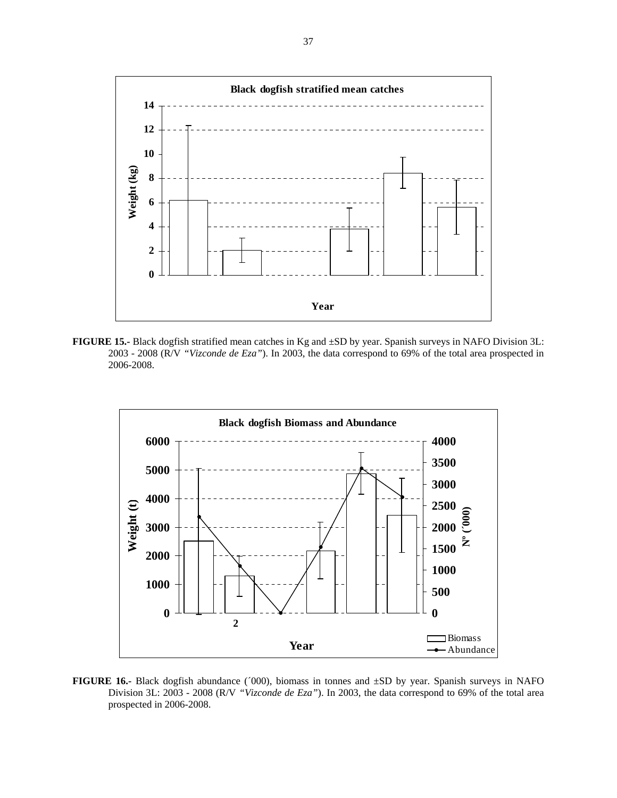

**FIGURE 15.-** Black dogfish stratified mean catches in Kg and ±SD by year. Spanish surveys in NAFO Division 3L: 2003 - 2008 (R/V *"Vizconde de Eza"*). In 2003, the data correspond to 69% of the total area prospected in 2006-2008.



**FIGURE 16.-** Black dogfish abundance ('000), biomass in tonnes and  $\pm SD$  by year. Spanish surveys in NAFO Division 3L: 2003 - 2008 (R/V *"Vizconde de Eza"*). In 2003, the data correspond to 69% of the total area prospected in 2006-2008.